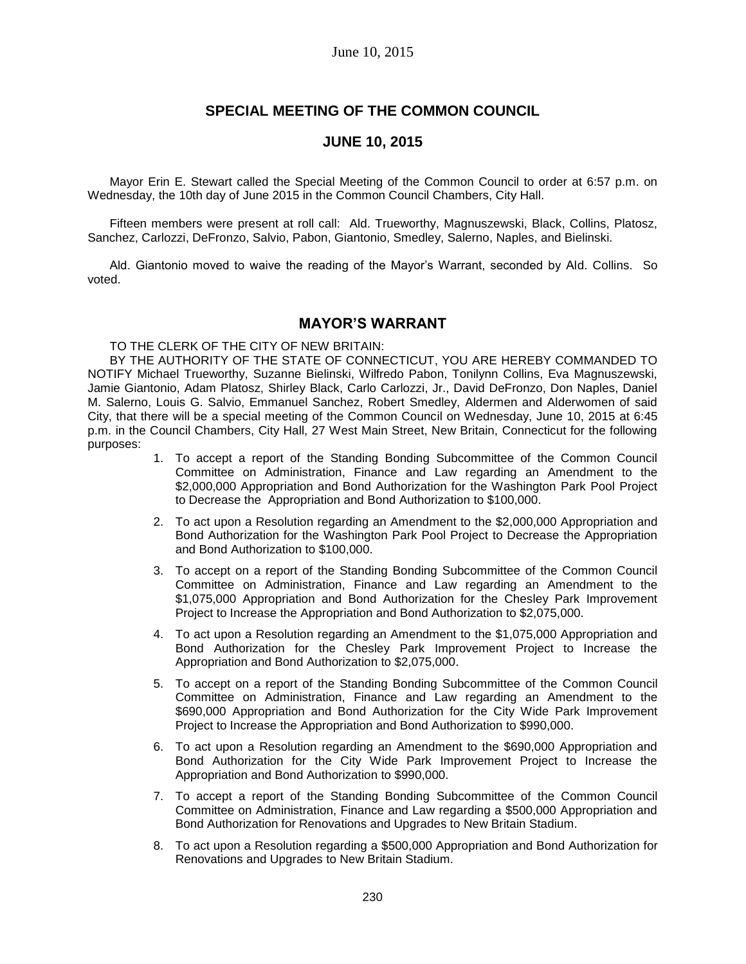# **SPECIAL MEETING OF THE COMMON COUNCIL**

# **JUNE 10, 2015**

Mayor Erin E. Stewart called the Special Meeting of the Common Council to order at 6:57 p.m. on Wednesday, the 10th day of June 2015 in the Common Council Chambers, City Hall.

Fifteen members were present at roll call: Ald. Trueworthy, Magnuszewski, Black, Collins, Platosz, Sanchez, Carlozzi, DeFronzo, Salvio, Pabon, Giantonio, Smedley, Salerno, Naples, and Bielinski.

Ald. Giantonio moved to waive the reading of the Mayor's Warrant, seconded by Ald. Collins. So voted.

### **MAYOR'S WARRANT**

TO THE CLERK OF THE CITY OF NEW BRITAIN:

BY THE AUTHORITY OF THE STATE OF CONNECTICUT, YOU ARE HEREBY COMMANDED TO NOTIFY Michael Trueworthy, Suzanne Bielinski, Wilfredo Pabon, Tonilynn Collins, Eva Magnuszewski, Jamie Giantonio, Adam Platosz, Shirley Black, Carlo Carlozzi, Jr., David DeFronzo, Don Naples, Daniel M. Salerno, Louis G. Salvio, Emmanuel Sanchez, Robert Smedley, Aldermen and Alderwomen of said City, that there will be a special meeting of the Common Council on Wednesday, June 10, 2015 at 6:45 p.m. in the Council Chambers, City Hall, 27 West Main Street, New Britain, Connecticut for the following purposes:

- 1. To accept a report of the Standing Bonding Subcommittee of the Common Council Committee on Administration, Finance and Law regarding an Amendment to the \$2,000,000 Appropriation and Bond Authorization for the Washington Park Pool Project to Decrease the Appropriation and Bond Authorization to \$100,000.
- 2. To act upon a Resolution regarding an Amendment to the \$2,000,000 Appropriation and Bond Authorization for the Washington Park Pool Project to Decrease the Appropriation and Bond Authorization to \$100,000.
- 3. To accept on a report of the Standing Bonding Subcommittee of the Common Council Committee on Administration, Finance and Law regarding an Amendment to the \$1,075,000 Appropriation and Bond Authorization for the Chesley Park Improvement Project to Increase the Appropriation and Bond Authorization to \$2,075,000.
- 4. To act upon a Resolution regarding an Amendment to the \$1,075,000 Appropriation and Bond Authorization for the Chesley Park Improvement Project to Increase the Appropriation and Bond Authorization to \$2,075,000.
- 5. To accept on a report of the Standing Bonding Subcommittee of the Common Council Committee on Administration, Finance and Law regarding an Amendment to the \$690,000 Appropriation and Bond Authorization for the City Wide Park Improvement Project to Increase the Appropriation and Bond Authorization to \$990,000.
- 6. To act upon a Resolution regarding an Amendment to the \$690,000 Appropriation and Bond Authorization for the City Wide Park Improvement Project to Increase the Appropriation and Bond Authorization to \$990,000.
- 7. To accept a report of the Standing Bonding Subcommittee of the Common Council Committee on Administration, Finance and Law regarding a \$500,000 Appropriation and Bond Authorization for Renovations and Upgrades to New Britain Stadium.
- 8. To act upon a Resolution regarding a \$500,000 Appropriation and Bond Authorization for Renovations and Upgrades to New Britain Stadium.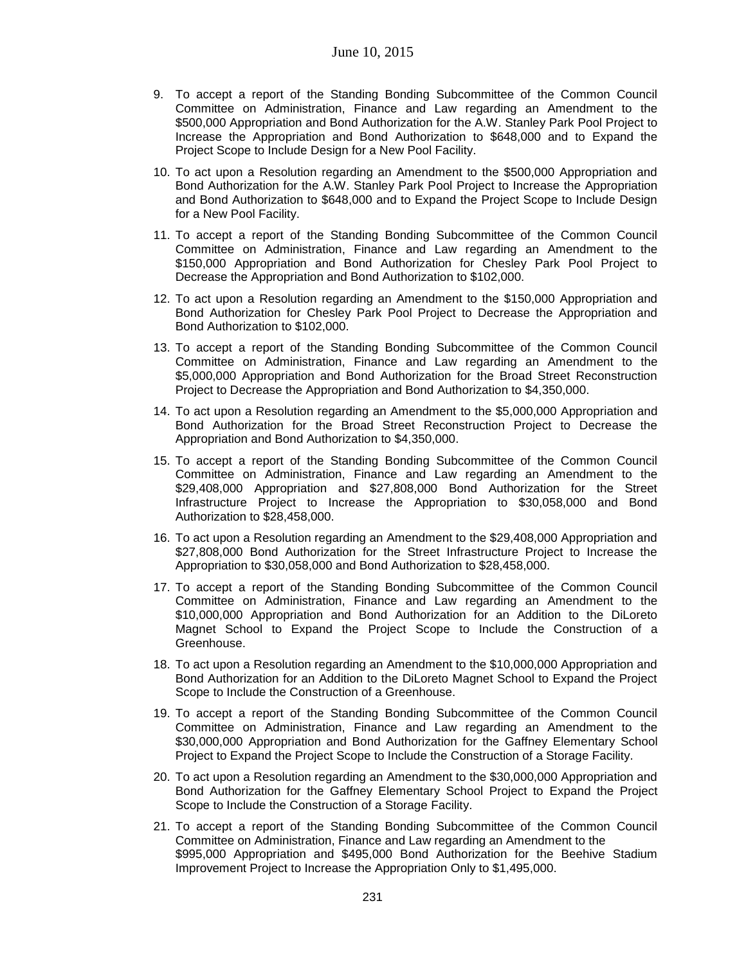- 9. To accept a report of the Standing Bonding Subcommittee of the Common Council Committee on Administration, Finance and Law regarding an Amendment to the \$500,000 Appropriation and Bond Authorization for the A.W. Stanley Park Pool Project to Increase the Appropriation and Bond Authorization to \$648,000 and to Expand the Project Scope to Include Design for a New Pool Facility.
- 10. To act upon a Resolution regarding an Amendment to the \$500,000 Appropriation and Bond Authorization for the A.W. Stanley Park Pool Project to Increase the Appropriation and Bond Authorization to \$648,000 and to Expand the Project Scope to Include Design for a New Pool Facility.
- 11. To accept a report of the Standing Bonding Subcommittee of the Common Council Committee on Administration, Finance and Law regarding an Amendment to the \$150,000 Appropriation and Bond Authorization for Chesley Park Pool Project to Decrease the Appropriation and Bond Authorization to \$102,000.
- 12. To act upon a Resolution regarding an Amendment to the \$150,000 Appropriation and Bond Authorization for Chesley Park Pool Project to Decrease the Appropriation and Bond Authorization to \$102,000.
- 13. To accept a report of the Standing Bonding Subcommittee of the Common Council Committee on Administration, Finance and Law regarding an Amendment to the \$5,000,000 Appropriation and Bond Authorization for the Broad Street Reconstruction Project to Decrease the Appropriation and Bond Authorization to \$4,350,000.
- 14. To act upon a Resolution regarding an Amendment to the \$5,000,000 Appropriation and Bond Authorization for the Broad Street Reconstruction Project to Decrease the Appropriation and Bond Authorization to \$4,350,000.
- 15. To accept a report of the Standing Bonding Subcommittee of the Common Council Committee on Administration, Finance and Law regarding an Amendment to the \$29,408,000 Appropriation and \$27,808,000 Bond Authorization for the Street Infrastructure Project to Increase the Appropriation to \$30,058,000 and Bond Authorization to \$28,458,000.
- 16. To act upon a Resolution regarding an Amendment to the \$29,408,000 Appropriation and \$27,808,000 Bond Authorization for the Street Infrastructure Project to Increase the Appropriation to \$30,058,000 and Bond Authorization to \$28,458,000.
- 17. To accept a report of the Standing Bonding Subcommittee of the Common Council Committee on Administration, Finance and Law regarding an Amendment to the \$10,000,000 Appropriation and Bond Authorization for an Addition to the DiLoreto Magnet School to Expand the Project Scope to Include the Construction of a Greenhouse.
- 18. To act upon a Resolution regarding an Amendment to the \$10,000,000 Appropriation and Bond Authorization for an Addition to the DiLoreto Magnet School to Expand the Project Scope to Include the Construction of a Greenhouse.
- 19. To accept a report of the Standing Bonding Subcommittee of the Common Council Committee on Administration, Finance and Law regarding an Amendment to the \$30,000,000 Appropriation and Bond Authorization for the Gaffney Elementary School Project to Expand the Project Scope to Include the Construction of a Storage Facility.
- 20. To act upon a Resolution regarding an Amendment to the \$30,000,000 Appropriation and Bond Authorization for the Gaffney Elementary School Project to Expand the Project Scope to Include the Construction of a Storage Facility.
- 21. To accept a report of the Standing Bonding Subcommittee of the Common Council Committee on Administration, Finance and Law regarding an Amendment to the \$995,000 Appropriation and \$495,000 Bond Authorization for the Beehive Stadium Improvement Project to Increase the Appropriation Only to \$1,495,000.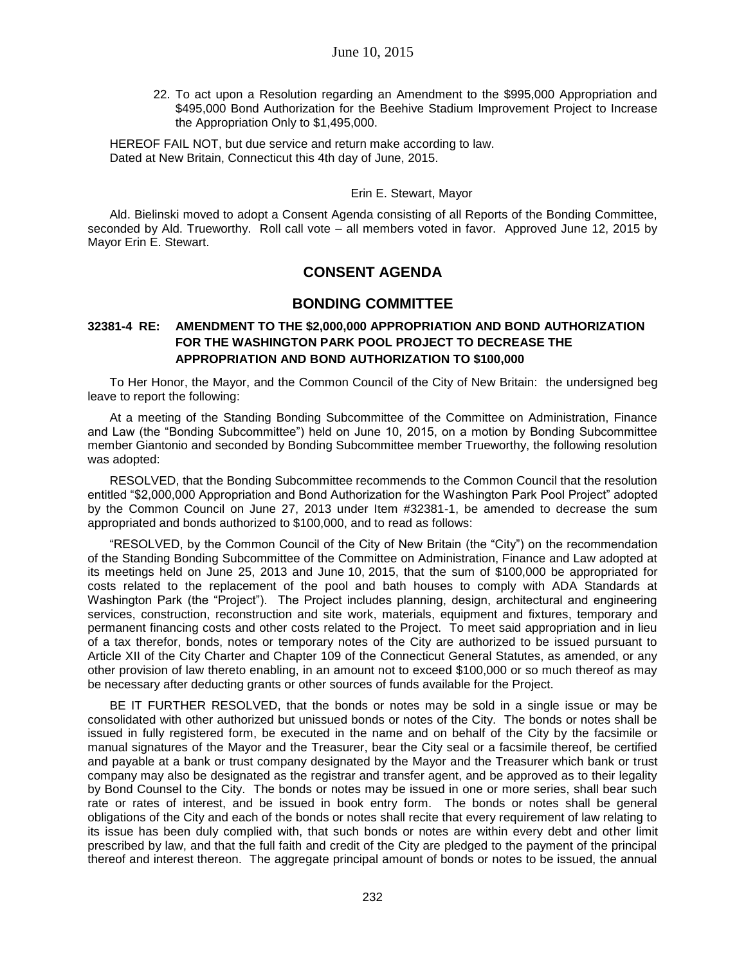22. To act upon a Resolution regarding an Amendment to the \$995,000 Appropriation and \$495,000 Bond Authorization for the Beehive Stadium Improvement Project to Increase the Appropriation Only to \$1,495,000.

HEREOF FAIL NOT, but due service and return make according to law. Dated at New Britain, Connecticut this 4th day of June, 2015.

### Erin E. Stewart, Mayor

Ald. Bielinski moved to adopt a Consent Agenda consisting of all Reports of the Bonding Committee, seconded by Ald. Trueworthy. Roll call vote – all members voted in favor. Approved June 12, 2015 by Mayor Erin E. Stewart.

# **CONSENT AGENDA**

# **BONDING COMMITTEE**

### **32381-4 RE: AMENDMENT TO THE \$2,000,000 APPROPRIATION AND BOND AUTHORIZATION FOR THE WASHINGTON PARK POOL PROJECT TO DECREASE THE APPROPRIATION AND BOND AUTHORIZATION TO \$100,000**

To Her Honor, the Mayor, and the Common Council of the City of New Britain: the undersigned beg leave to report the following:

At a meeting of the Standing Bonding Subcommittee of the Committee on Administration, Finance and Law (the "Bonding Subcommittee") held on June 10, 2015, on a motion by Bonding Subcommittee member Giantonio and seconded by Bonding Subcommittee member Trueworthy, the following resolution was adopted:

RESOLVED, that the Bonding Subcommittee recommends to the Common Council that the resolution entitled "\$2,000,000 Appropriation and Bond Authorization for the Washington Park Pool Project" adopted by the Common Council on June 27, 2013 under Item #32381-1, be amended to decrease the sum appropriated and bonds authorized to \$100,000, and to read as follows:

"RESOLVED, by the Common Council of the City of New Britain (the "City") on the recommendation of the Standing Bonding Subcommittee of the Committee on Administration, Finance and Law adopted at its meetings held on June 25, 2013 and June 10, 2015, that the sum of \$100,000 be appropriated for costs related to the replacement of the pool and bath houses to comply with ADA Standards at Washington Park (the "Project"). The Project includes planning, design, architectural and engineering services, construction, reconstruction and site work, materials, equipment and fixtures, temporary and permanent financing costs and other costs related to the Project. To meet said appropriation and in lieu of a tax therefor, bonds, notes or temporary notes of the City are authorized to be issued pursuant to Article XII of the City Charter and Chapter 109 of the Connecticut General Statutes, as amended, or any other provision of law thereto enabling, in an amount not to exceed \$100,000 or so much thereof as may be necessary after deducting grants or other sources of funds available for the Project.

BE IT FURTHER RESOLVED, that the bonds or notes may be sold in a single issue or may be consolidated with other authorized but unissued bonds or notes of the City. The bonds or notes shall be issued in fully registered form, be executed in the name and on behalf of the City by the facsimile or manual signatures of the Mayor and the Treasurer, bear the City seal or a facsimile thereof, be certified and payable at a bank or trust company designated by the Mayor and the Treasurer which bank or trust company may also be designated as the registrar and transfer agent, and be approved as to their legality by Bond Counsel to the City. The bonds or notes may be issued in one or more series, shall bear such rate or rates of interest, and be issued in book entry form. The bonds or notes shall be general obligations of the City and each of the bonds or notes shall recite that every requirement of law relating to its issue has been duly complied with, that such bonds or notes are within every debt and other limit prescribed by law, and that the full faith and credit of the City are pledged to the payment of the principal thereof and interest thereon. The aggregate principal amount of bonds or notes to be issued, the annual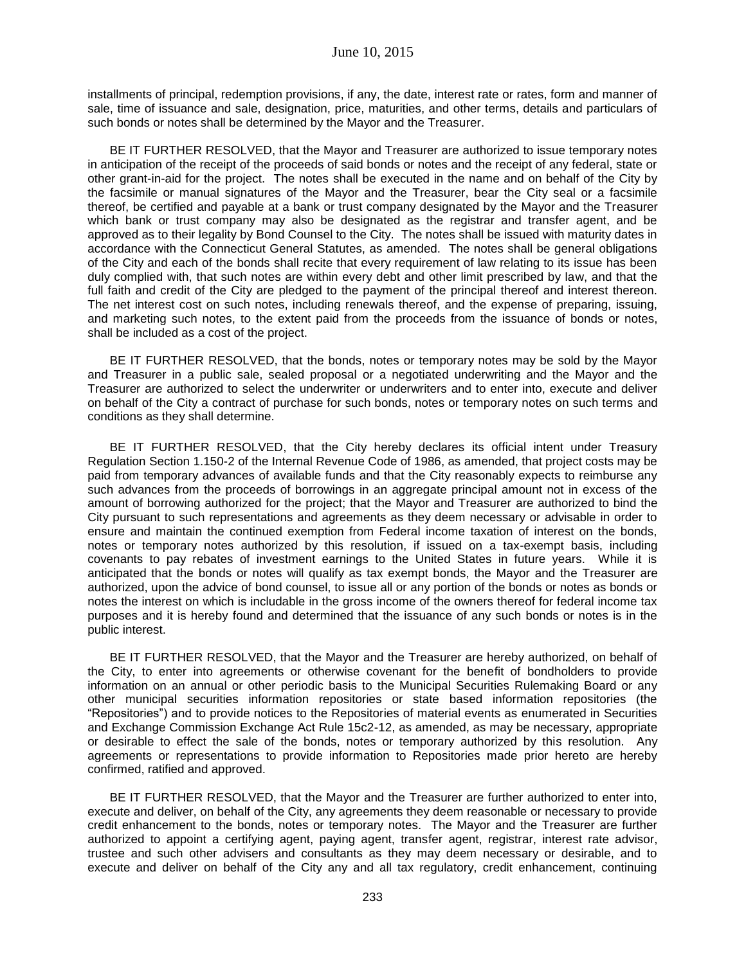installments of principal, redemption provisions, if any, the date, interest rate or rates, form and manner of sale, time of issuance and sale, designation, price, maturities, and other terms, details and particulars of such bonds or notes shall be determined by the Mayor and the Treasurer.

BE IT FURTHER RESOLVED, that the Mayor and Treasurer are authorized to issue temporary notes in anticipation of the receipt of the proceeds of said bonds or notes and the receipt of any federal, state or other grant-in-aid for the project. The notes shall be executed in the name and on behalf of the City by the facsimile or manual signatures of the Mayor and the Treasurer, bear the City seal or a facsimile thereof, be certified and payable at a bank or trust company designated by the Mayor and the Treasurer which bank or trust company may also be designated as the registrar and transfer agent, and be approved as to their legality by Bond Counsel to the City. The notes shall be issued with maturity dates in accordance with the Connecticut General Statutes, as amended. The notes shall be general obligations of the City and each of the bonds shall recite that every requirement of law relating to its issue has been duly complied with, that such notes are within every debt and other limit prescribed by law, and that the full faith and credit of the City are pledged to the payment of the principal thereof and interest thereon. The net interest cost on such notes, including renewals thereof, and the expense of preparing, issuing, and marketing such notes, to the extent paid from the proceeds from the issuance of bonds or notes, shall be included as a cost of the project.

BE IT FURTHER RESOLVED, that the bonds, notes or temporary notes may be sold by the Mayor and Treasurer in a public sale, sealed proposal or a negotiated underwriting and the Mayor and the Treasurer are authorized to select the underwriter or underwriters and to enter into, execute and deliver on behalf of the City a contract of purchase for such bonds, notes or temporary notes on such terms and conditions as they shall determine.

BE IT FURTHER RESOLVED, that the City hereby declares its official intent under Treasury Regulation Section 1.150-2 of the Internal Revenue Code of 1986, as amended, that project costs may be paid from temporary advances of available funds and that the City reasonably expects to reimburse any such advances from the proceeds of borrowings in an aggregate principal amount not in excess of the amount of borrowing authorized for the project; that the Mayor and Treasurer are authorized to bind the City pursuant to such representations and agreements as they deem necessary or advisable in order to ensure and maintain the continued exemption from Federal income taxation of interest on the bonds, notes or temporary notes authorized by this resolution, if issued on a tax-exempt basis, including covenants to pay rebates of investment earnings to the United States in future years. While it is anticipated that the bonds or notes will qualify as tax exempt bonds, the Mayor and the Treasurer are authorized, upon the advice of bond counsel, to issue all or any portion of the bonds or notes as bonds or notes the interest on which is includable in the gross income of the owners thereof for federal income tax purposes and it is hereby found and determined that the issuance of any such bonds or notes is in the public interest.

BE IT FURTHER RESOLVED, that the Mayor and the Treasurer are hereby authorized, on behalf of the City, to enter into agreements or otherwise covenant for the benefit of bondholders to provide information on an annual or other periodic basis to the Municipal Securities Rulemaking Board or any other municipal securities information repositories or state based information repositories (the "Repositories") and to provide notices to the Repositories of material events as enumerated in Securities and Exchange Commission Exchange Act Rule 15c2-12, as amended, as may be necessary, appropriate or desirable to effect the sale of the bonds, notes or temporary authorized by this resolution. Any agreements or representations to provide information to Repositories made prior hereto are hereby confirmed, ratified and approved.

BE IT FURTHER RESOLVED, that the Mayor and the Treasurer are further authorized to enter into, execute and deliver, on behalf of the City, any agreements they deem reasonable or necessary to provide credit enhancement to the bonds, notes or temporary notes. The Mayor and the Treasurer are further authorized to appoint a certifying agent, paying agent, transfer agent, registrar, interest rate advisor, trustee and such other advisers and consultants as they may deem necessary or desirable, and to execute and deliver on behalf of the City any and all tax regulatory, credit enhancement, continuing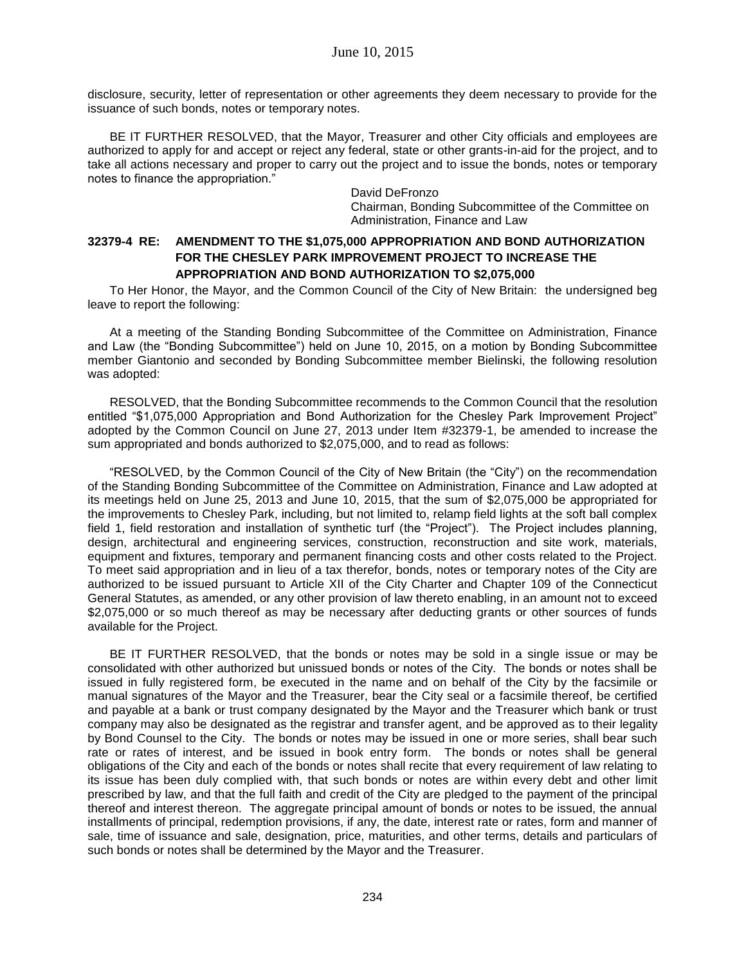disclosure, security, letter of representation or other agreements they deem necessary to provide for the issuance of such bonds, notes or temporary notes.

BE IT FURTHER RESOLVED, that the Mayor, Treasurer and other City officials and employees are authorized to apply for and accept or reject any federal, state or other grants-in-aid for the project, and to take all actions necessary and proper to carry out the project and to issue the bonds, notes or temporary notes to finance the appropriation."

> David DeFronzo Chairman, Bonding Subcommittee of the Committee on Administration, Finance and Law

## **32379-4 RE: AMENDMENT TO THE \$1,075,000 APPROPRIATION AND BOND AUTHORIZATION FOR THE CHESLEY PARK IMPROVEMENT PROJECT TO INCREASE THE APPROPRIATION AND BOND AUTHORIZATION TO \$2,075,000**

To Her Honor, the Mayor, and the Common Council of the City of New Britain: the undersigned beg leave to report the following:

At a meeting of the Standing Bonding Subcommittee of the Committee on Administration, Finance and Law (the "Bonding Subcommittee") held on June 10, 2015, on a motion by Bonding Subcommittee member Giantonio and seconded by Bonding Subcommittee member Bielinski, the following resolution was adopted:

RESOLVED, that the Bonding Subcommittee recommends to the Common Council that the resolution entitled "\$1,075,000 Appropriation and Bond Authorization for the Chesley Park Improvement Project" adopted by the Common Council on June 27, 2013 under Item #32379-1, be amended to increase the sum appropriated and bonds authorized to \$2,075,000, and to read as follows:

"RESOLVED, by the Common Council of the City of New Britain (the "City") on the recommendation of the Standing Bonding Subcommittee of the Committee on Administration, Finance and Law adopted at its meetings held on June 25, 2013 and June 10, 2015, that the sum of \$2,075,000 be appropriated for the improvements to Chesley Park, including, but not limited to, relamp field lights at the soft ball complex field 1, field restoration and installation of synthetic turf (the "Project"). The Project includes planning, design, architectural and engineering services, construction, reconstruction and site work, materials, equipment and fixtures, temporary and permanent financing costs and other costs related to the Project. To meet said appropriation and in lieu of a tax therefor, bonds, notes or temporary notes of the City are authorized to be issued pursuant to Article XII of the City Charter and Chapter 109 of the Connecticut General Statutes, as amended, or any other provision of law thereto enabling, in an amount not to exceed \$2,075,000 or so much thereof as may be necessary after deducting grants or other sources of funds available for the Project.

BE IT FURTHER RESOLVED, that the bonds or notes may be sold in a single issue or may be consolidated with other authorized but unissued bonds or notes of the City. The bonds or notes shall be issued in fully registered form, be executed in the name and on behalf of the City by the facsimile or manual signatures of the Mayor and the Treasurer, bear the City seal or a facsimile thereof, be certified and payable at a bank or trust company designated by the Mayor and the Treasurer which bank or trust company may also be designated as the registrar and transfer agent, and be approved as to their legality by Bond Counsel to the City. The bonds or notes may be issued in one or more series, shall bear such rate or rates of interest, and be issued in book entry form. The bonds or notes shall be general obligations of the City and each of the bonds or notes shall recite that every requirement of law relating to its issue has been duly complied with, that such bonds or notes are within every debt and other limit prescribed by law, and that the full faith and credit of the City are pledged to the payment of the principal thereof and interest thereon. The aggregate principal amount of bonds or notes to be issued, the annual installments of principal, redemption provisions, if any, the date, interest rate or rates, form and manner of sale, time of issuance and sale, designation, price, maturities, and other terms, details and particulars of such bonds or notes shall be determined by the Mayor and the Treasurer.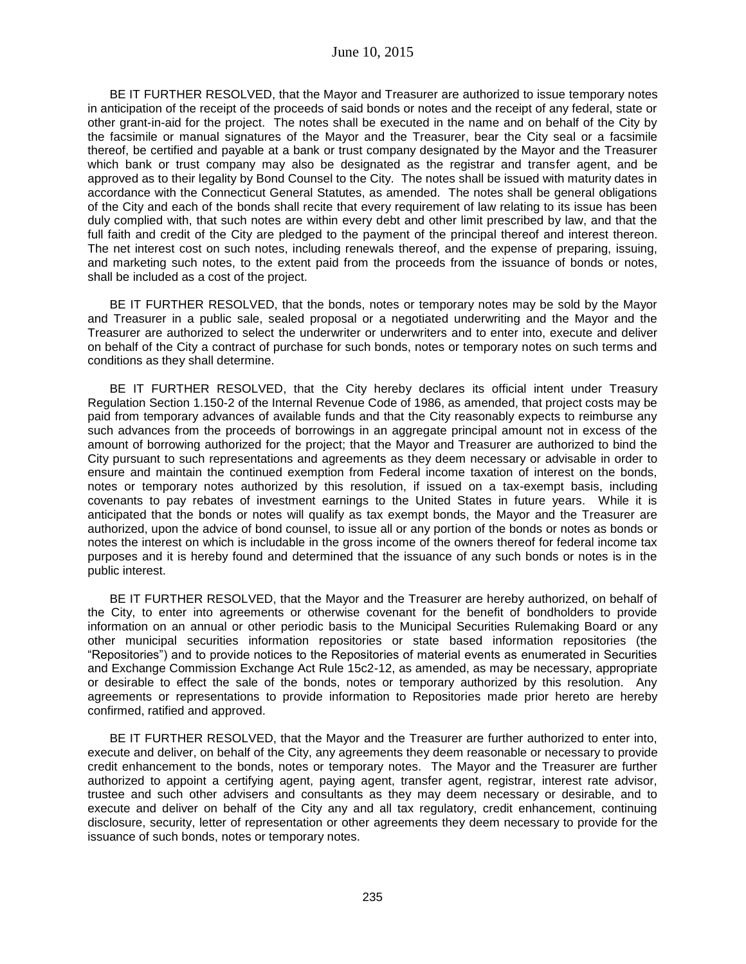BE IT FURTHER RESOLVED, that the Mayor and Treasurer are authorized to issue temporary notes in anticipation of the receipt of the proceeds of said bonds or notes and the receipt of any federal, state or other grant-in-aid for the project. The notes shall be executed in the name and on behalf of the City by the facsimile or manual signatures of the Mayor and the Treasurer, bear the City seal or a facsimile thereof, be certified and payable at a bank or trust company designated by the Mayor and the Treasurer which bank or trust company may also be designated as the registrar and transfer agent, and be approved as to their legality by Bond Counsel to the City. The notes shall be issued with maturity dates in accordance with the Connecticut General Statutes, as amended. The notes shall be general obligations of the City and each of the bonds shall recite that every requirement of law relating to its issue has been duly complied with, that such notes are within every debt and other limit prescribed by law, and that the full faith and credit of the City are pledged to the payment of the principal thereof and interest thereon. The net interest cost on such notes, including renewals thereof, and the expense of preparing, issuing, and marketing such notes, to the extent paid from the proceeds from the issuance of bonds or notes, shall be included as a cost of the project.

BE IT FURTHER RESOLVED, that the bonds, notes or temporary notes may be sold by the Mayor and Treasurer in a public sale, sealed proposal or a negotiated underwriting and the Mayor and the Treasurer are authorized to select the underwriter or underwriters and to enter into, execute and deliver on behalf of the City a contract of purchase for such bonds, notes or temporary notes on such terms and conditions as they shall determine.

BE IT FURTHER RESOLVED, that the City hereby declares its official intent under Treasury Regulation Section 1.150-2 of the Internal Revenue Code of 1986, as amended, that project costs may be paid from temporary advances of available funds and that the City reasonably expects to reimburse any such advances from the proceeds of borrowings in an aggregate principal amount not in excess of the amount of borrowing authorized for the project; that the Mayor and Treasurer are authorized to bind the City pursuant to such representations and agreements as they deem necessary or advisable in order to ensure and maintain the continued exemption from Federal income taxation of interest on the bonds, notes or temporary notes authorized by this resolution, if issued on a tax-exempt basis, including covenants to pay rebates of investment earnings to the United States in future years. While it is anticipated that the bonds or notes will qualify as tax exempt bonds, the Mayor and the Treasurer are authorized, upon the advice of bond counsel, to issue all or any portion of the bonds or notes as bonds or notes the interest on which is includable in the gross income of the owners thereof for federal income tax purposes and it is hereby found and determined that the issuance of any such bonds or notes is in the public interest.

BE IT FURTHER RESOLVED, that the Mayor and the Treasurer are hereby authorized, on behalf of the City, to enter into agreements or otherwise covenant for the benefit of bondholders to provide information on an annual or other periodic basis to the Municipal Securities Rulemaking Board or any other municipal securities information repositories or state based information repositories (the "Repositories") and to provide notices to the Repositories of material events as enumerated in Securities and Exchange Commission Exchange Act Rule 15c2-12, as amended, as may be necessary, appropriate or desirable to effect the sale of the bonds, notes or temporary authorized by this resolution. Any agreements or representations to provide information to Repositories made prior hereto are hereby confirmed, ratified and approved.

BE IT FURTHER RESOLVED, that the Mayor and the Treasurer are further authorized to enter into, execute and deliver, on behalf of the City, any agreements they deem reasonable or necessary to provide credit enhancement to the bonds, notes or temporary notes. The Mayor and the Treasurer are further authorized to appoint a certifying agent, paying agent, transfer agent, registrar, interest rate advisor, trustee and such other advisers and consultants as they may deem necessary or desirable, and to execute and deliver on behalf of the City any and all tax regulatory, credit enhancement, continuing disclosure, security, letter of representation or other agreements they deem necessary to provide for the issuance of such bonds, notes or temporary notes.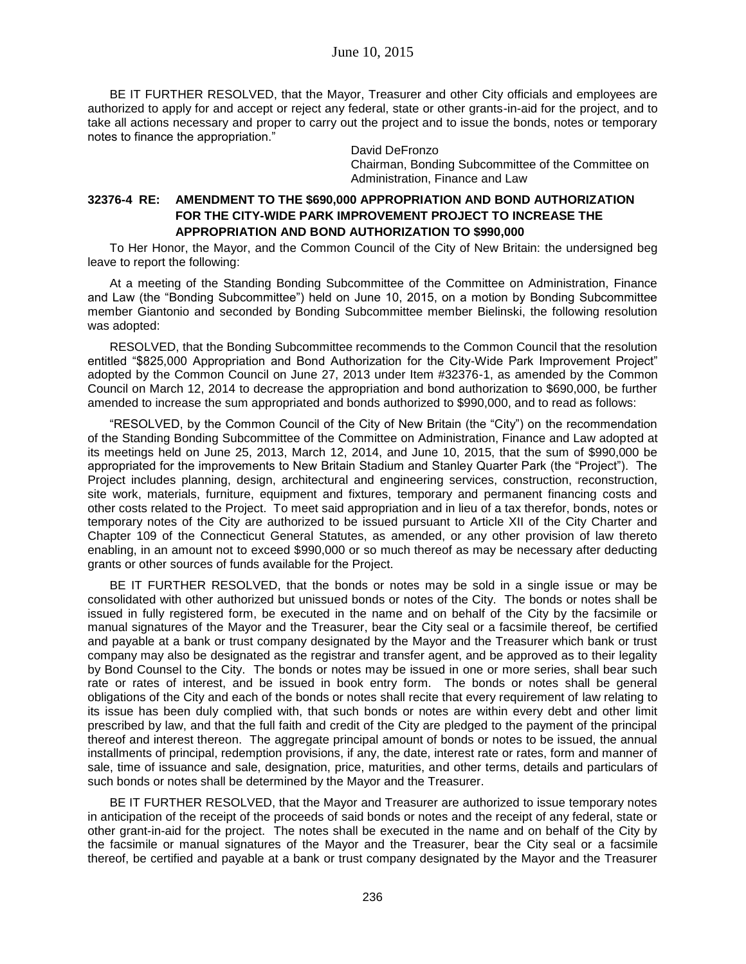June 10, 2015

BE IT FURTHER RESOLVED, that the Mayor, Treasurer and other City officials and employees are authorized to apply for and accept or reject any federal, state or other grants-in-aid for the project, and to take all actions necessary and proper to carry out the project and to issue the bonds, notes or temporary notes to finance the appropriation."

> David DeFronzo Chairman, Bonding Subcommittee of the Committee on Administration, Finance and Law

## **32376-4 RE: AMENDMENT TO THE \$690,000 APPROPRIATION AND BOND AUTHORIZATION FOR THE CITY-WIDE PARK IMPROVEMENT PROJECT TO INCREASE THE APPROPRIATION AND BOND AUTHORIZATION TO \$990,000**

To Her Honor, the Mayor, and the Common Council of the City of New Britain: the undersigned beg leave to report the following:

At a meeting of the Standing Bonding Subcommittee of the Committee on Administration, Finance and Law (the "Bonding Subcommittee") held on June 10, 2015, on a motion by Bonding Subcommittee member Giantonio and seconded by Bonding Subcommittee member Bielinski, the following resolution was adopted:

RESOLVED, that the Bonding Subcommittee recommends to the Common Council that the resolution entitled "\$825,000 Appropriation and Bond Authorization for the City-Wide Park Improvement Project" adopted by the Common Council on June 27, 2013 under Item #32376-1, as amended by the Common Council on March 12, 2014 to decrease the appropriation and bond authorization to \$690,000, be further amended to increase the sum appropriated and bonds authorized to \$990,000, and to read as follows:

"RESOLVED, by the Common Council of the City of New Britain (the "City") on the recommendation of the Standing Bonding Subcommittee of the Committee on Administration, Finance and Law adopted at its meetings held on June 25, 2013, March 12, 2014, and June 10, 2015, that the sum of \$990,000 be appropriated for the improvements to New Britain Stadium and Stanley Quarter Park (the "Project"). The Project includes planning, design, architectural and engineering services, construction, reconstruction, site work, materials, furniture, equipment and fixtures, temporary and permanent financing costs and other costs related to the Project. To meet said appropriation and in lieu of a tax therefor, bonds, notes or temporary notes of the City are authorized to be issued pursuant to Article XII of the City Charter and Chapter 109 of the Connecticut General Statutes, as amended, or any other provision of law thereto enabling, in an amount not to exceed \$990,000 or so much thereof as may be necessary after deducting grants or other sources of funds available for the Project.

BE IT FURTHER RESOLVED, that the bonds or notes may be sold in a single issue or may be consolidated with other authorized but unissued bonds or notes of the City. The bonds or notes shall be issued in fully registered form, be executed in the name and on behalf of the City by the facsimile or manual signatures of the Mayor and the Treasurer, bear the City seal or a facsimile thereof, be certified and payable at a bank or trust company designated by the Mayor and the Treasurer which bank or trust company may also be designated as the registrar and transfer agent, and be approved as to their legality by Bond Counsel to the City. The bonds or notes may be issued in one or more series, shall bear such rate or rates of interest, and be issued in book entry form. The bonds or notes shall be general obligations of the City and each of the bonds or notes shall recite that every requirement of law relating to its issue has been duly complied with, that such bonds or notes are within every debt and other limit prescribed by law, and that the full faith and credit of the City are pledged to the payment of the principal thereof and interest thereon. The aggregate principal amount of bonds or notes to be issued, the annual installments of principal, redemption provisions, if any, the date, interest rate or rates, form and manner of sale, time of issuance and sale, designation, price, maturities, and other terms, details and particulars of such bonds or notes shall be determined by the Mayor and the Treasurer.

BE IT FURTHER RESOLVED, that the Mayor and Treasurer are authorized to issue temporary notes in anticipation of the receipt of the proceeds of said bonds or notes and the receipt of any federal, state or other grant-in-aid for the project. The notes shall be executed in the name and on behalf of the City by the facsimile or manual signatures of the Mayor and the Treasurer, bear the City seal or a facsimile thereof, be certified and payable at a bank or trust company designated by the Mayor and the Treasurer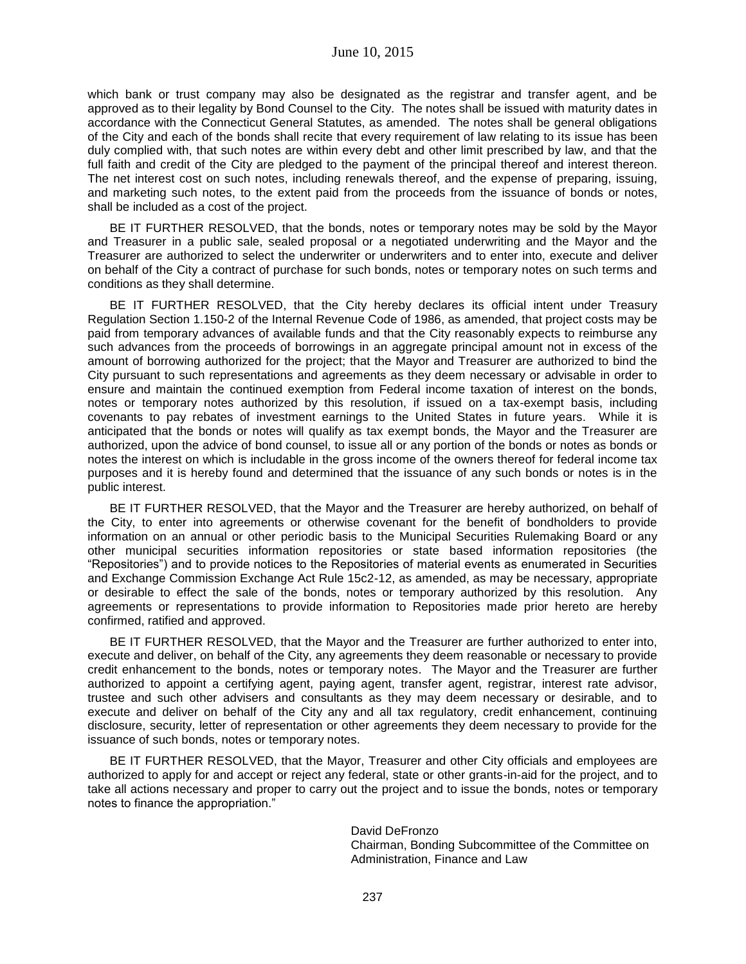which bank or trust company may also be designated as the registrar and transfer agent, and be approved as to their legality by Bond Counsel to the City. The notes shall be issued with maturity dates in accordance with the Connecticut General Statutes, as amended. The notes shall be general obligations of the City and each of the bonds shall recite that every requirement of law relating to its issue has been duly complied with, that such notes are within every debt and other limit prescribed by law, and that the full faith and credit of the City are pledged to the payment of the principal thereof and interest thereon. The net interest cost on such notes, including renewals thereof, and the expense of preparing, issuing, and marketing such notes, to the extent paid from the proceeds from the issuance of bonds or notes, shall be included as a cost of the project.

BE IT FURTHER RESOLVED, that the bonds, notes or temporary notes may be sold by the Mayor and Treasurer in a public sale, sealed proposal or a negotiated underwriting and the Mayor and the Treasurer are authorized to select the underwriter or underwriters and to enter into, execute and deliver on behalf of the City a contract of purchase for such bonds, notes or temporary notes on such terms and conditions as they shall determine.

BE IT FURTHER RESOLVED, that the City hereby declares its official intent under Treasury Regulation Section 1.150-2 of the Internal Revenue Code of 1986, as amended, that project costs may be paid from temporary advances of available funds and that the City reasonably expects to reimburse any such advances from the proceeds of borrowings in an aggregate principal amount not in excess of the amount of borrowing authorized for the project; that the Mayor and Treasurer are authorized to bind the City pursuant to such representations and agreements as they deem necessary or advisable in order to ensure and maintain the continued exemption from Federal income taxation of interest on the bonds, notes or temporary notes authorized by this resolution, if issued on a tax-exempt basis, including covenants to pay rebates of investment earnings to the United States in future years. While it is anticipated that the bonds or notes will qualify as tax exempt bonds, the Mayor and the Treasurer are authorized, upon the advice of bond counsel, to issue all or any portion of the bonds or notes as bonds or notes the interest on which is includable in the gross income of the owners thereof for federal income tax purposes and it is hereby found and determined that the issuance of any such bonds or notes is in the public interest.

BE IT FURTHER RESOLVED, that the Mayor and the Treasurer are hereby authorized, on behalf of the City, to enter into agreements or otherwise covenant for the benefit of bondholders to provide information on an annual or other periodic basis to the Municipal Securities Rulemaking Board or any other municipal securities information repositories or state based information repositories (the "Repositories") and to provide notices to the Repositories of material events as enumerated in Securities and Exchange Commission Exchange Act Rule 15c2-12, as amended, as may be necessary, appropriate or desirable to effect the sale of the bonds, notes or temporary authorized by this resolution. Any agreements or representations to provide information to Repositories made prior hereto are hereby confirmed, ratified and approved.

BE IT FURTHER RESOLVED, that the Mayor and the Treasurer are further authorized to enter into, execute and deliver, on behalf of the City, any agreements they deem reasonable or necessary to provide credit enhancement to the bonds, notes or temporary notes. The Mayor and the Treasurer are further authorized to appoint a certifying agent, paying agent, transfer agent, registrar, interest rate advisor, trustee and such other advisers and consultants as they may deem necessary or desirable, and to execute and deliver on behalf of the City any and all tax regulatory, credit enhancement, continuing disclosure, security, letter of representation or other agreements they deem necessary to provide for the issuance of such bonds, notes or temporary notes.

BE IT FURTHER RESOLVED, that the Mayor, Treasurer and other City officials and employees are authorized to apply for and accept or reject any federal, state or other grants-in-aid for the project, and to take all actions necessary and proper to carry out the project and to issue the bonds, notes or temporary notes to finance the appropriation."

> David DeFronzo Chairman, Bonding Subcommittee of the Committee on Administration, Finance and Law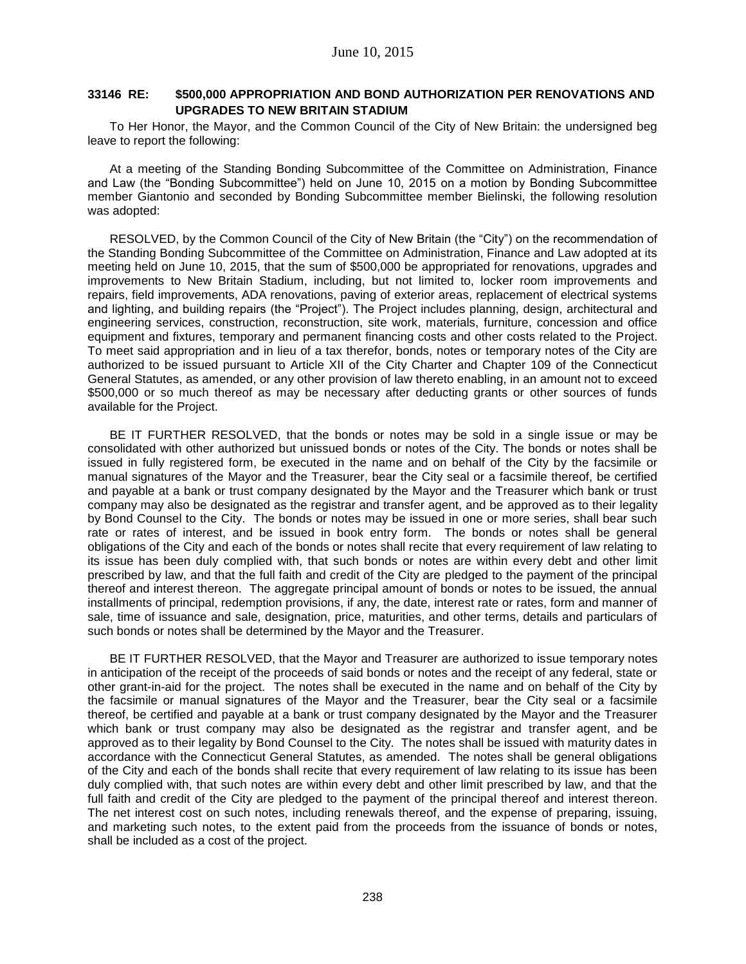### **33146 RE: \$500,000 APPROPRIATION AND BOND AUTHORIZATION PER RENOVATIONS AND UPGRADES TO NEW BRITAIN STADIUM**

To Her Honor, the Mayor, and the Common Council of the City of New Britain: the undersigned beg leave to report the following:

At a meeting of the Standing Bonding Subcommittee of the Committee on Administration, Finance and Law (the "Bonding Subcommittee") held on June 10, 2015 on a motion by Bonding Subcommittee member Giantonio and seconded by Bonding Subcommittee member Bielinski, the following resolution was adopted:

RESOLVED, by the Common Council of the City of New Britain (the "City") on the recommendation of the Standing Bonding Subcommittee of the Committee on Administration, Finance and Law adopted at its meeting held on June 10, 2015, that the sum of \$500,000 be appropriated for renovations, upgrades and improvements to New Britain Stadium, including, but not limited to, locker room improvements and repairs, field improvements, ADA renovations, paving of exterior areas, replacement of electrical systems and lighting, and building repairs (the "Project"). The Project includes planning, design, architectural and engineering services, construction, reconstruction, site work, materials, furniture, concession and office equipment and fixtures, temporary and permanent financing costs and other costs related to the Project. To meet said appropriation and in lieu of a tax therefor, bonds, notes or temporary notes of the City are authorized to be issued pursuant to Article XII of the City Charter and Chapter 109 of the Connecticut General Statutes, as amended, or any other provision of law thereto enabling, in an amount not to exceed \$500,000 or so much thereof as may be necessary after deducting grants or other sources of funds available for the Project.

BE IT FURTHER RESOLVED, that the bonds or notes may be sold in a single issue or may be consolidated with other authorized but unissued bonds or notes of the City. The bonds or notes shall be issued in fully registered form, be executed in the name and on behalf of the City by the facsimile or manual signatures of the Mayor and the Treasurer, bear the City seal or a facsimile thereof, be certified and payable at a bank or trust company designated by the Mayor and the Treasurer which bank or trust company may also be designated as the registrar and transfer agent, and be approved as to their legality by Bond Counsel to the City. The bonds or notes may be issued in one or more series, shall bear such rate or rates of interest, and be issued in book entry form. The bonds or notes shall be general obligations of the City and each of the bonds or notes shall recite that every requirement of law relating to its issue has been duly complied with, that such bonds or notes are within every debt and other limit prescribed by law, and that the full faith and credit of the City are pledged to the payment of the principal thereof and interest thereon. The aggregate principal amount of bonds or notes to be issued, the annual installments of principal, redemption provisions, if any, the date, interest rate or rates, form and manner of sale, time of issuance and sale, designation, price, maturities, and other terms, details and particulars of such bonds or notes shall be determined by the Mayor and the Treasurer.

BE IT FURTHER RESOLVED, that the Mayor and Treasurer are authorized to issue temporary notes in anticipation of the receipt of the proceeds of said bonds or notes and the receipt of any federal, state or other grant-in-aid for the project. The notes shall be executed in the name and on behalf of the City by the facsimile or manual signatures of the Mayor and the Treasurer, bear the City seal or a facsimile thereof, be certified and payable at a bank or trust company designated by the Mayor and the Treasurer which bank or trust company may also be designated as the registrar and transfer agent, and be approved as to their legality by Bond Counsel to the City. The notes shall be issued with maturity dates in accordance with the Connecticut General Statutes, as amended. The notes shall be general obligations of the City and each of the bonds shall recite that every requirement of law relating to its issue has been duly complied with, that such notes are within every debt and other limit prescribed by law, and that the full faith and credit of the City are pledged to the payment of the principal thereof and interest thereon. The net interest cost on such notes, including renewals thereof, and the expense of preparing, issuing, and marketing such notes, to the extent paid from the proceeds from the issuance of bonds or notes, shall be included as a cost of the project.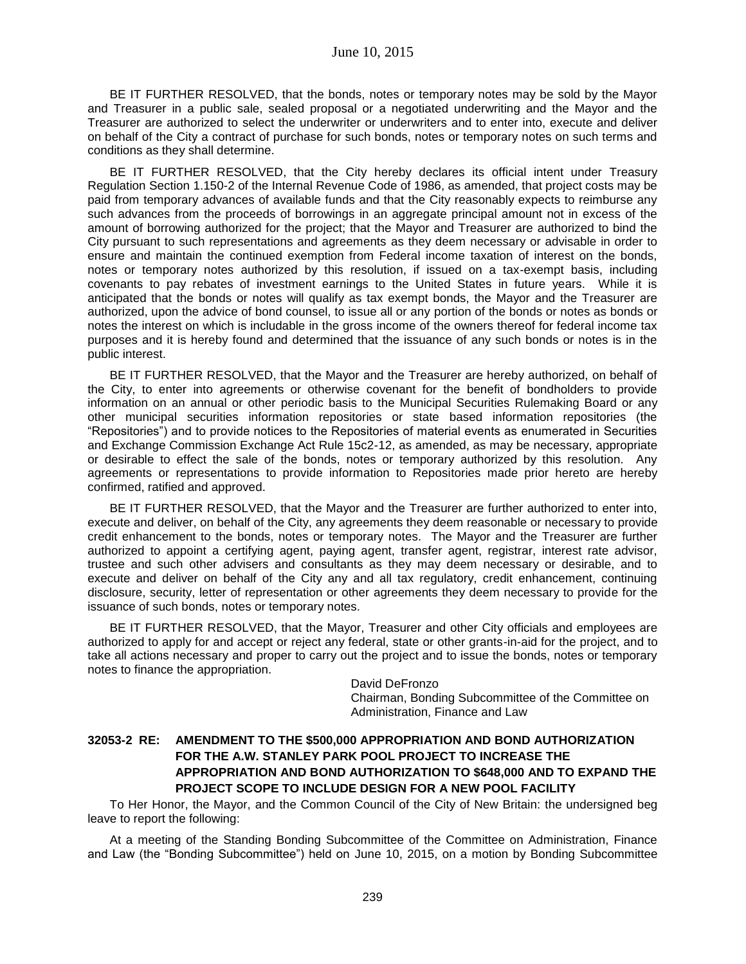BE IT FURTHER RESOLVED, that the bonds, notes or temporary notes may be sold by the Mayor and Treasurer in a public sale, sealed proposal or a negotiated underwriting and the Mayor and the Treasurer are authorized to select the underwriter or underwriters and to enter into, execute and deliver on behalf of the City a contract of purchase for such bonds, notes or temporary notes on such terms and conditions as they shall determine.

BE IT FURTHER RESOLVED, that the City hereby declares its official intent under Treasury Regulation Section 1.150-2 of the Internal Revenue Code of 1986, as amended, that project costs may be paid from temporary advances of available funds and that the City reasonably expects to reimburse any such advances from the proceeds of borrowings in an aggregate principal amount not in excess of the amount of borrowing authorized for the project; that the Mayor and Treasurer are authorized to bind the City pursuant to such representations and agreements as they deem necessary or advisable in order to ensure and maintain the continued exemption from Federal income taxation of interest on the bonds, notes or temporary notes authorized by this resolution, if issued on a tax-exempt basis, including covenants to pay rebates of investment earnings to the United States in future years. While it is anticipated that the bonds or notes will qualify as tax exempt bonds, the Mayor and the Treasurer are authorized, upon the advice of bond counsel, to issue all or any portion of the bonds or notes as bonds or notes the interest on which is includable in the gross income of the owners thereof for federal income tax purposes and it is hereby found and determined that the issuance of any such bonds or notes is in the public interest.

BE IT FURTHER RESOLVED, that the Mayor and the Treasurer are hereby authorized, on behalf of the City, to enter into agreements or otherwise covenant for the benefit of bondholders to provide information on an annual or other periodic basis to the Municipal Securities Rulemaking Board or any other municipal securities information repositories or state based information repositories (the "Repositories") and to provide notices to the Repositories of material events as enumerated in Securities and Exchange Commission Exchange Act Rule 15c2-12, as amended, as may be necessary, appropriate or desirable to effect the sale of the bonds, notes or temporary authorized by this resolution. Any agreements or representations to provide information to Repositories made prior hereto are hereby confirmed, ratified and approved.

BE IT FURTHER RESOLVED, that the Mayor and the Treasurer are further authorized to enter into, execute and deliver, on behalf of the City, any agreements they deem reasonable or necessary to provide credit enhancement to the bonds, notes or temporary notes. The Mayor and the Treasurer are further authorized to appoint a certifying agent, paying agent, transfer agent, registrar, interest rate advisor, trustee and such other advisers and consultants as they may deem necessary or desirable, and to execute and deliver on behalf of the City any and all tax regulatory, credit enhancement, continuing disclosure, security, letter of representation or other agreements they deem necessary to provide for the issuance of such bonds, notes or temporary notes.

BE IT FURTHER RESOLVED, that the Mayor, Treasurer and other City officials and employees are authorized to apply for and accept or reject any federal, state or other grants-in-aid for the project, and to take all actions necessary and proper to carry out the project and to issue the bonds, notes or temporary notes to finance the appropriation.

> David DeFronzo Chairman, Bonding Subcommittee of the Committee on Administration, Finance and Law

# **32053-2 RE: AMENDMENT TO THE \$500,000 APPROPRIATION AND BOND AUTHORIZATION FOR THE A.W. STANLEY PARK POOL PROJECT TO INCREASE THE APPROPRIATION AND BOND AUTHORIZATION TO \$648,000 AND TO EXPAND THE PROJECT SCOPE TO INCLUDE DESIGN FOR A NEW POOL FACILITY**

To Her Honor, the Mayor, and the Common Council of the City of New Britain: the undersigned beg leave to report the following:

At a meeting of the Standing Bonding Subcommittee of the Committee on Administration, Finance and Law (the "Bonding Subcommittee") held on June 10, 2015, on a motion by Bonding Subcommittee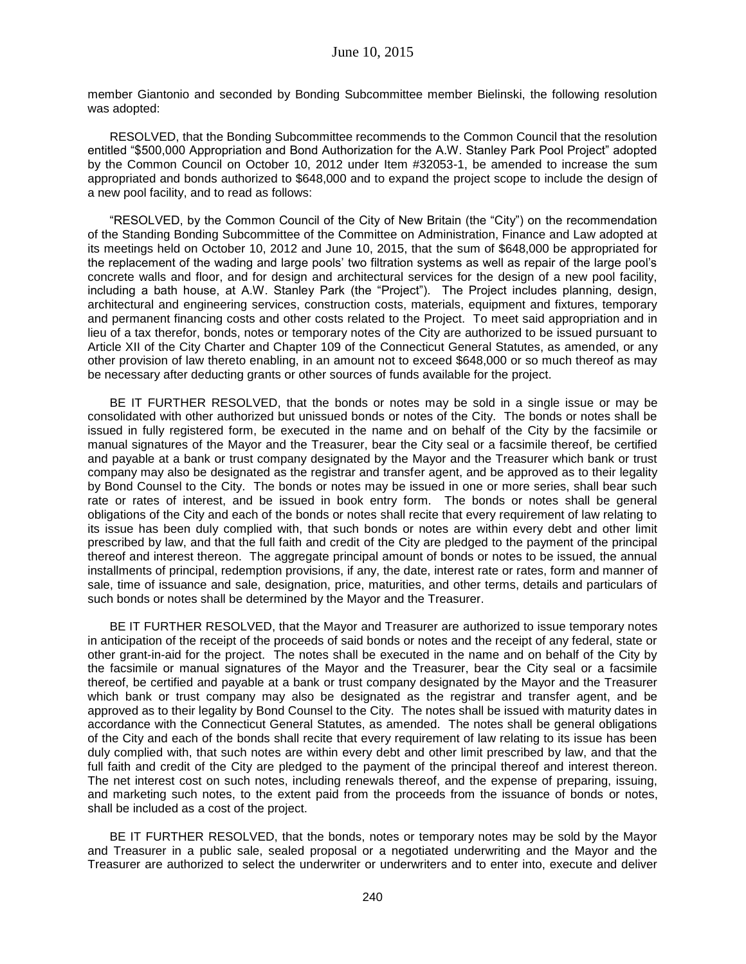member Giantonio and seconded by Bonding Subcommittee member Bielinski, the following resolution was adopted:

RESOLVED, that the Bonding Subcommittee recommends to the Common Council that the resolution entitled "\$500,000 Appropriation and Bond Authorization for the A.W. Stanley Park Pool Project" adopted by the Common Council on October 10, 2012 under Item #32053-1, be amended to increase the sum appropriated and bonds authorized to \$648,000 and to expand the project scope to include the design of a new pool facility, and to read as follows:

"RESOLVED, by the Common Council of the City of New Britain (the "City") on the recommendation of the Standing Bonding Subcommittee of the Committee on Administration, Finance and Law adopted at its meetings held on October 10, 2012 and June 10, 2015, that the sum of \$648,000 be appropriated for the replacement of the wading and large pools' two filtration systems as well as repair of the large pool's concrete walls and floor, and for design and architectural services for the design of a new pool facility, including a bath house, at A.W. Stanley Park (the "Project"). The Project includes planning, design, architectural and engineering services, construction costs, materials, equipment and fixtures, temporary and permanent financing costs and other costs related to the Project. To meet said appropriation and in lieu of a tax therefor, bonds, notes or temporary notes of the City are authorized to be issued pursuant to Article XII of the City Charter and Chapter 109 of the Connecticut General Statutes, as amended, or any other provision of law thereto enabling, in an amount not to exceed \$648,000 or so much thereof as may be necessary after deducting grants or other sources of funds available for the project.

BE IT FURTHER RESOLVED, that the bonds or notes may be sold in a single issue or may be consolidated with other authorized but unissued bonds or notes of the City. The bonds or notes shall be issued in fully registered form, be executed in the name and on behalf of the City by the facsimile or manual signatures of the Mayor and the Treasurer, bear the City seal or a facsimile thereof, be certified and payable at a bank or trust company designated by the Mayor and the Treasurer which bank or trust company may also be designated as the registrar and transfer agent, and be approved as to their legality by Bond Counsel to the City. The bonds or notes may be issued in one or more series, shall bear such rate or rates of interest, and be issued in book entry form. The bonds or notes shall be general obligations of the City and each of the bonds or notes shall recite that every requirement of law relating to its issue has been duly complied with, that such bonds or notes are within every debt and other limit prescribed by law, and that the full faith and credit of the City are pledged to the payment of the principal thereof and interest thereon. The aggregate principal amount of bonds or notes to be issued, the annual installments of principal, redemption provisions, if any, the date, interest rate or rates, form and manner of sale, time of issuance and sale, designation, price, maturities, and other terms, details and particulars of such bonds or notes shall be determined by the Mayor and the Treasurer.

BE IT FURTHER RESOLVED, that the Mayor and Treasurer are authorized to issue temporary notes in anticipation of the receipt of the proceeds of said bonds or notes and the receipt of any federal, state or other grant-in-aid for the project. The notes shall be executed in the name and on behalf of the City by the facsimile or manual signatures of the Mayor and the Treasurer, bear the City seal or a facsimile thereof, be certified and payable at a bank or trust company designated by the Mayor and the Treasurer which bank or trust company may also be designated as the registrar and transfer agent, and be approved as to their legality by Bond Counsel to the City. The notes shall be issued with maturity dates in accordance with the Connecticut General Statutes, as amended. The notes shall be general obligations of the City and each of the bonds shall recite that every requirement of law relating to its issue has been duly complied with, that such notes are within every debt and other limit prescribed by law, and that the full faith and credit of the City are pledged to the payment of the principal thereof and interest thereon. The net interest cost on such notes, including renewals thereof, and the expense of preparing, issuing, and marketing such notes, to the extent paid from the proceeds from the issuance of bonds or notes, shall be included as a cost of the project.

BE IT FURTHER RESOLVED, that the bonds, notes or temporary notes may be sold by the Mayor and Treasurer in a public sale, sealed proposal or a negotiated underwriting and the Mayor and the Treasurer are authorized to select the underwriter or underwriters and to enter into, execute and deliver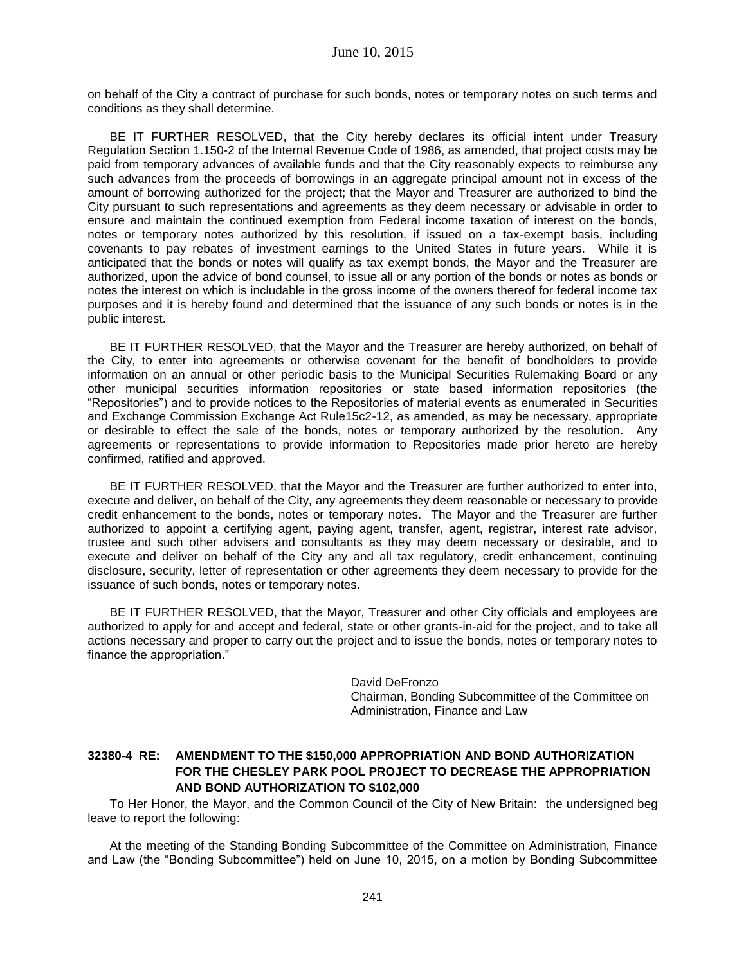on behalf of the City a contract of purchase for such bonds, notes or temporary notes on such terms and conditions as they shall determine.

BE IT FURTHER RESOLVED, that the City hereby declares its official intent under Treasury Regulation Section 1.150-2 of the Internal Revenue Code of 1986, as amended, that project costs may be paid from temporary advances of available funds and that the City reasonably expects to reimburse any such advances from the proceeds of borrowings in an aggregate principal amount not in excess of the amount of borrowing authorized for the project; that the Mayor and Treasurer are authorized to bind the City pursuant to such representations and agreements as they deem necessary or advisable in order to ensure and maintain the continued exemption from Federal income taxation of interest on the bonds, notes or temporary notes authorized by this resolution, if issued on a tax-exempt basis, including covenants to pay rebates of investment earnings to the United States in future years. While it is anticipated that the bonds or notes will qualify as tax exempt bonds, the Mayor and the Treasurer are authorized, upon the advice of bond counsel, to issue all or any portion of the bonds or notes as bonds or notes the interest on which is includable in the gross income of the owners thereof for federal income tax purposes and it is hereby found and determined that the issuance of any such bonds or notes is in the public interest.

BE IT FURTHER RESOLVED, that the Mayor and the Treasurer are hereby authorized, on behalf of the City, to enter into agreements or otherwise covenant for the benefit of bondholders to provide information on an annual or other periodic basis to the Municipal Securities Rulemaking Board or any other municipal securities information repositories or state based information repositories (the "Repositories") and to provide notices to the Repositories of material events as enumerated in Securities and Exchange Commission Exchange Act Rule15c2-12, as amended, as may be necessary, appropriate or desirable to effect the sale of the bonds, notes or temporary authorized by the resolution. Any agreements or representations to provide information to Repositories made prior hereto are hereby confirmed, ratified and approved.

BE IT FURTHER RESOLVED, that the Mayor and the Treasurer are further authorized to enter into, execute and deliver, on behalf of the City, any agreements they deem reasonable or necessary to provide credit enhancement to the bonds, notes or temporary notes. The Mayor and the Treasurer are further authorized to appoint a certifying agent, paying agent, transfer, agent, registrar, interest rate advisor, trustee and such other advisers and consultants as they may deem necessary or desirable, and to execute and deliver on behalf of the City any and all tax regulatory, credit enhancement, continuing disclosure, security, letter of representation or other agreements they deem necessary to provide for the issuance of such bonds, notes or temporary notes.

BE IT FURTHER RESOLVED, that the Mayor, Treasurer and other City officials and employees are authorized to apply for and accept and federal, state or other grants-in-aid for the project, and to take all actions necessary and proper to carry out the project and to issue the bonds, notes or temporary notes to finance the appropriation."

> David DeFronzo Chairman, Bonding Subcommittee of the Committee on Administration, Finance and Law

# **32380-4 RE: AMENDMENT TO THE \$150,000 APPROPRIATION AND BOND AUTHORIZATION FOR THE CHESLEY PARK POOL PROJECT TO DECREASE THE APPROPRIATION AND BOND AUTHORIZATION TO \$102,000**

To Her Honor, the Mayor, and the Common Council of the City of New Britain: the undersigned beg leave to report the following:

At the meeting of the Standing Bonding Subcommittee of the Committee on Administration, Finance and Law (the "Bonding Subcommittee") held on June 10, 2015, on a motion by Bonding Subcommittee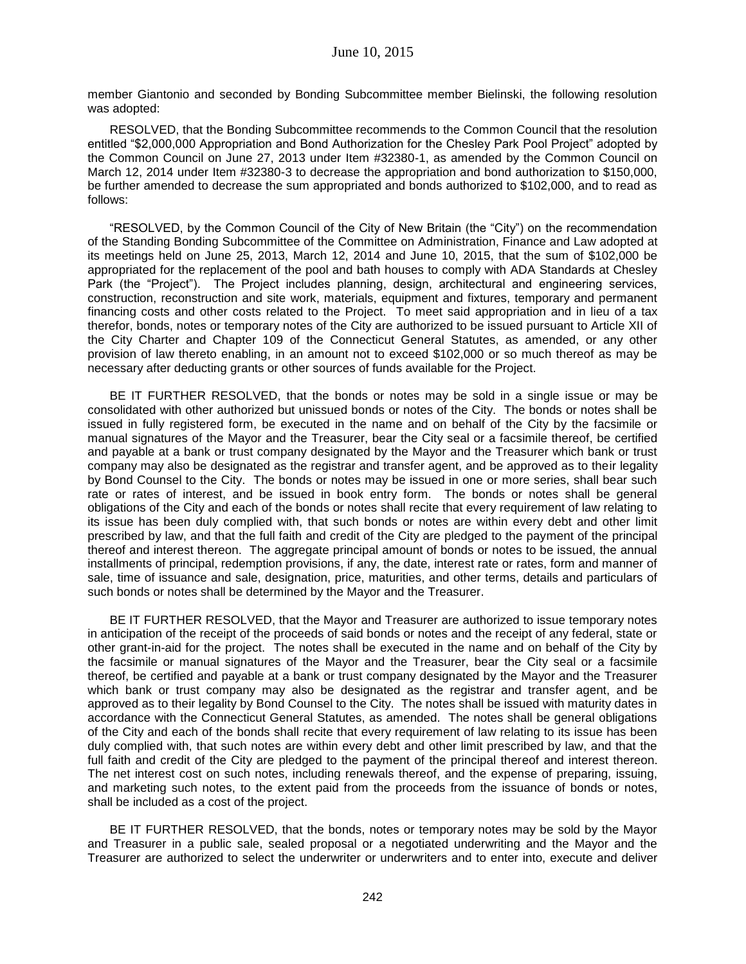member Giantonio and seconded by Bonding Subcommittee member Bielinski, the following resolution was adopted:

RESOLVED, that the Bonding Subcommittee recommends to the Common Council that the resolution entitled "\$2,000,000 Appropriation and Bond Authorization for the Chesley Park Pool Project" adopted by the Common Council on June 27, 2013 under Item #32380-1, as amended by the Common Council on March 12, 2014 under Item #32380-3 to decrease the appropriation and bond authorization to \$150,000, be further amended to decrease the sum appropriated and bonds authorized to \$102,000, and to read as follows:

"RESOLVED, by the Common Council of the City of New Britain (the "City") on the recommendation of the Standing Bonding Subcommittee of the Committee on Administration, Finance and Law adopted at its meetings held on June 25, 2013, March 12, 2014 and June 10, 2015, that the sum of \$102,000 be appropriated for the replacement of the pool and bath houses to comply with ADA Standards at Chesley Park (the "Project"). The Project includes planning, design, architectural and engineering services, construction, reconstruction and site work, materials, equipment and fixtures, temporary and permanent financing costs and other costs related to the Project. To meet said appropriation and in lieu of a tax therefor, bonds, notes or temporary notes of the City are authorized to be issued pursuant to Article XII of the City Charter and Chapter 109 of the Connecticut General Statutes, as amended, or any other provision of law thereto enabling, in an amount not to exceed \$102,000 or so much thereof as may be necessary after deducting grants or other sources of funds available for the Project.

BE IT FURTHER RESOLVED, that the bonds or notes may be sold in a single issue or may be consolidated with other authorized but unissued bonds or notes of the City. The bonds or notes shall be issued in fully registered form, be executed in the name and on behalf of the City by the facsimile or manual signatures of the Mayor and the Treasurer, bear the City seal or a facsimile thereof, be certified and payable at a bank or trust company designated by the Mayor and the Treasurer which bank or trust company may also be designated as the registrar and transfer agent, and be approved as to their legality by Bond Counsel to the City. The bonds or notes may be issued in one or more series, shall bear such rate or rates of interest, and be issued in book entry form. The bonds or notes shall be general obligations of the City and each of the bonds or notes shall recite that every requirement of law relating to its issue has been duly complied with, that such bonds or notes are within every debt and other limit prescribed by law, and that the full faith and credit of the City are pledged to the payment of the principal thereof and interest thereon. The aggregate principal amount of bonds or notes to be issued, the annual installments of principal, redemption provisions, if any, the date, interest rate or rates, form and manner of sale, time of issuance and sale, designation, price, maturities, and other terms, details and particulars of such bonds or notes shall be determined by the Mayor and the Treasurer.

BE IT FURTHER RESOLVED, that the Mayor and Treasurer are authorized to issue temporary notes in anticipation of the receipt of the proceeds of said bonds or notes and the receipt of any federal, state or other grant-in-aid for the project. The notes shall be executed in the name and on behalf of the City by the facsimile or manual signatures of the Mayor and the Treasurer, bear the City seal or a facsimile thereof, be certified and payable at a bank or trust company designated by the Mayor and the Treasurer which bank or trust company may also be designated as the registrar and transfer agent, and be approved as to their legality by Bond Counsel to the City. The notes shall be issued with maturity dates in accordance with the Connecticut General Statutes, as amended. The notes shall be general obligations of the City and each of the bonds shall recite that every requirement of law relating to its issue has been duly complied with, that such notes are within every debt and other limit prescribed by law, and that the full faith and credit of the City are pledged to the payment of the principal thereof and interest thereon. The net interest cost on such notes, including renewals thereof, and the expense of preparing, issuing, and marketing such notes, to the extent paid from the proceeds from the issuance of bonds or notes, shall be included as a cost of the project.

BE IT FURTHER RESOLVED, that the bonds, notes or temporary notes may be sold by the Mayor and Treasurer in a public sale, sealed proposal or a negotiated underwriting and the Mayor and the Treasurer are authorized to select the underwriter or underwriters and to enter into, execute and deliver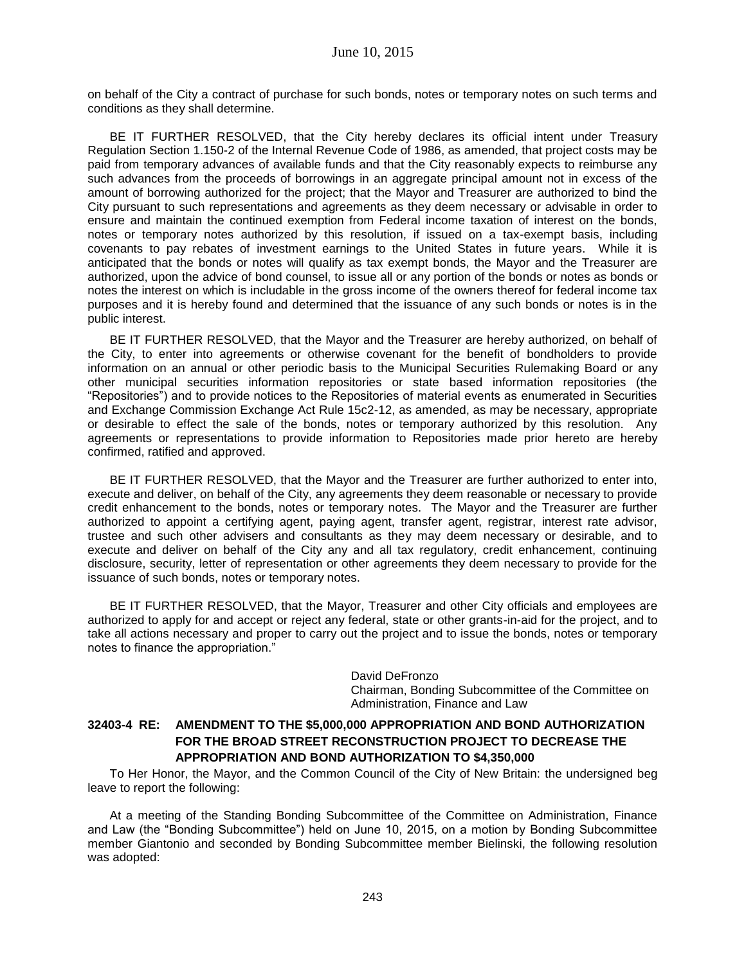on behalf of the City a contract of purchase for such bonds, notes or temporary notes on such terms and conditions as they shall determine.

BE IT FURTHER RESOLVED, that the City hereby declares its official intent under Treasury Regulation Section 1.150-2 of the Internal Revenue Code of 1986, as amended, that project costs may be paid from temporary advances of available funds and that the City reasonably expects to reimburse any such advances from the proceeds of borrowings in an aggregate principal amount not in excess of the amount of borrowing authorized for the project; that the Mayor and Treasurer are authorized to bind the City pursuant to such representations and agreements as they deem necessary or advisable in order to ensure and maintain the continued exemption from Federal income taxation of interest on the bonds, notes or temporary notes authorized by this resolution, if issued on a tax-exempt basis, including covenants to pay rebates of investment earnings to the United States in future years. While it is anticipated that the bonds or notes will qualify as tax exempt bonds, the Mayor and the Treasurer are authorized, upon the advice of bond counsel, to issue all or any portion of the bonds or notes as bonds or notes the interest on which is includable in the gross income of the owners thereof for federal income tax purposes and it is hereby found and determined that the issuance of any such bonds or notes is in the public interest.

BE IT FURTHER RESOLVED, that the Mayor and the Treasurer are hereby authorized, on behalf of the City, to enter into agreements or otherwise covenant for the benefit of bondholders to provide information on an annual or other periodic basis to the Municipal Securities Rulemaking Board or any other municipal securities information repositories or state based information repositories (the "Repositories") and to provide notices to the Repositories of material events as enumerated in Securities and Exchange Commission Exchange Act Rule 15c2-12, as amended, as may be necessary, appropriate or desirable to effect the sale of the bonds, notes or temporary authorized by this resolution. Any agreements or representations to provide information to Repositories made prior hereto are hereby confirmed, ratified and approved.

BE IT FURTHER RESOLVED, that the Mayor and the Treasurer are further authorized to enter into, execute and deliver, on behalf of the City, any agreements they deem reasonable or necessary to provide credit enhancement to the bonds, notes or temporary notes. The Mayor and the Treasurer are further authorized to appoint a certifying agent, paying agent, transfer agent, registrar, interest rate advisor, trustee and such other advisers and consultants as they may deem necessary or desirable, and to execute and deliver on behalf of the City any and all tax regulatory, credit enhancement, continuing disclosure, security, letter of representation or other agreements they deem necessary to provide for the issuance of such bonds, notes or temporary notes.

BE IT FURTHER RESOLVED, that the Mayor, Treasurer and other City officials and employees are authorized to apply for and accept or reject any federal, state or other grants-in-aid for the project, and to take all actions necessary and proper to carry out the project and to issue the bonds, notes or temporary notes to finance the appropriation."

> David DeFronzo Chairman, Bonding Subcommittee of the Committee on Administration, Finance and Law

## **32403-4 RE: AMENDMENT TO THE \$5,000,000 APPROPRIATION AND BOND AUTHORIZATION FOR THE BROAD STREET RECONSTRUCTION PROJECT TO DECREASE THE APPROPRIATION AND BOND AUTHORIZATION TO \$4,350,000**

To Her Honor, the Mayor, and the Common Council of the City of New Britain: the undersigned beg leave to report the following:

At a meeting of the Standing Bonding Subcommittee of the Committee on Administration, Finance and Law (the "Bonding Subcommittee") held on June 10, 2015, on a motion by Bonding Subcommittee member Giantonio and seconded by Bonding Subcommittee member Bielinski, the following resolution was adopted: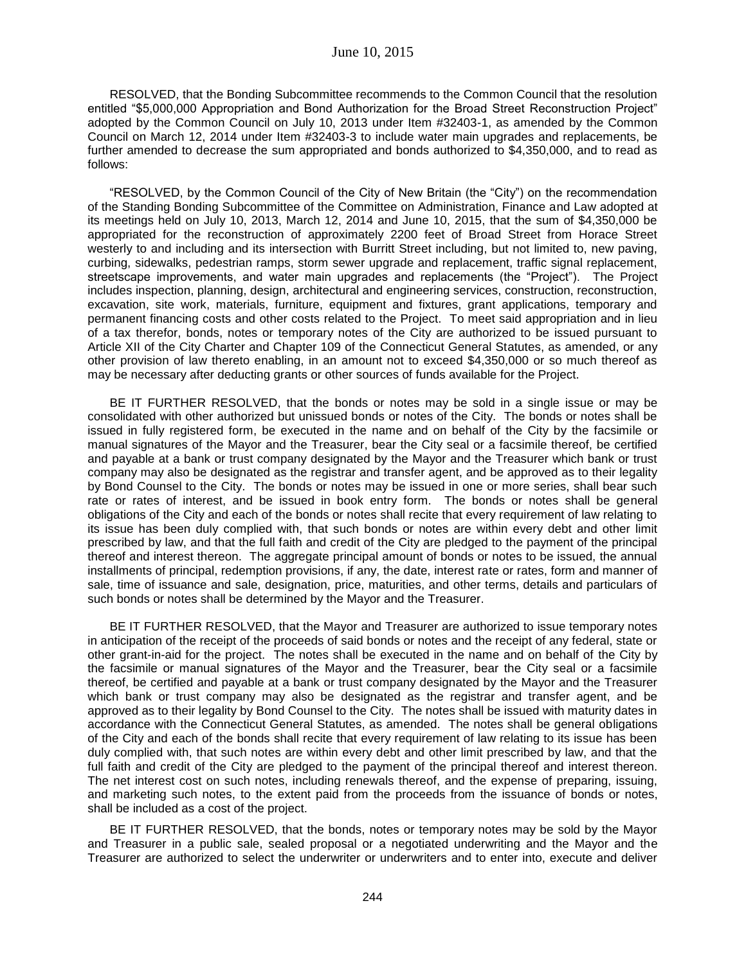RESOLVED, that the Bonding Subcommittee recommends to the Common Council that the resolution entitled "\$5,000,000 Appropriation and Bond Authorization for the Broad Street Reconstruction Project" adopted by the Common Council on July 10, 2013 under Item #32403-1, as amended by the Common Council on March 12, 2014 under Item #32403-3 to include water main upgrades and replacements, be further amended to decrease the sum appropriated and bonds authorized to \$4,350,000, and to read as follows:

"RESOLVED, by the Common Council of the City of New Britain (the "City") on the recommendation of the Standing Bonding Subcommittee of the Committee on Administration, Finance and Law adopted at its meetings held on July 10, 2013, March 12, 2014 and June 10, 2015, that the sum of \$4,350,000 be appropriated for the reconstruction of approximately 2200 feet of Broad Street from Horace Street westerly to and including and its intersection with Burritt Street including, but not limited to, new paving, curbing, sidewalks, pedestrian ramps, storm sewer upgrade and replacement, traffic signal replacement, streetscape improvements, and water main upgrades and replacements (the "Project"). The Project includes inspection, planning, design, architectural and engineering services, construction, reconstruction, excavation, site work, materials, furniture, equipment and fixtures, grant applications, temporary and permanent financing costs and other costs related to the Project. To meet said appropriation and in lieu of a tax therefor, bonds, notes or temporary notes of the City are authorized to be issued pursuant to Article XII of the City Charter and Chapter 109 of the Connecticut General Statutes, as amended, or any other provision of law thereto enabling, in an amount not to exceed \$4,350,000 or so much thereof as may be necessary after deducting grants or other sources of funds available for the Project.

BE IT FURTHER RESOLVED, that the bonds or notes may be sold in a single issue or may be consolidated with other authorized but unissued bonds or notes of the City. The bonds or notes shall be issued in fully registered form, be executed in the name and on behalf of the City by the facsimile or manual signatures of the Mayor and the Treasurer, bear the City seal or a facsimile thereof, be certified and payable at a bank or trust company designated by the Mayor and the Treasurer which bank or trust company may also be designated as the registrar and transfer agent, and be approved as to their legality by Bond Counsel to the City. The bonds or notes may be issued in one or more series, shall bear such rate or rates of interest, and be issued in book entry form. The bonds or notes shall be general obligations of the City and each of the bonds or notes shall recite that every requirement of law relating to its issue has been duly complied with, that such bonds or notes are within every debt and other limit prescribed by law, and that the full faith and credit of the City are pledged to the payment of the principal thereof and interest thereon. The aggregate principal amount of bonds or notes to be issued, the annual installments of principal, redemption provisions, if any, the date, interest rate or rates, form and manner of sale, time of issuance and sale, designation, price, maturities, and other terms, details and particulars of such bonds or notes shall be determined by the Mayor and the Treasurer.

BE IT FURTHER RESOLVED, that the Mayor and Treasurer are authorized to issue temporary notes in anticipation of the receipt of the proceeds of said bonds or notes and the receipt of any federal, state or other grant-in-aid for the project. The notes shall be executed in the name and on behalf of the City by the facsimile or manual signatures of the Mayor and the Treasurer, bear the City seal or a facsimile thereof, be certified and payable at a bank or trust company designated by the Mayor and the Treasurer which bank or trust company may also be designated as the registrar and transfer agent, and be approved as to their legality by Bond Counsel to the City. The notes shall be issued with maturity dates in accordance with the Connecticut General Statutes, as amended. The notes shall be general obligations of the City and each of the bonds shall recite that every requirement of law relating to its issue has been duly complied with, that such notes are within every debt and other limit prescribed by law, and that the full faith and credit of the City are pledged to the payment of the principal thereof and interest thereon. The net interest cost on such notes, including renewals thereof, and the expense of preparing, issuing, and marketing such notes, to the extent paid from the proceeds from the issuance of bonds or notes, shall be included as a cost of the project.

BE IT FURTHER RESOLVED, that the bonds, notes or temporary notes may be sold by the Mayor and Treasurer in a public sale, sealed proposal or a negotiated underwriting and the Mayor and the Treasurer are authorized to select the underwriter or underwriters and to enter into, execute and deliver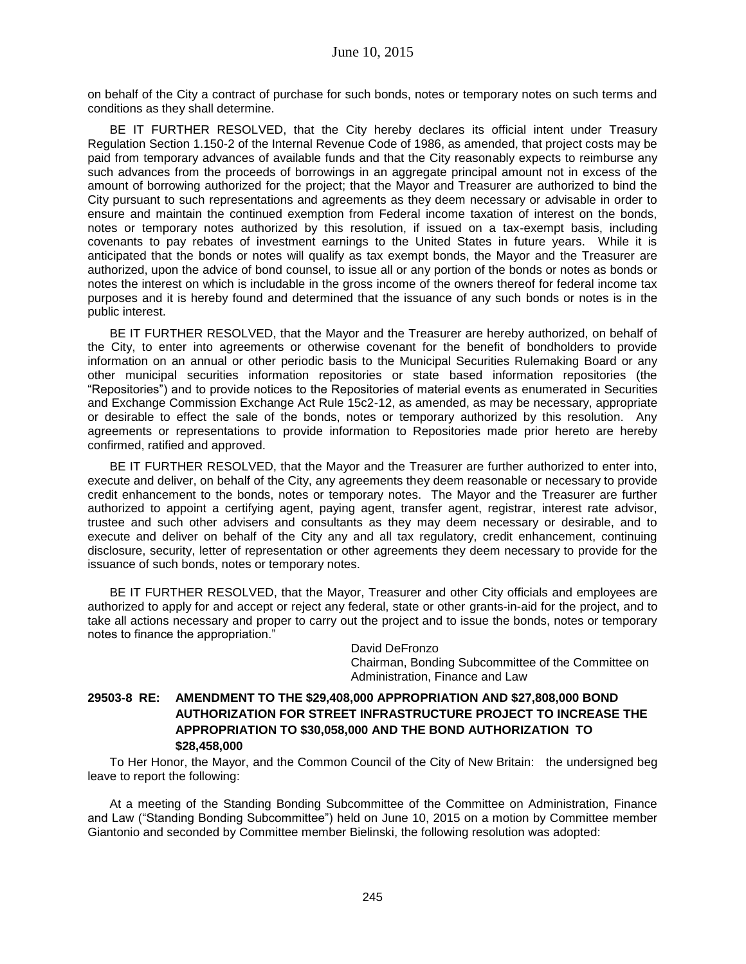on behalf of the City a contract of purchase for such bonds, notes or temporary notes on such terms and conditions as they shall determine.

BE IT FURTHER RESOLVED, that the City hereby declares its official intent under Treasury Regulation Section 1.150-2 of the Internal Revenue Code of 1986, as amended, that project costs may be paid from temporary advances of available funds and that the City reasonably expects to reimburse any such advances from the proceeds of borrowings in an aggregate principal amount not in excess of the amount of borrowing authorized for the project; that the Mayor and Treasurer are authorized to bind the City pursuant to such representations and agreements as they deem necessary or advisable in order to ensure and maintain the continued exemption from Federal income taxation of interest on the bonds, notes or temporary notes authorized by this resolution, if issued on a tax-exempt basis, including covenants to pay rebates of investment earnings to the United States in future years. While it is anticipated that the bonds or notes will qualify as tax exempt bonds, the Mayor and the Treasurer are authorized, upon the advice of bond counsel, to issue all or any portion of the bonds or notes as bonds or notes the interest on which is includable in the gross income of the owners thereof for federal income tax purposes and it is hereby found and determined that the issuance of any such bonds or notes is in the public interest.

BE IT FURTHER RESOLVED, that the Mayor and the Treasurer are hereby authorized, on behalf of the City, to enter into agreements or otherwise covenant for the benefit of bondholders to provide information on an annual or other periodic basis to the Municipal Securities Rulemaking Board or any other municipal securities information repositories or state based information repositories (the "Repositories") and to provide notices to the Repositories of material events as enumerated in Securities and Exchange Commission Exchange Act Rule 15c2-12, as amended, as may be necessary, appropriate or desirable to effect the sale of the bonds, notes or temporary authorized by this resolution. Any agreements or representations to provide information to Repositories made prior hereto are hereby confirmed, ratified and approved.

BE IT FURTHER RESOLVED, that the Mayor and the Treasurer are further authorized to enter into, execute and deliver, on behalf of the City, any agreements they deem reasonable or necessary to provide credit enhancement to the bonds, notes or temporary notes. The Mayor and the Treasurer are further authorized to appoint a certifying agent, paying agent, transfer agent, registrar, interest rate advisor, trustee and such other advisers and consultants as they may deem necessary or desirable, and to execute and deliver on behalf of the City any and all tax regulatory, credit enhancement, continuing disclosure, security, letter of representation or other agreements they deem necessary to provide for the issuance of such bonds, notes or temporary notes.

BE IT FURTHER RESOLVED, that the Mayor, Treasurer and other City officials and employees are authorized to apply for and accept or reject any federal, state or other grants-in-aid for the project, and to take all actions necessary and proper to carry out the project and to issue the bonds, notes or temporary notes to finance the appropriation."

David DeFronzo Chairman, Bonding Subcommittee of the Committee on Administration, Finance and Law

### **29503-8 RE: AMENDMENT TO THE \$29,408,000 APPROPRIATION AND \$27,808,000 BOND AUTHORIZATION FOR STREET INFRASTRUCTURE PROJECT TO INCREASE THE APPROPRIATION TO \$30,058,000 AND THE BOND AUTHORIZATION TO \$28,458,000**

To Her Honor, the Mayor, and the Common Council of the City of New Britain: the undersigned beg leave to report the following:

At a meeting of the Standing Bonding Subcommittee of the Committee on Administration, Finance and Law ("Standing Bonding Subcommittee") held on June 10, 2015 on a motion by Committee member Giantonio and seconded by Committee member Bielinski, the following resolution was adopted: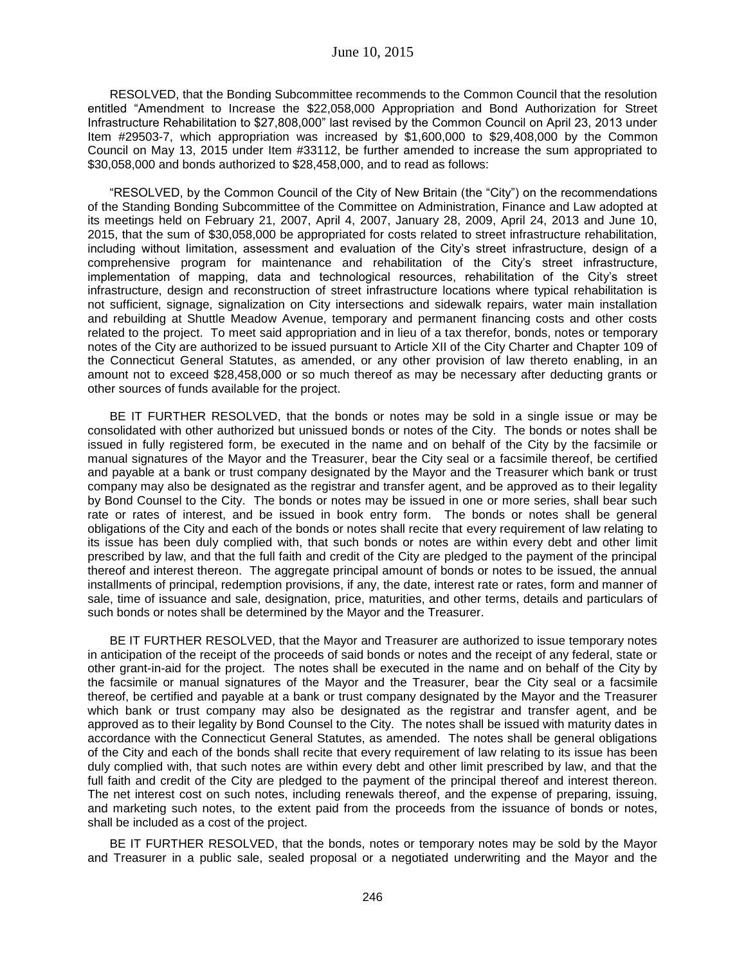RESOLVED, that the Bonding Subcommittee recommends to the Common Council that the resolution entitled "Amendment to Increase the \$22,058,000 Appropriation and Bond Authorization for Street Infrastructure Rehabilitation to \$27,808,000" last revised by the Common Council on April 23, 2013 under Item #29503-7, which appropriation was increased by \$1,600,000 to \$29,408,000 by the Common Council on May 13, 2015 under Item #33112, be further amended to increase the sum appropriated to \$30,058,000 and bonds authorized to \$28,458,000, and to read as follows:

"RESOLVED, by the Common Council of the City of New Britain (the "City") on the recommendations of the Standing Bonding Subcommittee of the Committee on Administration, Finance and Law adopted at its meetings held on February 21, 2007, April 4, 2007, January 28, 2009, April 24, 2013 and June 10, 2015, that the sum of \$30,058,000 be appropriated for costs related to street infrastructure rehabilitation, including without limitation, assessment and evaluation of the City's street infrastructure, design of a comprehensive program for maintenance and rehabilitation of the City's street infrastructure, implementation of mapping, data and technological resources, rehabilitation of the City's street infrastructure, design and reconstruction of street infrastructure locations where typical rehabilitation is not sufficient, signage, signalization on City intersections and sidewalk repairs, water main installation and rebuilding at Shuttle Meadow Avenue, temporary and permanent financing costs and other costs related to the project. To meet said appropriation and in lieu of a tax therefor, bonds, notes or temporary notes of the City are authorized to be issued pursuant to Article XII of the City Charter and Chapter 109 of the Connecticut General Statutes, as amended, or any other provision of law thereto enabling, in an amount not to exceed \$28,458,000 or so much thereof as may be necessary after deducting grants or other sources of funds available for the project.

BE IT FURTHER RESOLVED, that the bonds or notes may be sold in a single issue or may be consolidated with other authorized but unissued bonds or notes of the City. The bonds or notes shall be issued in fully registered form, be executed in the name and on behalf of the City by the facsimile or manual signatures of the Mayor and the Treasurer, bear the City seal or a facsimile thereof, be certified and payable at a bank or trust company designated by the Mayor and the Treasurer which bank or trust company may also be designated as the registrar and transfer agent, and be approved as to their legality by Bond Counsel to the City. The bonds or notes may be issued in one or more series, shall bear such rate or rates of interest, and be issued in book entry form. The bonds or notes shall be general obligations of the City and each of the bonds or notes shall recite that every requirement of law relating to its issue has been duly complied with, that such bonds or notes are within every debt and other limit prescribed by law, and that the full faith and credit of the City are pledged to the payment of the principal thereof and interest thereon. The aggregate principal amount of bonds or notes to be issued, the annual installments of principal, redemption provisions, if any, the date, interest rate or rates, form and manner of sale, time of issuance and sale, designation, price, maturities, and other terms, details and particulars of such bonds or notes shall be determined by the Mayor and the Treasurer.

BE IT FURTHER RESOLVED, that the Mayor and Treasurer are authorized to issue temporary notes in anticipation of the receipt of the proceeds of said bonds or notes and the receipt of any federal, state or other grant-in-aid for the project. The notes shall be executed in the name and on behalf of the City by the facsimile or manual signatures of the Mayor and the Treasurer, bear the City seal or a facsimile thereof, be certified and payable at a bank or trust company designated by the Mayor and the Treasurer which bank or trust company may also be designated as the registrar and transfer agent, and be approved as to their legality by Bond Counsel to the City. The notes shall be issued with maturity dates in accordance with the Connecticut General Statutes, as amended. The notes shall be general obligations of the City and each of the bonds shall recite that every requirement of law relating to its issue has been duly complied with, that such notes are within every debt and other limit prescribed by law, and that the full faith and credit of the City are pledged to the payment of the principal thereof and interest thereon. The net interest cost on such notes, including renewals thereof, and the expense of preparing, issuing, and marketing such notes, to the extent paid from the proceeds from the issuance of bonds or notes, shall be included as a cost of the project.

BE IT FURTHER RESOLVED, that the bonds, notes or temporary notes may be sold by the Mayor and Treasurer in a public sale, sealed proposal or a negotiated underwriting and the Mayor and the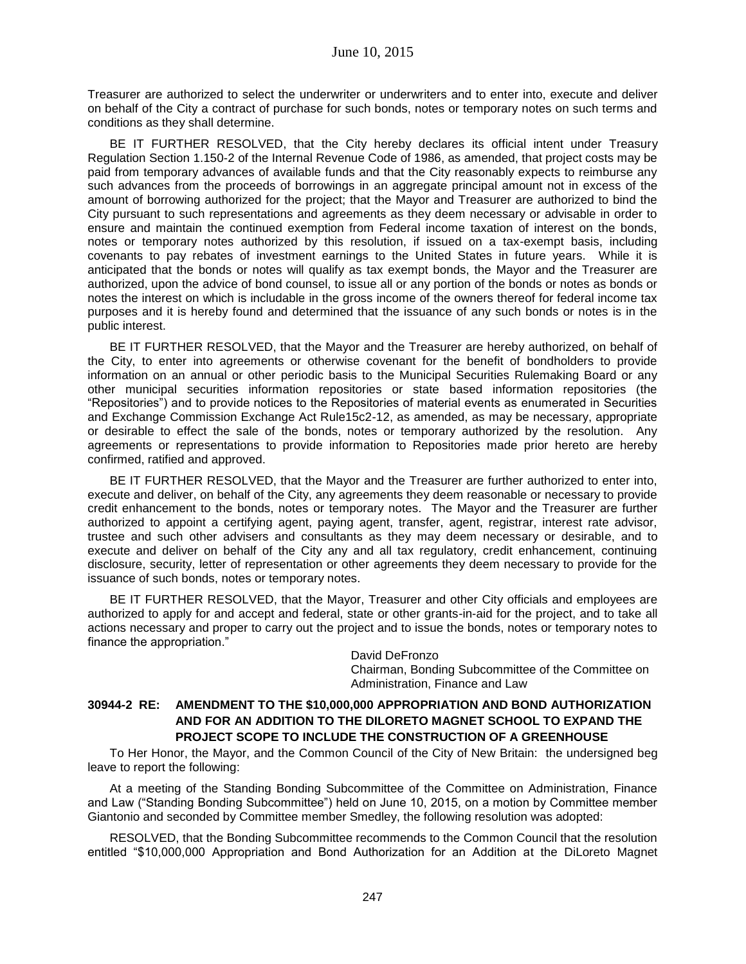Treasurer are authorized to select the underwriter or underwriters and to enter into, execute and deliver on behalf of the City a contract of purchase for such bonds, notes or temporary notes on such terms and conditions as they shall determine.

BE IT FURTHER RESOLVED, that the City hereby declares its official intent under Treasury Regulation Section 1.150-2 of the Internal Revenue Code of 1986, as amended, that project costs may be paid from temporary advances of available funds and that the City reasonably expects to reimburse any such advances from the proceeds of borrowings in an aggregate principal amount not in excess of the amount of borrowing authorized for the project; that the Mayor and Treasurer are authorized to bind the City pursuant to such representations and agreements as they deem necessary or advisable in order to ensure and maintain the continued exemption from Federal income taxation of interest on the bonds, notes or temporary notes authorized by this resolution, if issued on a tax-exempt basis, including covenants to pay rebates of investment earnings to the United States in future years. While it is anticipated that the bonds or notes will qualify as tax exempt bonds, the Mayor and the Treasurer are authorized, upon the advice of bond counsel, to issue all or any portion of the bonds or notes as bonds or notes the interest on which is includable in the gross income of the owners thereof for federal income tax purposes and it is hereby found and determined that the issuance of any such bonds or notes is in the public interest.

BE IT FURTHER RESOLVED, that the Mayor and the Treasurer are hereby authorized, on behalf of the City, to enter into agreements or otherwise covenant for the benefit of bondholders to provide information on an annual or other periodic basis to the Municipal Securities Rulemaking Board or any other municipal securities information repositories or state based information repositories (the "Repositories") and to provide notices to the Repositories of material events as enumerated in Securities and Exchange Commission Exchange Act Rule15c2-12, as amended, as may be necessary, appropriate or desirable to effect the sale of the bonds, notes or temporary authorized by the resolution. Any agreements or representations to provide information to Repositories made prior hereto are hereby confirmed, ratified and approved.

BE IT FURTHER RESOLVED, that the Mayor and the Treasurer are further authorized to enter into, execute and deliver, on behalf of the City, any agreements they deem reasonable or necessary to provide credit enhancement to the bonds, notes or temporary notes. The Mayor and the Treasurer are further authorized to appoint a certifying agent, paying agent, transfer, agent, registrar, interest rate advisor, trustee and such other advisers and consultants as they may deem necessary or desirable, and to execute and deliver on behalf of the City any and all tax regulatory, credit enhancement, continuing disclosure, security, letter of representation or other agreements they deem necessary to provide for the issuance of such bonds, notes or temporary notes.

BE IT FURTHER RESOLVED, that the Mayor, Treasurer and other City officials and employees are authorized to apply for and accept and federal, state or other grants-in-aid for the project, and to take all actions necessary and proper to carry out the project and to issue the bonds, notes or temporary notes to finance the appropriation."

> David DeFronzo Chairman, Bonding Subcommittee of the Committee on Administration, Finance and Law

## **30944-2 RE: AMENDMENT TO THE \$10,000,000 APPROPRIATION AND BOND AUTHORIZATION AND FOR AN ADDITION TO THE DILORETO MAGNET SCHOOL TO EXPAND THE PROJECT SCOPE TO INCLUDE THE CONSTRUCTION OF A GREENHOUSE**

To Her Honor, the Mayor, and the Common Council of the City of New Britain: the undersigned beg leave to report the following:

At a meeting of the Standing Bonding Subcommittee of the Committee on Administration, Finance and Law ("Standing Bonding Subcommittee") held on June 10, 2015, on a motion by Committee member Giantonio and seconded by Committee member Smedley, the following resolution was adopted:

RESOLVED, that the Bonding Subcommittee recommends to the Common Council that the resolution entitled "\$10,000,000 Appropriation and Bond Authorization for an Addition at the DiLoreto Magnet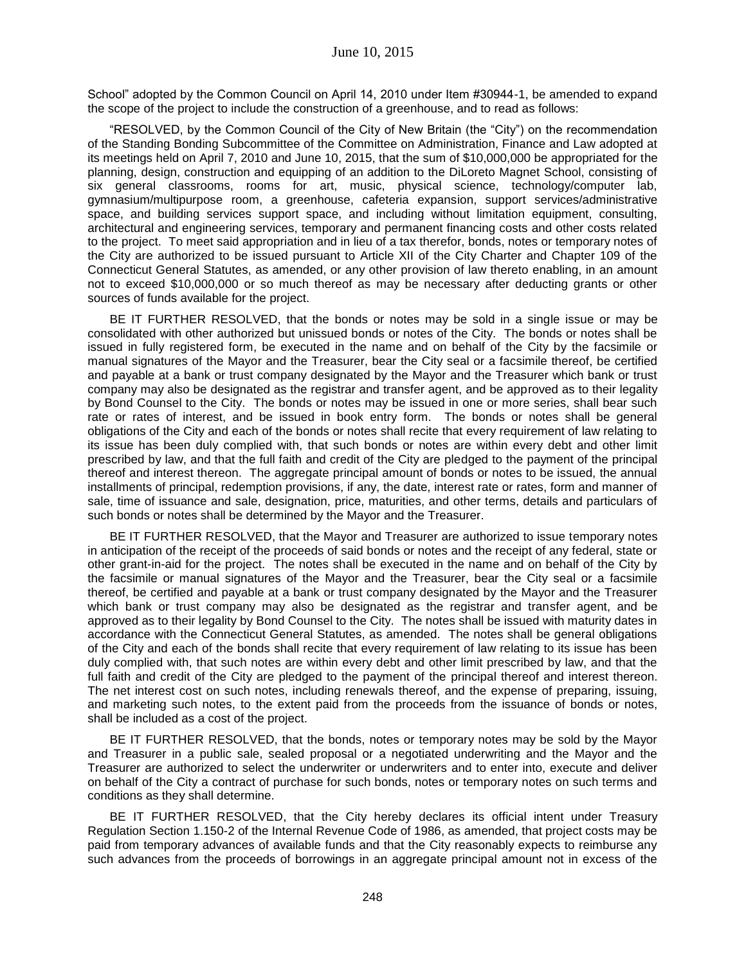School" adopted by the Common Council on April 14, 2010 under Item #30944-1, be amended to expand the scope of the project to include the construction of a greenhouse, and to read as follows:

"RESOLVED, by the Common Council of the City of New Britain (the "City") on the recommendation of the Standing Bonding Subcommittee of the Committee on Administration, Finance and Law adopted at its meetings held on April 7, 2010 and June 10, 2015, that the sum of \$10,000,000 be appropriated for the planning, design, construction and equipping of an addition to the DiLoreto Magnet School, consisting of six general classrooms, rooms for art, music, physical science, technology/computer lab, gymnasium/multipurpose room, a greenhouse, cafeteria expansion, support services/administrative space, and building services support space, and including without limitation equipment, consulting, architectural and engineering services, temporary and permanent financing costs and other costs related to the project. To meet said appropriation and in lieu of a tax therefor, bonds, notes or temporary notes of the City are authorized to be issued pursuant to Article XII of the City Charter and Chapter 109 of the Connecticut General Statutes, as amended, or any other provision of law thereto enabling, in an amount not to exceed \$10,000,000 or so much thereof as may be necessary after deducting grants or other sources of funds available for the project.

BE IT FURTHER RESOLVED, that the bonds or notes may be sold in a single issue or may be consolidated with other authorized but unissued bonds or notes of the City. The bonds or notes shall be issued in fully registered form, be executed in the name and on behalf of the City by the facsimile or manual signatures of the Mayor and the Treasurer, bear the City seal or a facsimile thereof, be certified and payable at a bank or trust company designated by the Mayor and the Treasurer which bank or trust company may also be designated as the registrar and transfer agent, and be approved as to their legality by Bond Counsel to the City. The bonds or notes may be issued in one or more series, shall bear such rate or rates of interest, and be issued in book entry form. The bonds or notes shall be general obligations of the City and each of the bonds or notes shall recite that every requirement of law relating to its issue has been duly complied with, that such bonds or notes are within every debt and other limit prescribed by law, and that the full faith and credit of the City are pledged to the payment of the principal thereof and interest thereon. The aggregate principal amount of bonds or notes to be issued, the annual installments of principal, redemption provisions, if any, the date, interest rate or rates, form and manner of sale, time of issuance and sale, designation, price, maturities, and other terms, details and particulars of such bonds or notes shall be determined by the Mayor and the Treasurer.

BE IT FURTHER RESOLVED, that the Mayor and Treasurer are authorized to issue temporary notes in anticipation of the receipt of the proceeds of said bonds or notes and the receipt of any federal, state or other grant-in-aid for the project. The notes shall be executed in the name and on behalf of the City by the facsimile or manual signatures of the Mayor and the Treasurer, bear the City seal or a facsimile thereof, be certified and payable at a bank or trust company designated by the Mayor and the Treasurer which bank or trust company may also be designated as the registrar and transfer agent, and be approved as to their legality by Bond Counsel to the City. The notes shall be issued with maturity dates in accordance with the Connecticut General Statutes, as amended. The notes shall be general obligations of the City and each of the bonds shall recite that every requirement of law relating to its issue has been duly complied with, that such notes are within every debt and other limit prescribed by law, and that the full faith and credit of the City are pledged to the payment of the principal thereof and interest thereon. The net interest cost on such notes, including renewals thereof, and the expense of preparing, issuing, and marketing such notes, to the extent paid from the proceeds from the issuance of bonds or notes, shall be included as a cost of the project.

BE IT FURTHER RESOLVED, that the bonds, notes or temporary notes may be sold by the Mayor and Treasurer in a public sale, sealed proposal or a negotiated underwriting and the Mayor and the Treasurer are authorized to select the underwriter or underwriters and to enter into, execute and deliver on behalf of the City a contract of purchase for such bonds, notes or temporary notes on such terms and conditions as they shall determine.

BE IT FURTHER RESOLVED, that the City hereby declares its official intent under Treasury Regulation Section 1.150-2 of the Internal Revenue Code of 1986, as amended, that project costs may be paid from temporary advances of available funds and that the City reasonably expects to reimburse any such advances from the proceeds of borrowings in an aggregate principal amount not in excess of the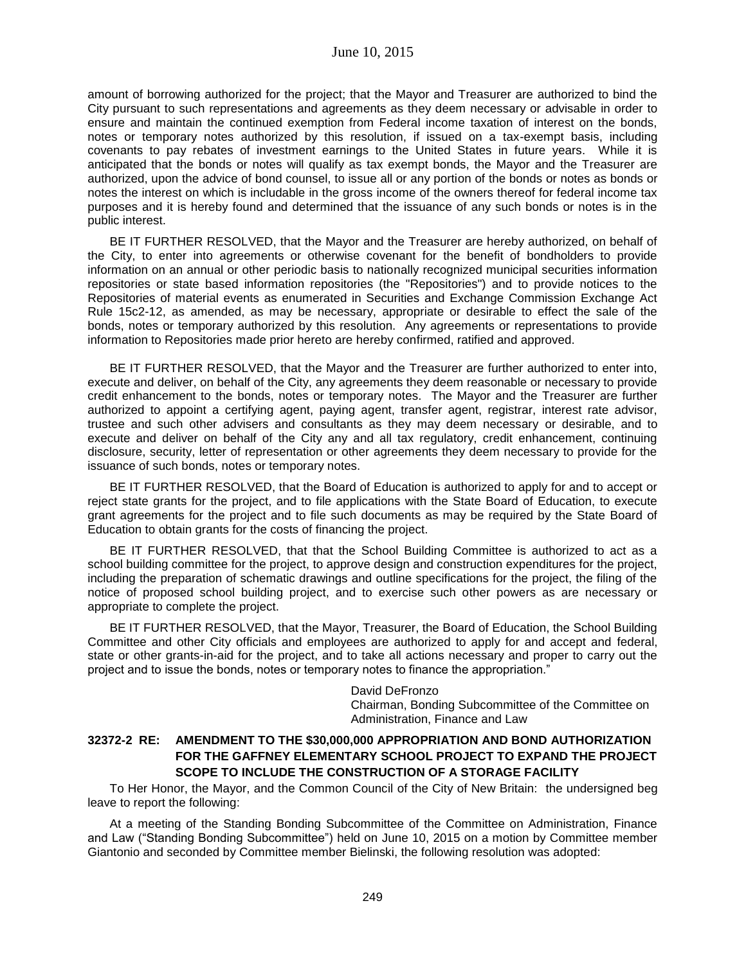amount of borrowing authorized for the project; that the Mayor and Treasurer are authorized to bind the City pursuant to such representations and agreements as they deem necessary or advisable in order to ensure and maintain the continued exemption from Federal income taxation of interest on the bonds, notes or temporary notes authorized by this resolution, if issued on a tax-exempt basis, including covenants to pay rebates of investment earnings to the United States in future years. While it is anticipated that the bonds or notes will qualify as tax exempt bonds, the Mayor and the Treasurer are authorized, upon the advice of bond counsel, to issue all or any portion of the bonds or notes as bonds or notes the interest on which is includable in the gross income of the owners thereof for federal income tax purposes and it is hereby found and determined that the issuance of any such bonds or notes is in the public interest.

BE IT FURTHER RESOLVED, that the Mayor and the Treasurer are hereby authorized, on behalf of the City, to enter into agreements or otherwise covenant for the benefit of bondholders to provide information on an annual or other periodic basis to nationally recognized municipal securities information repositories or state based information repositories (the "Repositories") and to provide notices to the Repositories of material events as enumerated in Securities and Exchange Commission Exchange Act Rule 15c2-12, as amended, as may be necessary, appropriate or desirable to effect the sale of the bonds, notes or temporary authorized by this resolution. Any agreements or representations to provide information to Repositories made prior hereto are hereby confirmed, ratified and approved.

BE IT FURTHER RESOLVED, that the Mayor and the Treasurer are further authorized to enter into, execute and deliver, on behalf of the City, any agreements they deem reasonable or necessary to provide credit enhancement to the bonds, notes or temporary notes. The Mayor and the Treasurer are further authorized to appoint a certifying agent, paying agent, transfer agent, registrar, interest rate advisor, trustee and such other advisers and consultants as they may deem necessary or desirable, and to execute and deliver on behalf of the City any and all tax regulatory, credit enhancement, continuing disclosure, security, letter of representation or other agreements they deem necessary to provide for the issuance of such bonds, notes or temporary notes.

BE IT FURTHER RESOLVED, that the Board of Education is authorized to apply for and to accept or reject state grants for the project, and to file applications with the State Board of Education, to execute grant agreements for the project and to file such documents as may be required by the State Board of Education to obtain grants for the costs of financing the project.

BE IT FURTHER RESOLVED, that that the School Building Committee is authorized to act as a school building committee for the project, to approve design and construction expenditures for the project, including the preparation of schematic drawings and outline specifications for the project, the filing of the notice of proposed school building project, and to exercise such other powers as are necessary or appropriate to complete the project.

BE IT FURTHER RESOLVED, that the Mayor, Treasurer, the Board of Education, the School Building Committee and other City officials and employees are authorized to apply for and accept and federal, state or other grants-in-aid for the project, and to take all actions necessary and proper to carry out the project and to issue the bonds, notes or temporary notes to finance the appropriation."

> David DeFronzo Chairman, Bonding Subcommittee of the Committee on Administration, Finance and Law

## **32372-2 RE: AMENDMENT TO THE \$30,000,000 APPROPRIATION AND BOND AUTHORIZATION FOR THE GAFFNEY ELEMENTARY SCHOOL PROJECT TO EXPAND THE PROJECT SCOPE TO INCLUDE THE CONSTRUCTION OF A STORAGE FACILITY**

To Her Honor, the Mayor, and the Common Council of the City of New Britain: the undersigned beg leave to report the following:

At a meeting of the Standing Bonding Subcommittee of the Committee on Administration, Finance and Law ("Standing Bonding Subcommittee") held on June 10, 2015 on a motion by Committee member Giantonio and seconded by Committee member Bielinski, the following resolution was adopted: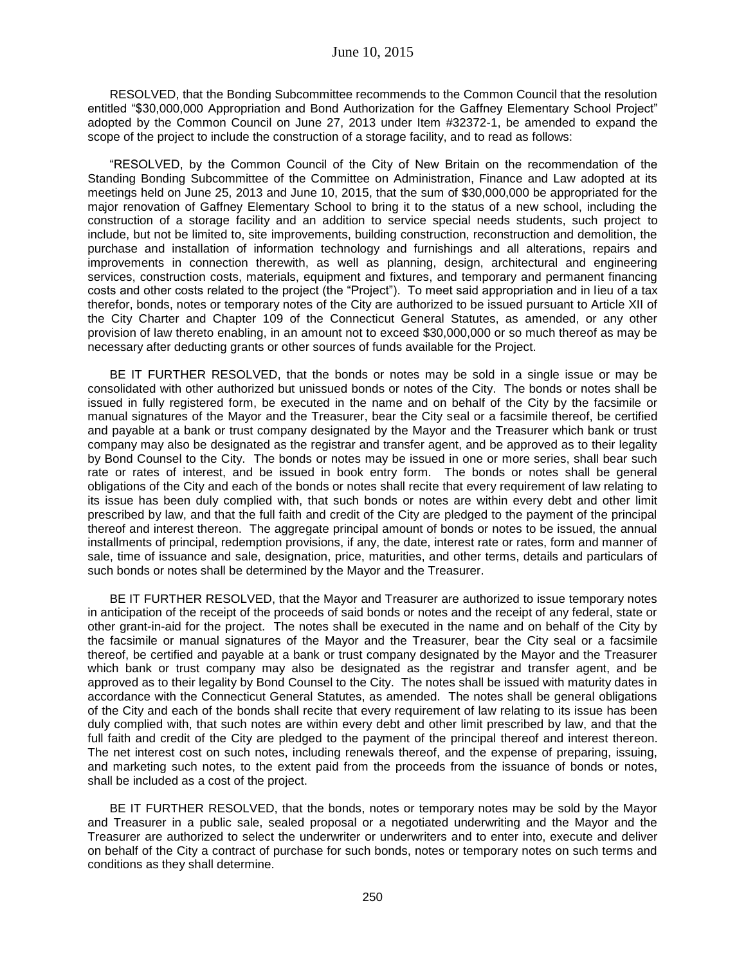RESOLVED, that the Bonding Subcommittee recommends to the Common Council that the resolution entitled "\$30,000,000 Appropriation and Bond Authorization for the Gaffney Elementary School Project" adopted by the Common Council on June 27, 2013 under Item #32372-1, be amended to expand the scope of the project to include the construction of a storage facility, and to read as follows:

"RESOLVED, by the Common Council of the City of New Britain on the recommendation of the Standing Bonding Subcommittee of the Committee on Administration, Finance and Law adopted at its meetings held on June 25, 2013 and June 10, 2015, that the sum of \$30,000,000 be appropriated for the major renovation of Gaffney Elementary School to bring it to the status of a new school, including the construction of a storage facility and an addition to service special needs students, such project to include, but not be limited to, site improvements, building construction, reconstruction and demolition, the purchase and installation of information technology and furnishings and all alterations, repairs and improvements in connection therewith, as well as planning, design, architectural and engineering services, construction costs, materials, equipment and fixtures, and temporary and permanent financing costs and other costs related to the project (the "Project"). To meet said appropriation and in lieu of a tax therefor, bonds, notes or temporary notes of the City are authorized to be issued pursuant to Article XII of the City Charter and Chapter 109 of the Connecticut General Statutes, as amended, or any other provision of law thereto enabling, in an amount not to exceed \$30,000,000 or so much thereof as may be necessary after deducting grants or other sources of funds available for the Project.

BE IT FURTHER RESOLVED, that the bonds or notes may be sold in a single issue or may be consolidated with other authorized but unissued bonds or notes of the City. The bonds or notes shall be issued in fully registered form, be executed in the name and on behalf of the City by the facsimile or manual signatures of the Mayor and the Treasurer, bear the City seal or a facsimile thereof, be certified and payable at a bank or trust company designated by the Mayor and the Treasurer which bank or trust company may also be designated as the registrar and transfer agent, and be approved as to their legality by Bond Counsel to the City. The bonds or notes may be issued in one or more series, shall bear such rate or rates of interest, and be issued in book entry form. The bonds or notes shall be general obligations of the City and each of the bonds or notes shall recite that every requirement of law relating to its issue has been duly complied with, that such bonds or notes are within every debt and other limit prescribed by law, and that the full faith and credit of the City are pledged to the payment of the principal thereof and interest thereon. The aggregate principal amount of bonds or notes to be issued, the annual installments of principal, redemption provisions, if any, the date, interest rate or rates, form and manner of sale, time of issuance and sale, designation, price, maturities, and other terms, details and particulars of such bonds or notes shall be determined by the Mayor and the Treasurer.

BE IT FURTHER RESOLVED, that the Mayor and Treasurer are authorized to issue temporary notes in anticipation of the receipt of the proceeds of said bonds or notes and the receipt of any federal, state or other grant-in-aid for the project. The notes shall be executed in the name and on behalf of the City by the facsimile or manual signatures of the Mayor and the Treasurer, bear the City seal or a facsimile thereof, be certified and payable at a bank or trust company designated by the Mayor and the Treasurer which bank or trust company may also be designated as the registrar and transfer agent, and be approved as to their legality by Bond Counsel to the City. The notes shall be issued with maturity dates in accordance with the Connecticut General Statutes, as amended. The notes shall be general obligations of the City and each of the bonds shall recite that every requirement of law relating to its issue has been duly complied with, that such notes are within every debt and other limit prescribed by law, and that the full faith and credit of the City are pledged to the payment of the principal thereof and interest thereon. The net interest cost on such notes, including renewals thereof, and the expense of preparing, issuing, and marketing such notes, to the extent paid from the proceeds from the issuance of bonds or notes, shall be included as a cost of the project.

BE IT FURTHER RESOLVED, that the bonds, notes or temporary notes may be sold by the Mayor and Treasurer in a public sale, sealed proposal or a negotiated underwriting and the Mayor and the Treasurer are authorized to select the underwriter or underwriters and to enter into, execute and deliver on behalf of the City a contract of purchase for such bonds, notes or temporary notes on such terms and conditions as they shall determine.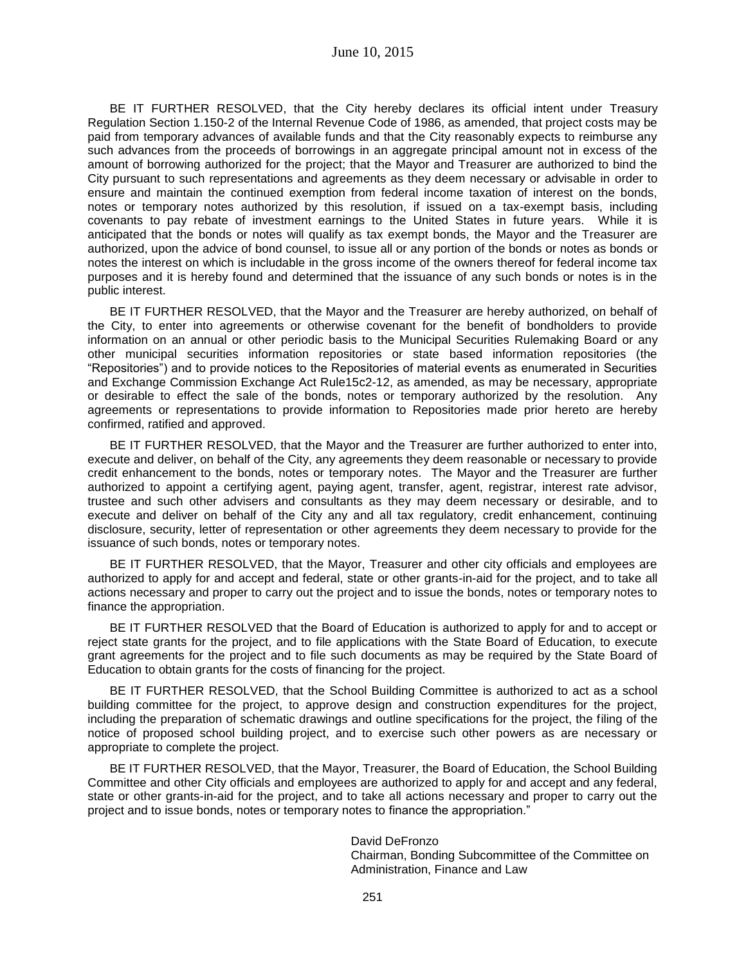June 10, 2015

BE IT FURTHER RESOLVED, that the City hereby declares its official intent under Treasury Regulation Section 1.150-2 of the Internal Revenue Code of 1986, as amended, that project costs may be paid from temporary advances of available funds and that the City reasonably expects to reimburse any such advances from the proceeds of borrowings in an aggregate principal amount not in excess of the amount of borrowing authorized for the project; that the Mayor and Treasurer are authorized to bind the City pursuant to such representations and agreements as they deem necessary or advisable in order to ensure and maintain the continued exemption from federal income taxation of interest on the bonds, notes or temporary notes authorized by this resolution, if issued on a tax-exempt basis, including covenants to pay rebate of investment earnings to the United States in future years. While it is anticipated that the bonds or notes will qualify as tax exempt bonds, the Mayor and the Treasurer are authorized, upon the advice of bond counsel, to issue all or any portion of the bonds or notes as bonds or notes the interest on which is includable in the gross income of the owners thereof for federal income tax purposes and it is hereby found and determined that the issuance of any such bonds or notes is in the public interest.

BE IT FURTHER RESOLVED, that the Mayor and the Treasurer are hereby authorized, on behalf of the City, to enter into agreements or otherwise covenant for the benefit of bondholders to provide information on an annual or other periodic basis to the Municipal Securities Rulemaking Board or any other municipal securities information repositories or state based information repositories (the "Repositories") and to provide notices to the Repositories of material events as enumerated in Securities and Exchange Commission Exchange Act Rule15c2-12, as amended, as may be necessary, appropriate or desirable to effect the sale of the bonds, notes or temporary authorized by the resolution. Any agreements or representations to provide information to Repositories made prior hereto are hereby confirmed, ratified and approved.

BE IT FURTHER RESOLVED, that the Mayor and the Treasurer are further authorized to enter into, execute and deliver, on behalf of the City, any agreements they deem reasonable or necessary to provide credit enhancement to the bonds, notes or temporary notes. The Mayor and the Treasurer are further authorized to appoint a certifying agent, paying agent, transfer, agent, registrar, interest rate advisor, trustee and such other advisers and consultants as they may deem necessary or desirable, and to execute and deliver on behalf of the City any and all tax regulatory, credit enhancement, continuing disclosure, security, letter of representation or other agreements they deem necessary to provide for the issuance of such bonds, notes or temporary notes.

BE IT FURTHER RESOLVED, that the Mayor, Treasurer and other city officials and employees are authorized to apply for and accept and federal, state or other grants-in-aid for the project, and to take all actions necessary and proper to carry out the project and to issue the bonds, notes or temporary notes to finance the appropriation.

BE IT FURTHER RESOLVED that the Board of Education is authorized to apply for and to accept or reject state grants for the project, and to file applications with the State Board of Education, to execute grant agreements for the project and to file such documents as may be required by the State Board of Education to obtain grants for the costs of financing for the project.

BE IT FURTHER RESOLVED, that the School Building Committee is authorized to act as a school building committee for the project, to approve design and construction expenditures for the project, including the preparation of schematic drawings and outline specifications for the project, the filing of the notice of proposed school building project, and to exercise such other powers as are necessary or appropriate to complete the project.

BE IT FURTHER RESOLVED, that the Mayor, Treasurer, the Board of Education, the School Building Committee and other City officials and employees are authorized to apply for and accept and any federal, state or other grants-in-aid for the project, and to take all actions necessary and proper to carry out the project and to issue bonds, notes or temporary notes to finance the appropriation."

> David DeFronzo Chairman, Bonding Subcommittee of the Committee on Administration, Finance and Law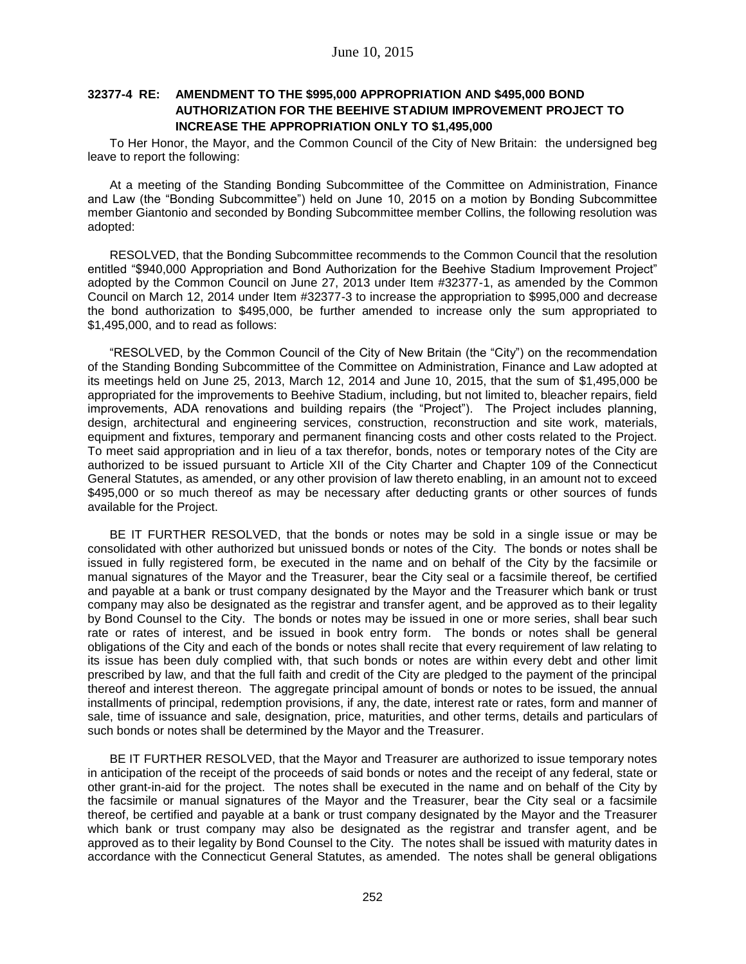# **32377-4 RE: AMENDMENT TO THE \$995,000 APPROPRIATION AND \$495,000 BOND AUTHORIZATION FOR THE BEEHIVE STADIUM IMPROVEMENT PROJECT TO INCREASE THE APPROPRIATION ONLY TO \$1,495,000**

To Her Honor, the Mayor, and the Common Council of the City of New Britain: the undersigned beg leave to report the following:

At a meeting of the Standing Bonding Subcommittee of the Committee on Administration, Finance and Law (the "Bonding Subcommittee") held on June 10, 2015 on a motion by Bonding Subcommittee member Giantonio and seconded by Bonding Subcommittee member Collins, the following resolution was adopted:

RESOLVED, that the Bonding Subcommittee recommends to the Common Council that the resolution entitled "\$940,000 Appropriation and Bond Authorization for the Beehive Stadium Improvement Project" adopted by the Common Council on June 27, 2013 under Item #32377-1, as amended by the Common Council on March 12, 2014 under Item #32377-3 to increase the appropriation to \$995,000 and decrease the bond authorization to \$495,000, be further amended to increase only the sum appropriated to \$1,495,000, and to read as follows:

"RESOLVED, by the Common Council of the City of New Britain (the "City") on the recommendation of the Standing Bonding Subcommittee of the Committee on Administration, Finance and Law adopted at its meetings held on June 25, 2013, March 12, 2014 and June 10, 2015, that the sum of \$1,495,000 be appropriated for the improvements to Beehive Stadium, including, but not limited to, bleacher repairs, field improvements, ADA renovations and building repairs (the "Project"). The Project includes planning, design, architectural and engineering services, construction, reconstruction and site work, materials, equipment and fixtures, temporary and permanent financing costs and other costs related to the Project. To meet said appropriation and in lieu of a tax therefor, bonds, notes or temporary notes of the City are authorized to be issued pursuant to Article XII of the City Charter and Chapter 109 of the Connecticut General Statutes, as amended, or any other provision of law thereto enabling, in an amount not to exceed \$495,000 or so much thereof as may be necessary after deducting grants or other sources of funds available for the Project.

BE IT FURTHER RESOLVED, that the bonds or notes may be sold in a single issue or may be consolidated with other authorized but unissued bonds or notes of the City. The bonds or notes shall be issued in fully registered form, be executed in the name and on behalf of the City by the facsimile or manual signatures of the Mayor and the Treasurer, bear the City seal or a facsimile thereof, be certified and payable at a bank or trust company designated by the Mayor and the Treasurer which bank or trust company may also be designated as the registrar and transfer agent, and be approved as to their legality by Bond Counsel to the City. The bonds or notes may be issued in one or more series, shall bear such rate or rates of interest, and be issued in book entry form. The bonds or notes shall be general obligations of the City and each of the bonds or notes shall recite that every requirement of law relating to its issue has been duly complied with, that such bonds or notes are within every debt and other limit prescribed by law, and that the full faith and credit of the City are pledged to the payment of the principal thereof and interest thereon. The aggregate principal amount of bonds or notes to be issued, the annual installments of principal, redemption provisions, if any, the date, interest rate or rates, form and manner of sale, time of issuance and sale, designation, price, maturities, and other terms, details and particulars of such bonds or notes shall be determined by the Mayor and the Treasurer.

BE IT FURTHER RESOLVED, that the Mayor and Treasurer are authorized to issue temporary notes in anticipation of the receipt of the proceeds of said bonds or notes and the receipt of any federal, state or other grant-in-aid for the project. The notes shall be executed in the name and on behalf of the City by the facsimile or manual signatures of the Mayor and the Treasurer, bear the City seal or a facsimile thereof, be certified and payable at a bank or trust company designated by the Mayor and the Treasurer which bank or trust company may also be designated as the registrar and transfer agent, and be approved as to their legality by Bond Counsel to the City. The notes shall be issued with maturity dates in accordance with the Connecticut General Statutes, as amended. The notes shall be general obligations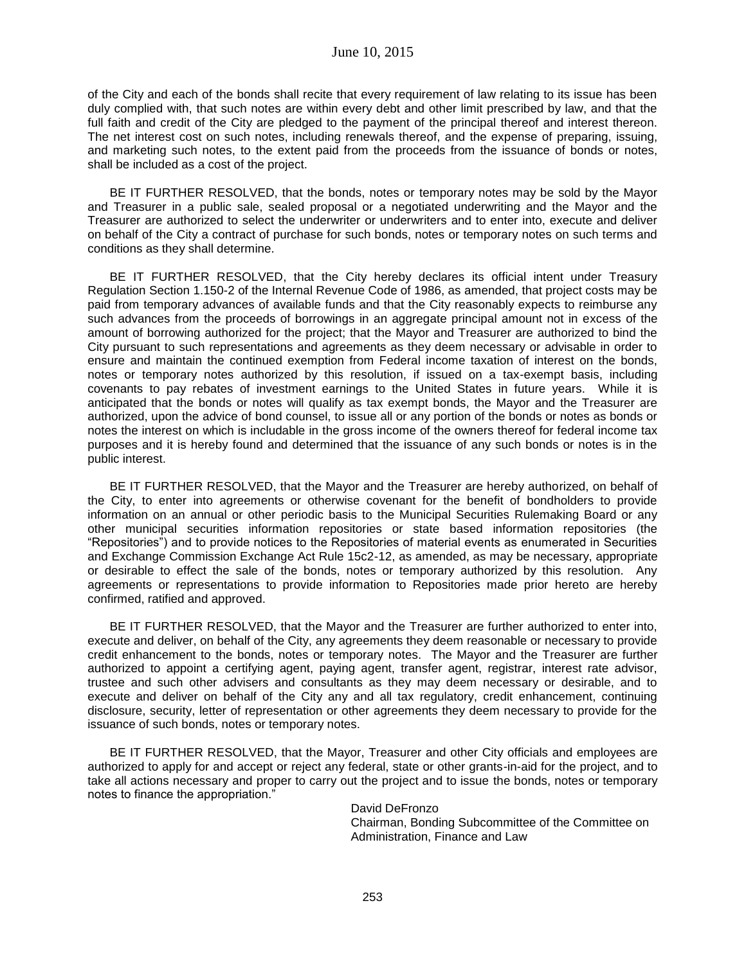of the City and each of the bonds shall recite that every requirement of law relating to its issue has been duly complied with, that such notes are within every debt and other limit prescribed by law, and that the full faith and credit of the City are pledged to the payment of the principal thereof and interest thereon. The net interest cost on such notes, including renewals thereof, and the expense of preparing, issuing, and marketing such notes, to the extent paid from the proceeds from the issuance of bonds or notes, shall be included as a cost of the project.

BE IT FURTHER RESOLVED, that the bonds, notes or temporary notes may be sold by the Mayor and Treasurer in a public sale, sealed proposal or a negotiated underwriting and the Mayor and the Treasurer are authorized to select the underwriter or underwriters and to enter into, execute and deliver on behalf of the City a contract of purchase for such bonds, notes or temporary notes on such terms and conditions as they shall determine.

BE IT FURTHER RESOLVED, that the City hereby declares its official intent under Treasury Regulation Section 1.150-2 of the Internal Revenue Code of 1986, as amended, that project costs may be paid from temporary advances of available funds and that the City reasonably expects to reimburse any such advances from the proceeds of borrowings in an aggregate principal amount not in excess of the amount of borrowing authorized for the project; that the Mayor and Treasurer are authorized to bind the City pursuant to such representations and agreements as they deem necessary or advisable in order to ensure and maintain the continued exemption from Federal income taxation of interest on the bonds, notes or temporary notes authorized by this resolution, if issued on a tax-exempt basis, including covenants to pay rebates of investment earnings to the United States in future years. While it is anticipated that the bonds or notes will qualify as tax exempt bonds, the Mayor and the Treasurer are authorized, upon the advice of bond counsel, to issue all or any portion of the bonds or notes as bonds or notes the interest on which is includable in the gross income of the owners thereof for federal income tax purposes and it is hereby found and determined that the issuance of any such bonds or notes is in the public interest.

BE IT FURTHER RESOLVED, that the Mayor and the Treasurer are hereby authorized, on behalf of the City, to enter into agreements or otherwise covenant for the benefit of bondholders to provide information on an annual or other periodic basis to the Municipal Securities Rulemaking Board or any other municipal securities information repositories or state based information repositories (the "Repositories") and to provide notices to the Repositories of material events as enumerated in Securities and Exchange Commission Exchange Act Rule 15c2-12, as amended, as may be necessary, appropriate or desirable to effect the sale of the bonds, notes or temporary authorized by this resolution. Any agreements or representations to provide information to Repositories made prior hereto are hereby confirmed, ratified and approved.

BE IT FURTHER RESOLVED, that the Mayor and the Treasurer are further authorized to enter into, execute and deliver, on behalf of the City, any agreements they deem reasonable or necessary to provide credit enhancement to the bonds, notes or temporary notes. The Mayor and the Treasurer are further authorized to appoint a certifying agent, paying agent, transfer agent, registrar, interest rate advisor, trustee and such other advisers and consultants as they may deem necessary or desirable, and to execute and deliver on behalf of the City any and all tax regulatory, credit enhancement, continuing disclosure, security, letter of representation or other agreements they deem necessary to provide for the issuance of such bonds, notes or temporary notes.

BE IT FURTHER RESOLVED, that the Mayor, Treasurer and other City officials and employees are authorized to apply for and accept or reject any federal, state or other grants-in-aid for the project, and to take all actions necessary and proper to carry out the project and to issue the bonds, notes or temporary notes to finance the appropriation."

> David DeFronzo Chairman, Bonding Subcommittee of the Committee on Administration, Finance and Law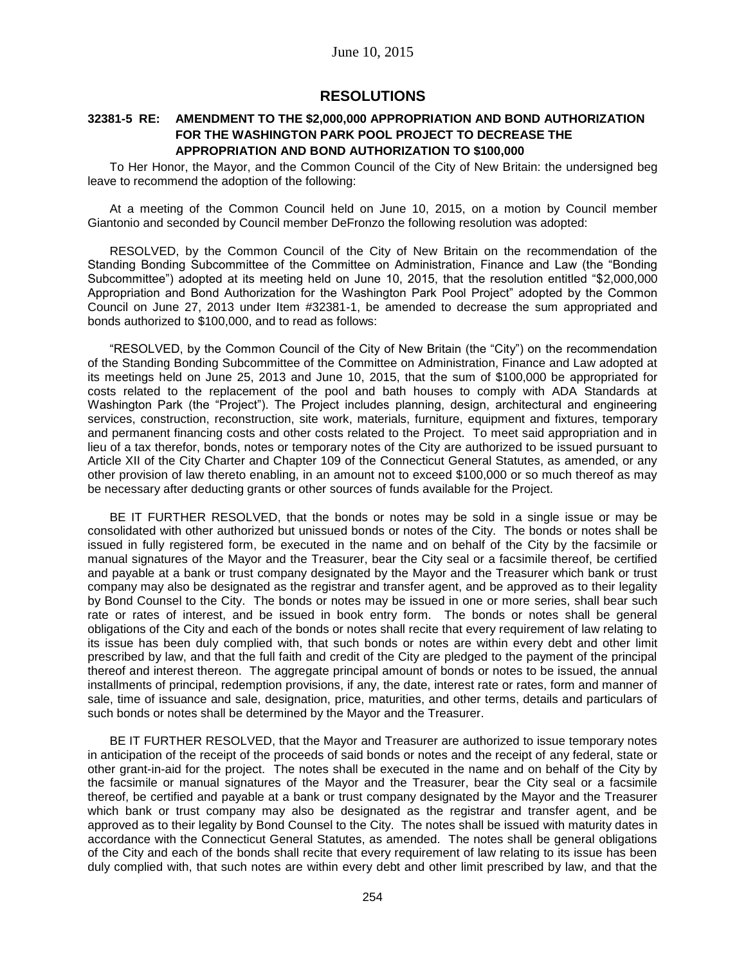# **RESOLUTIONS**

### **32381-5 RE: AMENDMENT TO THE \$2,000,000 APPROPRIATION AND BOND AUTHORIZATION FOR THE WASHINGTON PARK POOL PROJECT TO DECREASE THE APPROPRIATION AND BOND AUTHORIZATION TO \$100,000**

To Her Honor, the Mayor, and the Common Council of the City of New Britain: the undersigned beg leave to recommend the adoption of the following:

At a meeting of the Common Council held on June 10, 2015, on a motion by Council member Giantonio and seconded by Council member DeFronzo the following resolution was adopted:

RESOLVED, by the Common Council of the City of New Britain on the recommendation of the Standing Bonding Subcommittee of the Committee on Administration, Finance and Law (the "Bonding Subcommittee") adopted at its meeting held on June 10, 2015, that the resolution entitled "\$2,000,000 Appropriation and Bond Authorization for the Washington Park Pool Project" adopted by the Common Council on June 27, 2013 under Item #32381-1, be amended to decrease the sum appropriated and bonds authorized to \$100,000, and to read as follows:

"RESOLVED, by the Common Council of the City of New Britain (the "City") on the recommendation of the Standing Bonding Subcommittee of the Committee on Administration, Finance and Law adopted at its meetings held on June 25, 2013 and June 10, 2015, that the sum of \$100,000 be appropriated for costs related to the replacement of the pool and bath houses to comply with ADA Standards at Washington Park (the "Project"). The Project includes planning, design, architectural and engineering services, construction, reconstruction, site work, materials, furniture, equipment and fixtures, temporary and permanent financing costs and other costs related to the Project. To meet said appropriation and in lieu of a tax therefor, bonds, notes or temporary notes of the City are authorized to be issued pursuant to Article XII of the City Charter and Chapter 109 of the Connecticut General Statutes, as amended, or any other provision of law thereto enabling, in an amount not to exceed \$100,000 or so much thereof as may be necessary after deducting grants or other sources of funds available for the Project.

BE IT FURTHER RESOLVED, that the bonds or notes may be sold in a single issue or may be consolidated with other authorized but unissued bonds or notes of the City. The bonds or notes shall be issued in fully registered form, be executed in the name and on behalf of the City by the facsimile or manual signatures of the Mayor and the Treasurer, bear the City seal or a facsimile thereof, be certified and payable at a bank or trust company designated by the Mayor and the Treasurer which bank or trust company may also be designated as the registrar and transfer agent, and be approved as to their legality by Bond Counsel to the City. The bonds or notes may be issued in one or more series, shall bear such rate or rates of interest, and be issued in book entry form. The bonds or notes shall be general obligations of the City and each of the bonds or notes shall recite that every requirement of law relating to its issue has been duly complied with, that such bonds or notes are within every debt and other limit prescribed by law, and that the full faith and credit of the City are pledged to the payment of the principal thereof and interest thereon. The aggregate principal amount of bonds or notes to be issued, the annual installments of principal, redemption provisions, if any, the date, interest rate or rates, form and manner of sale, time of issuance and sale, designation, price, maturities, and other terms, details and particulars of such bonds or notes shall be determined by the Mayor and the Treasurer.

BE IT FURTHER RESOLVED, that the Mayor and Treasurer are authorized to issue temporary notes in anticipation of the receipt of the proceeds of said bonds or notes and the receipt of any federal, state or other grant-in-aid for the project. The notes shall be executed in the name and on behalf of the City by the facsimile or manual signatures of the Mayor and the Treasurer, bear the City seal or a facsimile thereof, be certified and payable at a bank or trust company designated by the Mayor and the Treasurer which bank or trust company may also be designated as the registrar and transfer agent, and be approved as to their legality by Bond Counsel to the City. The notes shall be issued with maturity dates in accordance with the Connecticut General Statutes, as amended. The notes shall be general obligations of the City and each of the bonds shall recite that every requirement of law relating to its issue has been duly complied with, that such notes are within every debt and other limit prescribed by law, and that the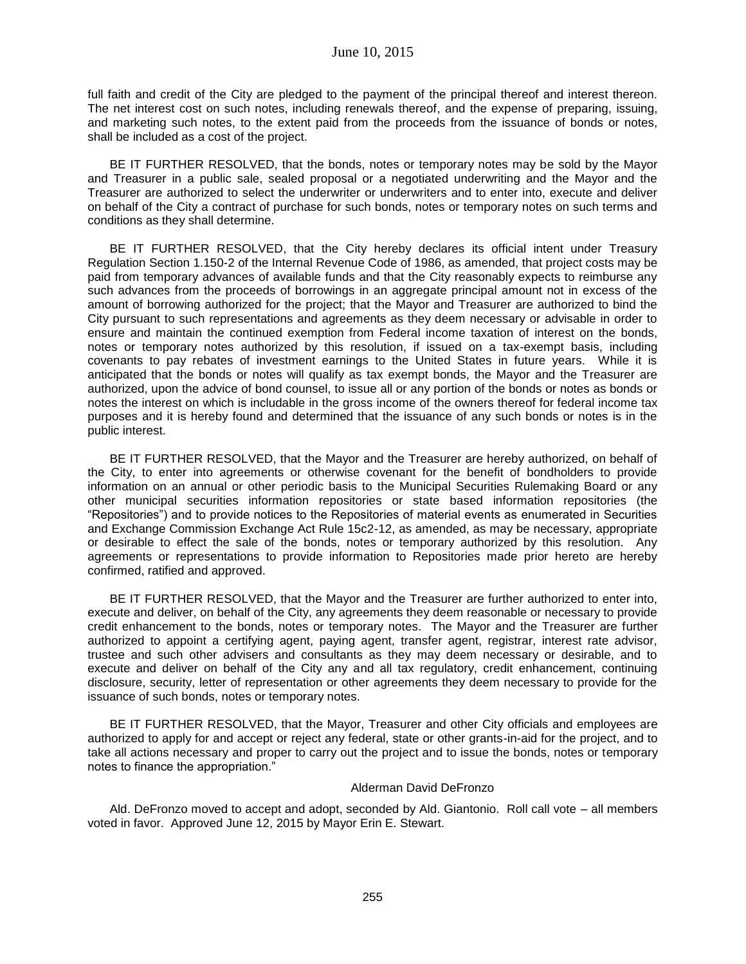full faith and credit of the City are pledged to the payment of the principal thereof and interest thereon. The net interest cost on such notes, including renewals thereof, and the expense of preparing, issuing, and marketing such notes, to the extent paid from the proceeds from the issuance of bonds or notes, shall be included as a cost of the project.

BE IT FURTHER RESOLVED, that the bonds, notes or temporary notes may be sold by the Mayor and Treasurer in a public sale, sealed proposal or a negotiated underwriting and the Mayor and the Treasurer are authorized to select the underwriter or underwriters and to enter into, execute and deliver on behalf of the City a contract of purchase for such bonds, notes or temporary notes on such terms and conditions as they shall determine.

BE IT FURTHER RESOLVED, that the City hereby declares its official intent under Treasury Regulation Section 1.150-2 of the Internal Revenue Code of 1986, as amended, that project costs may be paid from temporary advances of available funds and that the City reasonably expects to reimburse any such advances from the proceeds of borrowings in an aggregate principal amount not in excess of the amount of borrowing authorized for the project; that the Mayor and Treasurer are authorized to bind the City pursuant to such representations and agreements as they deem necessary or advisable in order to ensure and maintain the continued exemption from Federal income taxation of interest on the bonds, notes or temporary notes authorized by this resolution, if issued on a tax-exempt basis, including covenants to pay rebates of investment earnings to the United States in future years. While it is anticipated that the bonds or notes will qualify as tax exempt bonds, the Mayor and the Treasurer are authorized, upon the advice of bond counsel, to issue all or any portion of the bonds or notes as bonds or notes the interest on which is includable in the gross income of the owners thereof for federal income tax purposes and it is hereby found and determined that the issuance of any such bonds or notes is in the public interest.

BE IT FURTHER RESOLVED, that the Mayor and the Treasurer are hereby authorized, on behalf of the City, to enter into agreements or otherwise covenant for the benefit of bondholders to provide information on an annual or other periodic basis to the Municipal Securities Rulemaking Board or any other municipal securities information repositories or state based information repositories (the "Repositories") and to provide notices to the Repositories of material events as enumerated in Securities and Exchange Commission Exchange Act Rule 15c2-12, as amended, as may be necessary, appropriate or desirable to effect the sale of the bonds, notes or temporary authorized by this resolution. Any agreements or representations to provide information to Repositories made prior hereto are hereby confirmed, ratified and approved.

BE IT FURTHER RESOLVED, that the Mayor and the Treasurer are further authorized to enter into, execute and deliver, on behalf of the City, any agreements they deem reasonable or necessary to provide credit enhancement to the bonds, notes or temporary notes. The Mayor and the Treasurer are further authorized to appoint a certifying agent, paying agent, transfer agent, registrar, interest rate advisor, trustee and such other advisers and consultants as they may deem necessary or desirable, and to execute and deliver on behalf of the City any and all tax regulatory, credit enhancement, continuing disclosure, security, letter of representation or other agreements they deem necessary to provide for the issuance of such bonds, notes or temporary notes.

BE IT FURTHER RESOLVED, that the Mayor, Treasurer and other City officials and employees are authorized to apply for and accept or reject any federal, state or other grants-in-aid for the project, and to take all actions necessary and proper to carry out the project and to issue the bonds, notes or temporary notes to finance the appropriation."

### Alderman David DeFronzo

Ald. DeFronzo moved to accept and adopt, seconded by Ald. Giantonio. Roll call vote – all members voted in favor. Approved June 12, 2015 by Mayor Erin E. Stewart.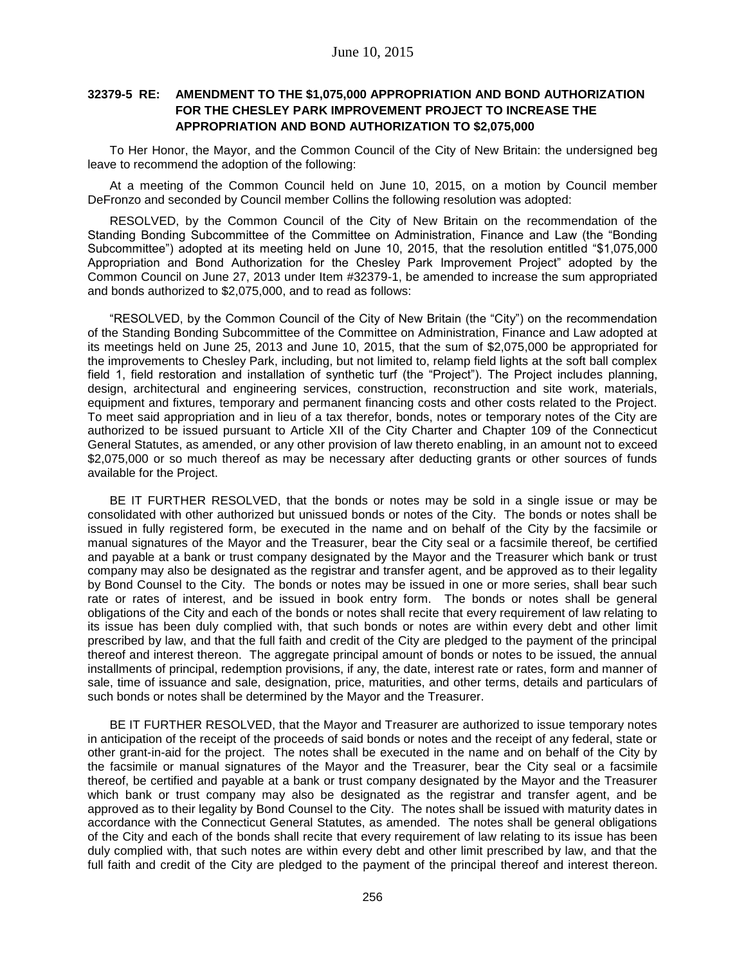## **32379-5 RE: AMENDMENT TO THE \$1,075,000 APPROPRIATION AND BOND AUTHORIZATION FOR THE CHESLEY PARK IMPROVEMENT PROJECT TO INCREASE THE APPROPRIATION AND BOND AUTHORIZATION TO \$2,075,000**

To Her Honor, the Mayor, and the Common Council of the City of New Britain: the undersigned beg leave to recommend the adoption of the following:

At a meeting of the Common Council held on June 10, 2015, on a motion by Council member DeFronzo and seconded by Council member Collins the following resolution was adopted:

RESOLVED, by the Common Council of the City of New Britain on the recommendation of the Standing Bonding Subcommittee of the Committee on Administration, Finance and Law (the "Bonding Subcommittee") adopted at its meeting held on June 10, 2015, that the resolution entitled "\$1,075,000 Appropriation and Bond Authorization for the Chesley Park Improvement Project" adopted by the Common Council on June 27, 2013 under Item #32379-1, be amended to increase the sum appropriated and bonds authorized to \$2,075,000, and to read as follows:

"RESOLVED, by the Common Council of the City of New Britain (the "City") on the recommendation of the Standing Bonding Subcommittee of the Committee on Administration, Finance and Law adopted at its meetings held on June 25, 2013 and June 10, 2015, that the sum of \$2,075,000 be appropriated for the improvements to Chesley Park, including, but not limited to, relamp field lights at the soft ball complex field 1, field restoration and installation of synthetic turf (the "Project"). The Project includes planning, design, architectural and engineering services, construction, reconstruction and site work, materials, equipment and fixtures, temporary and permanent financing costs and other costs related to the Project. To meet said appropriation and in lieu of a tax therefor, bonds, notes or temporary notes of the City are authorized to be issued pursuant to Article XII of the City Charter and Chapter 109 of the Connecticut General Statutes, as amended, or any other provision of law thereto enabling, in an amount not to exceed \$2,075,000 or so much thereof as may be necessary after deducting grants or other sources of funds available for the Project.

BE IT FURTHER RESOLVED, that the bonds or notes may be sold in a single issue or may be consolidated with other authorized but unissued bonds or notes of the City. The bonds or notes shall be issued in fully registered form, be executed in the name and on behalf of the City by the facsimile or manual signatures of the Mayor and the Treasurer, bear the City seal or a facsimile thereof, be certified and payable at a bank or trust company designated by the Mayor and the Treasurer which bank or trust company may also be designated as the registrar and transfer agent, and be approved as to their legality by Bond Counsel to the City. The bonds or notes may be issued in one or more series, shall bear such rate or rates of interest, and be issued in book entry form. The bonds or notes shall be general obligations of the City and each of the bonds or notes shall recite that every requirement of law relating to its issue has been duly complied with, that such bonds or notes are within every debt and other limit prescribed by law, and that the full faith and credit of the City are pledged to the payment of the principal thereof and interest thereon. The aggregate principal amount of bonds or notes to be issued, the annual installments of principal, redemption provisions, if any, the date, interest rate or rates, form and manner of sale, time of issuance and sale, designation, price, maturities, and other terms, details and particulars of such bonds or notes shall be determined by the Mayor and the Treasurer.

BE IT FURTHER RESOLVED, that the Mayor and Treasurer are authorized to issue temporary notes in anticipation of the receipt of the proceeds of said bonds or notes and the receipt of any federal, state or other grant-in-aid for the project. The notes shall be executed in the name and on behalf of the City by the facsimile or manual signatures of the Mayor and the Treasurer, bear the City seal or a facsimile thereof, be certified and payable at a bank or trust company designated by the Mayor and the Treasurer which bank or trust company may also be designated as the registrar and transfer agent, and be approved as to their legality by Bond Counsel to the City. The notes shall be issued with maturity dates in accordance with the Connecticut General Statutes, as amended. The notes shall be general obligations of the City and each of the bonds shall recite that every requirement of law relating to its issue has been duly complied with, that such notes are within every debt and other limit prescribed by law, and that the full faith and credit of the City are pledged to the payment of the principal thereof and interest thereon.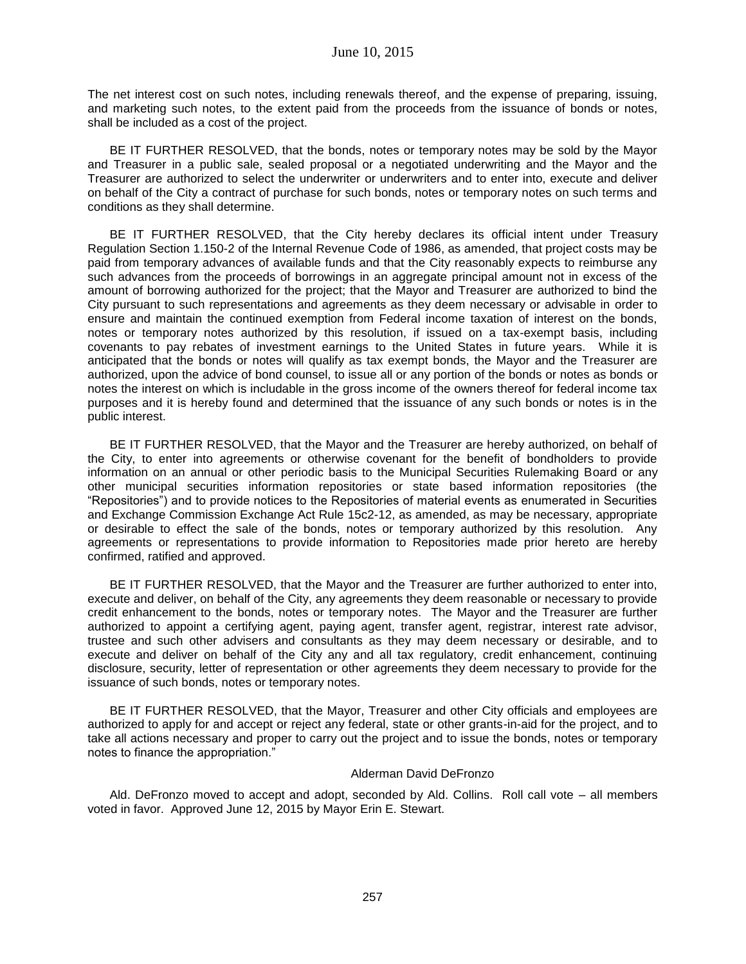The net interest cost on such notes, including renewals thereof, and the expense of preparing, issuing, and marketing such notes, to the extent paid from the proceeds from the issuance of bonds or notes, shall be included as a cost of the project.

BE IT FURTHER RESOLVED, that the bonds, notes or temporary notes may be sold by the Mayor and Treasurer in a public sale, sealed proposal or a negotiated underwriting and the Mayor and the Treasurer are authorized to select the underwriter or underwriters and to enter into, execute and deliver on behalf of the City a contract of purchase for such bonds, notes or temporary notes on such terms and conditions as they shall determine.

BE IT FURTHER RESOLVED, that the City hereby declares its official intent under Treasury Regulation Section 1.150-2 of the Internal Revenue Code of 1986, as amended, that project costs may be paid from temporary advances of available funds and that the City reasonably expects to reimburse any such advances from the proceeds of borrowings in an aggregate principal amount not in excess of the amount of borrowing authorized for the project; that the Mayor and Treasurer are authorized to bind the City pursuant to such representations and agreements as they deem necessary or advisable in order to ensure and maintain the continued exemption from Federal income taxation of interest on the bonds, notes or temporary notes authorized by this resolution, if issued on a tax-exempt basis, including covenants to pay rebates of investment earnings to the United States in future years. While it is anticipated that the bonds or notes will qualify as tax exempt bonds, the Mayor and the Treasurer are authorized, upon the advice of bond counsel, to issue all or any portion of the bonds or notes as bonds or notes the interest on which is includable in the gross income of the owners thereof for federal income tax purposes and it is hereby found and determined that the issuance of any such bonds or notes is in the public interest.

BE IT FURTHER RESOLVED, that the Mayor and the Treasurer are hereby authorized, on behalf of the City, to enter into agreements or otherwise covenant for the benefit of bondholders to provide information on an annual or other periodic basis to the Municipal Securities Rulemaking Board or any other municipal securities information repositories or state based information repositories (the "Repositories") and to provide notices to the Repositories of material events as enumerated in Securities and Exchange Commission Exchange Act Rule 15c2-12, as amended, as may be necessary, appropriate or desirable to effect the sale of the bonds, notes or temporary authorized by this resolution. Any agreements or representations to provide information to Repositories made prior hereto are hereby confirmed, ratified and approved.

BE IT FURTHER RESOLVED, that the Mayor and the Treasurer are further authorized to enter into, execute and deliver, on behalf of the City, any agreements they deem reasonable or necessary to provide credit enhancement to the bonds, notes or temporary notes. The Mayor and the Treasurer are further authorized to appoint a certifying agent, paying agent, transfer agent, registrar, interest rate advisor, trustee and such other advisers and consultants as they may deem necessary or desirable, and to execute and deliver on behalf of the City any and all tax regulatory, credit enhancement, continuing disclosure, security, letter of representation or other agreements they deem necessary to provide for the issuance of such bonds, notes or temporary notes.

BE IT FURTHER RESOLVED, that the Mayor, Treasurer and other City officials and employees are authorized to apply for and accept or reject any federal, state or other grants-in-aid for the project, and to take all actions necessary and proper to carry out the project and to issue the bonds, notes or temporary notes to finance the appropriation."

### Alderman David DeFronzo

Ald. DeFronzo moved to accept and adopt, seconded by Ald. Collins. Roll call vote – all members voted in favor. Approved June 12, 2015 by Mayor Erin E. Stewart.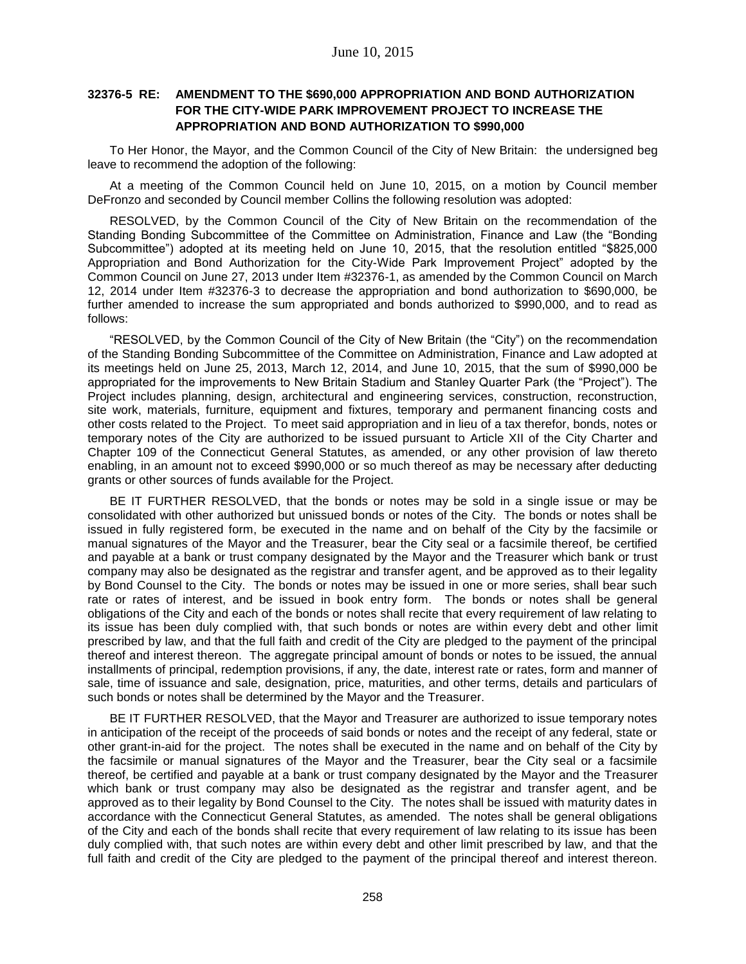## **32376-5 RE: AMENDMENT TO THE \$690,000 APPROPRIATION AND BOND AUTHORIZATION FOR THE CITY-WIDE PARK IMPROVEMENT PROJECT TO INCREASE THE APPROPRIATION AND BOND AUTHORIZATION TO \$990,000**

To Her Honor, the Mayor, and the Common Council of the City of New Britain: the undersigned beg leave to recommend the adoption of the following:

At a meeting of the Common Council held on June 10, 2015, on a motion by Council member DeFronzo and seconded by Council member Collins the following resolution was adopted:

RESOLVED, by the Common Council of the City of New Britain on the recommendation of the Standing Bonding Subcommittee of the Committee on Administration, Finance and Law (the "Bonding Subcommittee") adopted at its meeting held on June 10, 2015, that the resolution entitled "\$825,000 Appropriation and Bond Authorization for the City-Wide Park Improvement Project" adopted by the Common Council on June 27, 2013 under Item #32376-1, as amended by the Common Council on March 12, 2014 under Item #32376-3 to decrease the appropriation and bond authorization to \$690,000, be further amended to increase the sum appropriated and bonds authorized to \$990,000, and to read as follows:

"RESOLVED, by the Common Council of the City of New Britain (the "City") on the recommendation of the Standing Bonding Subcommittee of the Committee on Administration, Finance and Law adopted at its meetings held on June 25, 2013, March 12, 2014, and June 10, 2015, that the sum of \$990,000 be appropriated for the improvements to New Britain Stadium and Stanley Quarter Park (the "Project"). The Project includes planning, design, architectural and engineering services, construction, reconstruction, site work, materials, furniture, equipment and fixtures, temporary and permanent financing costs and other costs related to the Project. To meet said appropriation and in lieu of a tax therefor, bonds, notes or temporary notes of the City are authorized to be issued pursuant to Article XII of the City Charter and Chapter 109 of the Connecticut General Statutes, as amended, or any other provision of law thereto enabling, in an amount not to exceed \$990,000 or so much thereof as may be necessary after deducting grants or other sources of funds available for the Project.

BE IT FURTHER RESOLVED, that the bonds or notes may be sold in a single issue or may be consolidated with other authorized but unissued bonds or notes of the City. The bonds or notes shall be issued in fully registered form, be executed in the name and on behalf of the City by the facsimile or manual signatures of the Mayor and the Treasurer, bear the City seal or a facsimile thereof, be certified and payable at a bank or trust company designated by the Mayor and the Treasurer which bank or trust company may also be designated as the registrar and transfer agent, and be approved as to their legality by Bond Counsel to the City. The bonds or notes may be issued in one or more series, shall bear such rate or rates of interest, and be issued in book entry form. The bonds or notes shall be general obligations of the City and each of the bonds or notes shall recite that every requirement of law relating to its issue has been duly complied with, that such bonds or notes are within every debt and other limit prescribed by law, and that the full faith and credit of the City are pledged to the payment of the principal thereof and interest thereon. The aggregate principal amount of bonds or notes to be issued, the annual installments of principal, redemption provisions, if any, the date, interest rate or rates, form and manner of sale, time of issuance and sale, designation, price, maturities, and other terms, details and particulars of such bonds or notes shall be determined by the Mayor and the Treasurer.

BE IT FURTHER RESOLVED, that the Mayor and Treasurer are authorized to issue temporary notes in anticipation of the receipt of the proceeds of said bonds or notes and the receipt of any federal, state or other grant-in-aid for the project. The notes shall be executed in the name and on behalf of the City by the facsimile or manual signatures of the Mayor and the Treasurer, bear the City seal or a facsimile thereof, be certified and payable at a bank or trust company designated by the Mayor and the Treasurer which bank or trust company may also be designated as the registrar and transfer agent, and be approved as to their legality by Bond Counsel to the City. The notes shall be issued with maturity dates in accordance with the Connecticut General Statutes, as amended. The notes shall be general obligations of the City and each of the bonds shall recite that every requirement of law relating to its issue has been duly complied with, that such notes are within every debt and other limit prescribed by law, and that the full faith and credit of the City are pledged to the payment of the principal thereof and interest thereon.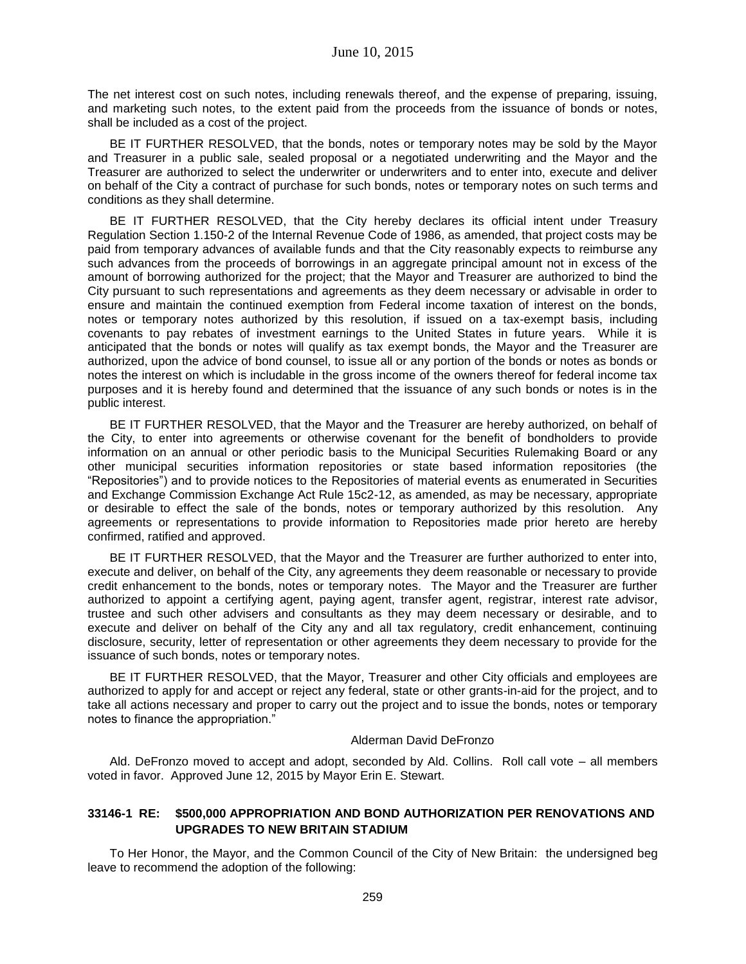The net interest cost on such notes, including renewals thereof, and the expense of preparing, issuing, and marketing such notes, to the extent paid from the proceeds from the issuance of bonds or notes, shall be included as a cost of the project.

BE IT FURTHER RESOLVED, that the bonds, notes or temporary notes may be sold by the Mayor and Treasurer in a public sale, sealed proposal or a negotiated underwriting and the Mayor and the Treasurer are authorized to select the underwriter or underwriters and to enter into, execute and deliver on behalf of the City a contract of purchase for such bonds, notes or temporary notes on such terms and conditions as they shall determine.

BE IT FURTHER RESOLVED, that the City hereby declares its official intent under Treasury Regulation Section 1.150-2 of the Internal Revenue Code of 1986, as amended, that project costs may be paid from temporary advances of available funds and that the City reasonably expects to reimburse any such advances from the proceeds of borrowings in an aggregate principal amount not in excess of the amount of borrowing authorized for the project; that the Mayor and Treasurer are authorized to bind the City pursuant to such representations and agreements as they deem necessary or advisable in order to ensure and maintain the continued exemption from Federal income taxation of interest on the bonds, notes or temporary notes authorized by this resolution, if issued on a tax-exempt basis, including covenants to pay rebates of investment earnings to the United States in future years. While it is anticipated that the bonds or notes will qualify as tax exempt bonds, the Mayor and the Treasurer are authorized, upon the advice of bond counsel, to issue all or any portion of the bonds or notes as bonds or notes the interest on which is includable in the gross income of the owners thereof for federal income tax purposes and it is hereby found and determined that the issuance of any such bonds or notes is in the public interest.

BE IT FURTHER RESOLVED, that the Mayor and the Treasurer are hereby authorized, on behalf of the City, to enter into agreements or otherwise covenant for the benefit of bondholders to provide information on an annual or other periodic basis to the Municipal Securities Rulemaking Board or any other municipal securities information repositories or state based information repositories (the "Repositories") and to provide notices to the Repositories of material events as enumerated in Securities and Exchange Commission Exchange Act Rule 15c2-12, as amended, as may be necessary, appropriate or desirable to effect the sale of the bonds, notes or temporary authorized by this resolution. Any agreements or representations to provide information to Repositories made prior hereto are hereby confirmed, ratified and approved.

BE IT FURTHER RESOLVED, that the Mayor and the Treasurer are further authorized to enter into, execute and deliver, on behalf of the City, any agreements they deem reasonable or necessary to provide credit enhancement to the bonds, notes or temporary notes. The Mayor and the Treasurer are further authorized to appoint a certifying agent, paying agent, transfer agent, registrar, interest rate advisor, trustee and such other advisers and consultants as they may deem necessary or desirable, and to execute and deliver on behalf of the City any and all tax regulatory, credit enhancement, continuing disclosure, security, letter of representation or other agreements they deem necessary to provide for the issuance of such bonds, notes or temporary notes.

BE IT FURTHER RESOLVED, that the Mayor, Treasurer and other City officials and employees are authorized to apply for and accept or reject any federal, state or other grants-in-aid for the project, and to take all actions necessary and proper to carry out the project and to issue the bonds, notes or temporary notes to finance the appropriation."

#### Alderman David DeFronzo

Ald. DeFronzo moved to accept and adopt, seconded by Ald. Collins. Roll call vote – all members voted in favor. Approved June 12, 2015 by Mayor Erin E. Stewart.

### **33146-1 RE: \$500,000 APPROPRIATION AND BOND AUTHORIZATION PER RENOVATIONS AND UPGRADES TO NEW BRITAIN STADIUM**

To Her Honor, the Mayor, and the Common Council of the City of New Britain: the undersigned beg leave to recommend the adoption of the following: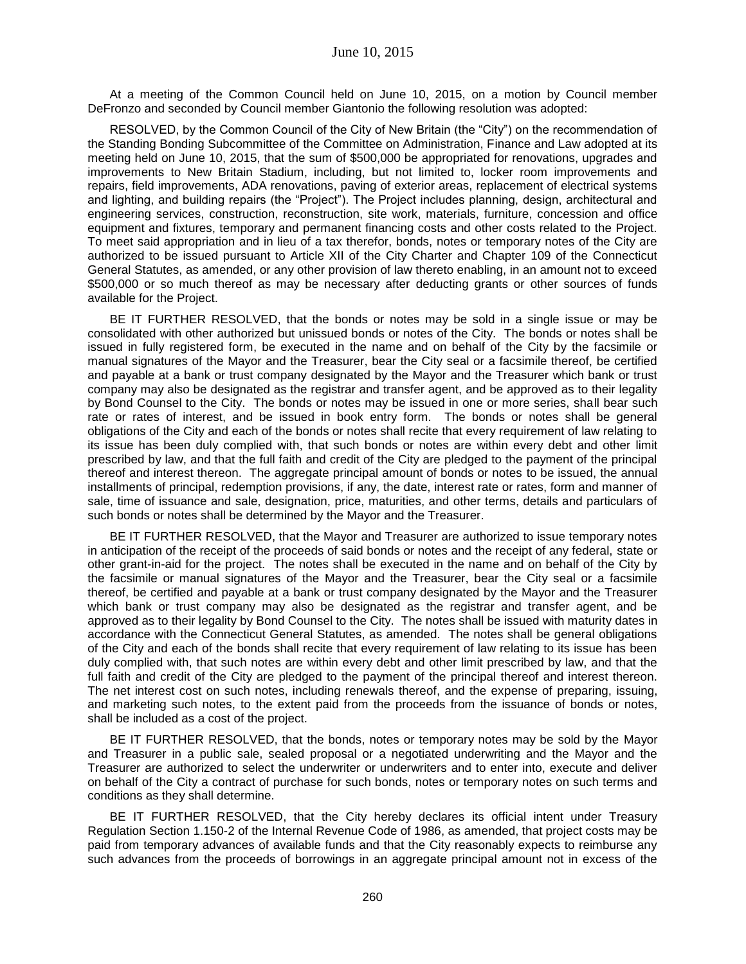At a meeting of the Common Council held on June 10, 2015, on a motion by Council member DeFronzo and seconded by Council member Giantonio the following resolution was adopted:

RESOLVED, by the Common Council of the City of New Britain (the "City") on the recommendation of the Standing Bonding Subcommittee of the Committee on Administration, Finance and Law adopted at its meeting held on June 10, 2015, that the sum of \$500,000 be appropriated for renovations, upgrades and improvements to New Britain Stadium, including, but not limited to, locker room improvements and repairs, field improvements, ADA renovations, paving of exterior areas, replacement of electrical systems and lighting, and building repairs (the "Project"). The Project includes planning, design, architectural and engineering services, construction, reconstruction, site work, materials, furniture, concession and office equipment and fixtures, temporary and permanent financing costs and other costs related to the Project. To meet said appropriation and in lieu of a tax therefor, bonds, notes or temporary notes of the City are authorized to be issued pursuant to Article XII of the City Charter and Chapter 109 of the Connecticut General Statutes, as amended, or any other provision of law thereto enabling, in an amount not to exceed \$500,000 or so much thereof as may be necessary after deducting grants or other sources of funds available for the Project.

BE IT FURTHER RESOLVED, that the bonds or notes may be sold in a single issue or may be consolidated with other authorized but unissued bonds or notes of the City. The bonds or notes shall be issued in fully registered form, be executed in the name and on behalf of the City by the facsimile or manual signatures of the Mayor and the Treasurer, bear the City seal or a facsimile thereof, be certified and payable at a bank or trust company designated by the Mayor and the Treasurer which bank or trust company may also be designated as the registrar and transfer agent, and be approved as to their legality by Bond Counsel to the City. The bonds or notes may be issued in one or more series, shall bear such rate or rates of interest, and be issued in book entry form. The bonds or notes shall be general obligations of the City and each of the bonds or notes shall recite that every requirement of law relating to its issue has been duly complied with, that such bonds or notes are within every debt and other limit prescribed by law, and that the full faith and credit of the City are pledged to the payment of the principal thereof and interest thereon. The aggregate principal amount of bonds or notes to be issued, the annual installments of principal, redemption provisions, if any, the date, interest rate or rates, form and manner of sale, time of issuance and sale, designation, price, maturities, and other terms, details and particulars of such bonds or notes shall be determined by the Mayor and the Treasurer.

BE IT FURTHER RESOLVED, that the Mayor and Treasurer are authorized to issue temporary notes in anticipation of the receipt of the proceeds of said bonds or notes and the receipt of any federal, state or other grant-in-aid for the project. The notes shall be executed in the name and on behalf of the City by the facsimile or manual signatures of the Mayor and the Treasurer, bear the City seal or a facsimile thereof, be certified and payable at a bank or trust company designated by the Mayor and the Treasurer which bank or trust company may also be designated as the registrar and transfer agent, and be approved as to their legality by Bond Counsel to the City. The notes shall be issued with maturity dates in accordance with the Connecticut General Statutes, as amended. The notes shall be general obligations of the City and each of the bonds shall recite that every requirement of law relating to its issue has been duly complied with, that such notes are within every debt and other limit prescribed by law, and that the full faith and credit of the City are pledged to the payment of the principal thereof and interest thereon. The net interest cost on such notes, including renewals thereof, and the expense of preparing, issuing, and marketing such notes, to the extent paid from the proceeds from the issuance of bonds or notes, shall be included as a cost of the project.

BE IT FURTHER RESOLVED, that the bonds, notes or temporary notes may be sold by the Mayor and Treasurer in a public sale, sealed proposal or a negotiated underwriting and the Mayor and the Treasurer are authorized to select the underwriter or underwriters and to enter into, execute and deliver on behalf of the City a contract of purchase for such bonds, notes or temporary notes on such terms and conditions as they shall determine.

BE IT FURTHER RESOLVED, that the City hereby declares its official intent under Treasury Regulation Section 1.150-2 of the Internal Revenue Code of 1986, as amended, that project costs may be paid from temporary advances of available funds and that the City reasonably expects to reimburse any such advances from the proceeds of borrowings in an aggregate principal amount not in excess of the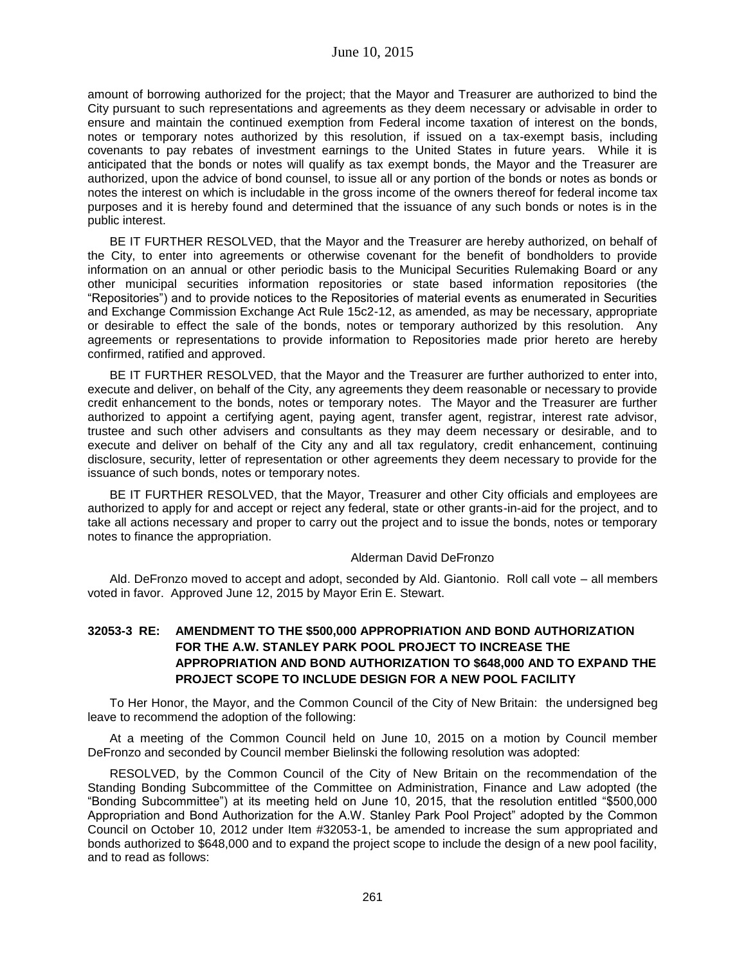amount of borrowing authorized for the project; that the Mayor and Treasurer are authorized to bind the City pursuant to such representations and agreements as they deem necessary or advisable in order to ensure and maintain the continued exemption from Federal income taxation of interest on the bonds, notes or temporary notes authorized by this resolution, if issued on a tax-exempt basis, including covenants to pay rebates of investment earnings to the United States in future years. While it is anticipated that the bonds or notes will qualify as tax exempt bonds, the Mayor and the Treasurer are authorized, upon the advice of bond counsel, to issue all or any portion of the bonds or notes as bonds or notes the interest on which is includable in the gross income of the owners thereof for federal income tax purposes and it is hereby found and determined that the issuance of any such bonds or notes is in the public interest.

BE IT FURTHER RESOLVED, that the Mayor and the Treasurer are hereby authorized, on behalf of the City, to enter into agreements or otherwise covenant for the benefit of bondholders to provide information on an annual or other periodic basis to the Municipal Securities Rulemaking Board or any other municipal securities information repositories or state based information repositories (the "Repositories") and to provide notices to the Repositories of material events as enumerated in Securities and Exchange Commission Exchange Act Rule 15c2-12, as amended, as may be necessary, appropriate or desirable to effect the sale of the bonds, notes or temporary authorized by this resolution. Any agreements or representations to provide information to Repositories made prior hereto are hereby confirmed, ratified and approved.

BE IT FURTHER RESOLVED, that the Mayor and the Treasurer are further authorized to enter into, execute and deliver, on behalf of the City, any agreements they deem reasonable or necessary to provide credit enhancement to the bonds, notes or temporary notes. The Mayor and the Treasurer are further authorized to appoint a certifying agent, paying agent, transfer agent, registrar, interest rate advisor, trustee and such other advisers and consultants as they may deem necessary or desirable, and to execute and deliver on behalf of the City any and all tax regulatory, credit enhancement, continuing disclosure, security, letter of representation or other agreements they deem necessary to provide for the issuance of such bonds, notes or temporary notes.

BE IT FURTHER RESOLVED, that the Mayor, Treasurer and other City officials and employees are authorized to apply for and accept or reject any federal, state or other grants-in-aid for the project, and to take all actions necessary and proper to carry out the project and to issue the bonds, notes or temporary notes to finance the appropriation.

### Alderman David DeFronzo

Ald. DeFronzo moved to accept and adopt, seconded by Ald. Giantonio. Roll call vote – all members voted in favor. Approved June 12, 2015 by Mayor Erin E. Stewart.

# **32053-3 RE: AMENDMENT TO THE \$500,000 APPROPRIATION AND BOND AUTHORIZATION FOR THE A.W. STANLEY PARK POOL PROJECT TO INCREASE THE APPROPRIATION AND BOND AUTHORIZATION TO \$648,000 AND TO EXPAND THE PROJECT SCOPE TO INCLUDE DESIGN FOR A NEW POOL FACILITY**

To Her Honor, the Mayor, and the Common Council of the City of New Britain: the undersigned beg leave to recommend the adoption of the following:

At a meeting of the Common Council held on June 10, 2015 on a motion by Council member DeFronzo and seconded by Council member Bielinski the following resolution was adopted:

RESOLVED, by the Common Council of the City of New Britain on the recommendation of the Standing Bonding Subcommittee of the Committee on Administration, Finance and Law adopted (the "Bonding Subcommittee") at its meeting held on June 10, 2015, that the resolution entitled "\$500,000 Appropriation and Bond Authorization for the A.W. Stanley Park Pool Project" adopted by the Common Council on October 10, 2012 under Item #32053-1, be amended to increase the sum appropriated and bonds authorized to \$648,000 and to expand the project scope to include the design of a new pool facility, and to read as follows: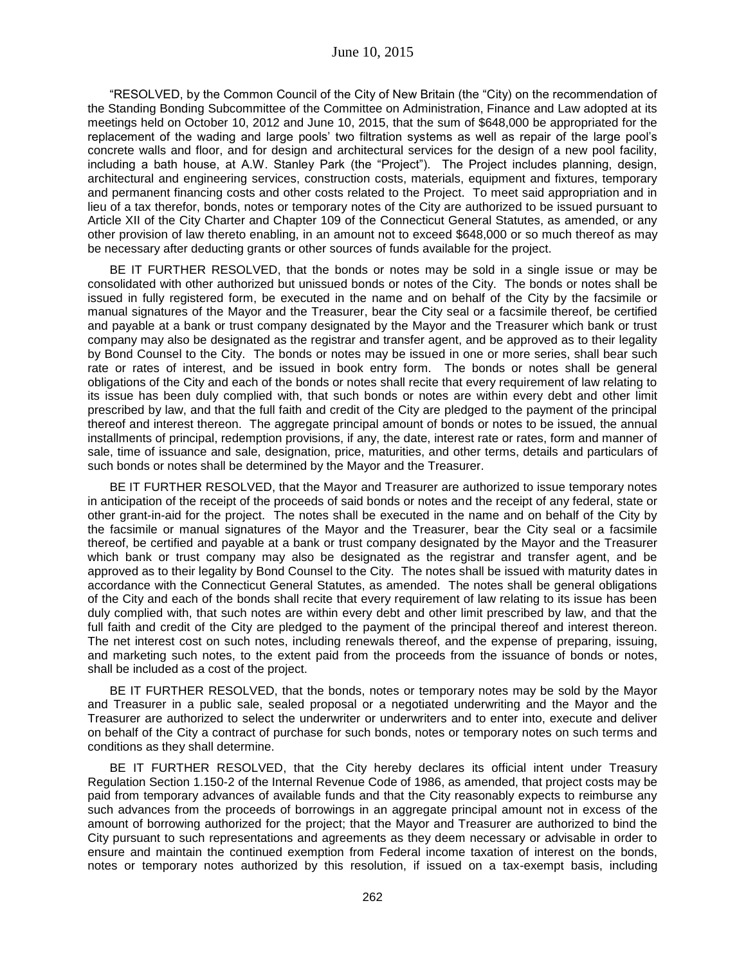"RESOLVED, by the Common Council of the City of New Britain (the "City) on the recommendation of the Standing Bonding Subcommittee of the Committee on Administration, Finance and Law adopted at its meetings held on October 10, 2012 and June 10, 2015, that the sum of \$648,000 be appropriated for the replacement of the wading and large pools' two filtration systems as well as repair of the large pool's concrete walls and floor, and for design and architectural services for the design of a new pool facility, including a bath house, at A.W. Stanley Park (the "Project"). The Project includes planning, design, architectural and engineering services, construction costs, materials, equipment and fixtures, temporary and permanent financing costs and other costs related to the Project. To meet said appropriation and in lieu of a tax therefor, bonds, notes or temporary notes of the City are authorized to be issued pursuant to Article XII of the City Charter and Chapter 109 of the Connecticut General Statutes, as amended, or any other provision of law thereto enabling, in an amount not to exceed \$648,000 or so much thereof as may be necessary after deducting grants or other sources of funds available for the project.

BE IT FURTHER RESOLVED, that the bonds or notes may be sold in a single issue or may be consolidated with other authorized but unissued bonds or notes of the City. The bonds or notes shall be issued in fully registered form, be executed in the name and on behalf of the City by the facsimile or manual signatures of the Mayor and the Treasurer, bear the City seal or a facsimile thereof, be certified and payable at a bank or trust company designated by the Mayor and the Treasurer which bank or trust company may also be designated as the registrar and transfer agent, and be approved as to their legality by Bond Counsel to the City. The bonds or notes may be issued in one or more series, shall bear such rate or rates of interest, and be issued in book entry form. The bonds or notes shall be general obligations of the City and each of the bonds or notes shall recite that every requirement of law relating to its issue has been duly complied with, that such bonds or notes are within every debt and other limit prescribed by law, and that the full faith and credit of the City are pledged to the payment of the principal thereof and interest thereon. The aggregate principal amount of bonds or notes to be issued, the annual installments of principal, redemption provisions, if any, the date, interest rate or rates, form and manner of sale, time of issuance and sale, designation, price, maturities, and other terms, details and particulars of such bonds or notes shall be determined by the Mayor and the Treasurer.

BE IT FURTHER RESOLVED, that the Mayor and Treasurer are authorized to issue temporary notes in anticipation of the receipt of the proceeds of said bonds or notes and the receipt of any federal, state or other grant-in-aid for the project. The notes shall be executed in the name and on behalf of the City by the facsimile or manual signatures of the Mayor and the Treasurer, bear the City seal or a facsimile thereof, be certified and payable at a bank or trust company designated by the Mayor and the Treasurer which bank or trust company may also be designated as the registrar and transfer agent, and be approved as to their legality by Bond Counsel to the City. The notes shall be issued with maturity dates in accordance with the Connecticut General Statutes, as amended. The notes shall be general obligations of the City and each of the bonds shall recite that every requirement of law relating to its issue has been duly complied with, that such notes are within every debt and other limit prescribed by law, and that the full faith and credit of the City are pledged to the payment of the principal thereof and interest thereon. The net interest cost on such notes, including renewals thereof, and the expense of preparing, issuing, and marketing such notes, to the extent paid from the proceeds from the issuance of bonds or notes, shall be included as a cost of the project.

BE IT FURTHER RESOLVED, that the bonds, notes or temporary notes may be sold by the Mayor and Treasurer in a public sale, sealed proposal or a negotiated underwriting and the Mayor and the Treasurer are authorized to select the underwriter or underwriters and to enter into, execute and deliver on behalf of the City a contract of purchase for such bonds, notes or temporary notes on such terms and conditions as they shall determine.

BE IT FURTHER RESOLVED, that the City hereby declares its official intent under Treasury Regulation Section 1.150-2 of the Internal Revenue Code of 1986, as amended, that project costs may be paid from temporary advances of available funds and that the City reasonably expects to reimburse any such advances from the proceeds of borrowings in an aggregate principal amount not in excess of the amount of borrowing authorized for the project; that the Mayor and Treasurer are authorized to bind the City pursuant to such representations and agreements as they deem necessary or advisable in order to ensure and maintain the continued exemption from Federal income taxation of interest on the bonds, notes or temporary notes authorized by this resolution, if issued on a tax-exempt basis, including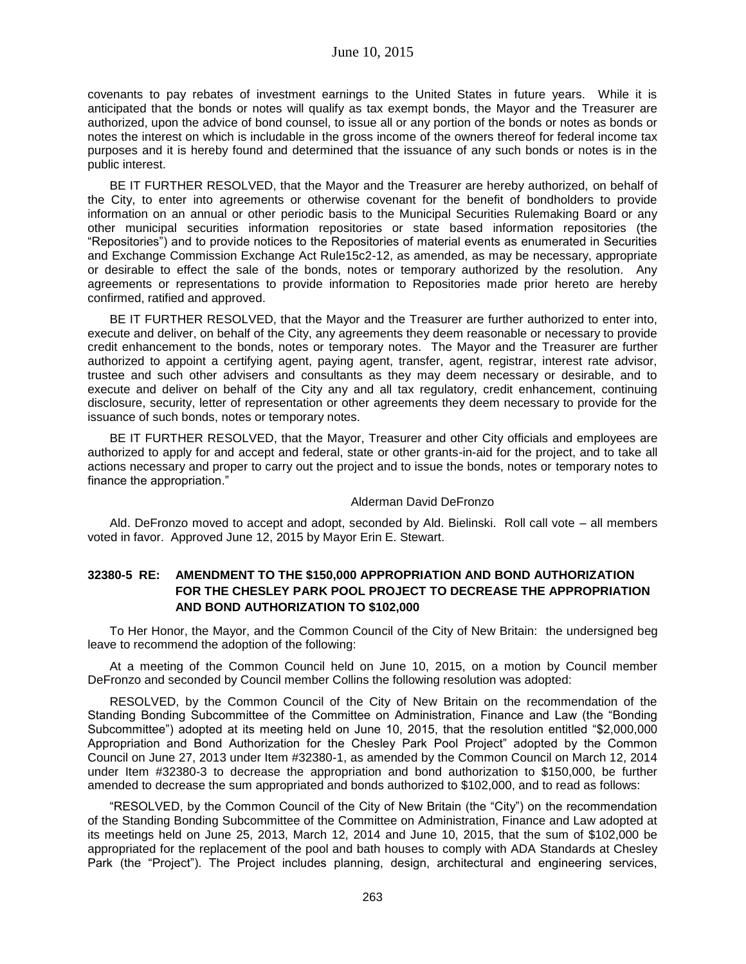covenants to pay rebates of investment earnings to the United States in future years. While it is anticipated that the bonds or notes will qualify as tax exempt bonds, the Mayor and the Treasurer are authorized, upon the advice of bond counsel, to issue all or any portion of the bonds or notes as bonds or notes the interest on which is includable in the gross income of the owners thereof for federal income tax purposes and it is hereby found and determined that the issuance of any such bonds or notes is in the public interest.

BE IT FURTHER RESOLVED, that the Mayor and the Treasurer are hereby authorized, on behalf of the City, to enter into agreements or otherwise covenant for the benefit of bondholders to provide information on an annual or other periodic basis to the Municipal Securities Rulemaking Board or any other municipal securities information repositories or state based information repositories (the "Repositories") and to provide notices to the Repositories of material events as enumerated in Securities and Exchange Commission Exchange Act Rule15c2-12, as amended, as may be necessary, appropriate or desirable to effect the sale of the bonds, notes or temporary authorized by the resolution. Any agreements or representations to provide information to Repositories made prior hereto are hereby confirmed, ratified and approved.

BE IT FURTHER RESOLVED, that the Mayor and the Treasurer are further authorized to enter into, execute and deliver, on behalf of the City, any agreements they deem reasonable or necessary to provide credit enhancement to the bonds, notes or temporary notes. The Mayor and the Treasurer are further authorized to appoint a certifying agent, paying agent, transfer, agent, registrar, interest rate advisor, trustee and such other advisers and consultants as they may deem necessary or desirable, and to execute and deliver on behalf of the City any and all tax regulatory, credit enhancement, continuing disclosure, security, letter of representation or other agreements they deem necessary to provide for the issuance of such bonds, notes or temporary notes.

BE IT FURTHER RESOLVED, that the Mayor, Treasurer and other City officials and employees are authorized to apply for and accept and federal, state or other grants-in-aid for the project, and to take all actions necessary and proper to carry out the project and to issue the bonds, notes or temporary notes to finance the appropriation."

#### Alderman David DeFronzo

Ald. DeFronzo moved to accept and adopt, seconded by Ald. Bielinski. Roll call vote – all members voted in favor. Approved June 12, 2015 by Mayor Erin E. Stewart.

### **32380-5 RE: AMENDMENT TO THE \$150,000 APPROPRIATION AND BOND AUTHORIZATION FOR THE CHESLEY PARK POOL PROJECT TO DECREASE THE APPROPRIATION AND BOND AUTHORIZATION TO \$102,000**

To Her Honor, the Mayor, and the Common Council of the City of New Britain: the undersigned beg leave to recommend the adoption of the following:

At a meeting of the Common Council held on June 10, 2015, on a motion by Council member DeFronzo and seconded by Council member Collins the following resolution was adopted:

RESOLVED, by the Common Council of the City of New Britain on the recommendation of the Standing Bonding Subcommittee of the Committee on Administration, Finance and Law (the "Bonding Subcommittee") adopted at its meeting held on June 10, 2015, that the resolution entitled "\$2,000,000 Appropriation and Bond Authorization for the Chesley Park Pool Project" adopted by the Common Council on June 27, 2013 under Item #32380-1, as amended by the Common Council on March 12, 2014 under Item #32380-3 to decrease the appropriation and bond authorization to \$150,000, be further amended to decrease the sum appropriated and bonds authorized to \$102,000, and to read as follows:

"RESOLVED, by the Common Council of the City of New Britain (the "City") on the recommendation of the Standing Bonding Subcommittee of the Committee on Administration, Finance and Law adopted at its meetings held on June 25, 2013, March 12, 2014 and June 10, 2015, that the sum of \$102,000 be appropriated for the replacement of the pool and bath houses to comply with ADA Standards at Chesley Park (the "Project"). The Project includes planning, design, architectural and engineering services,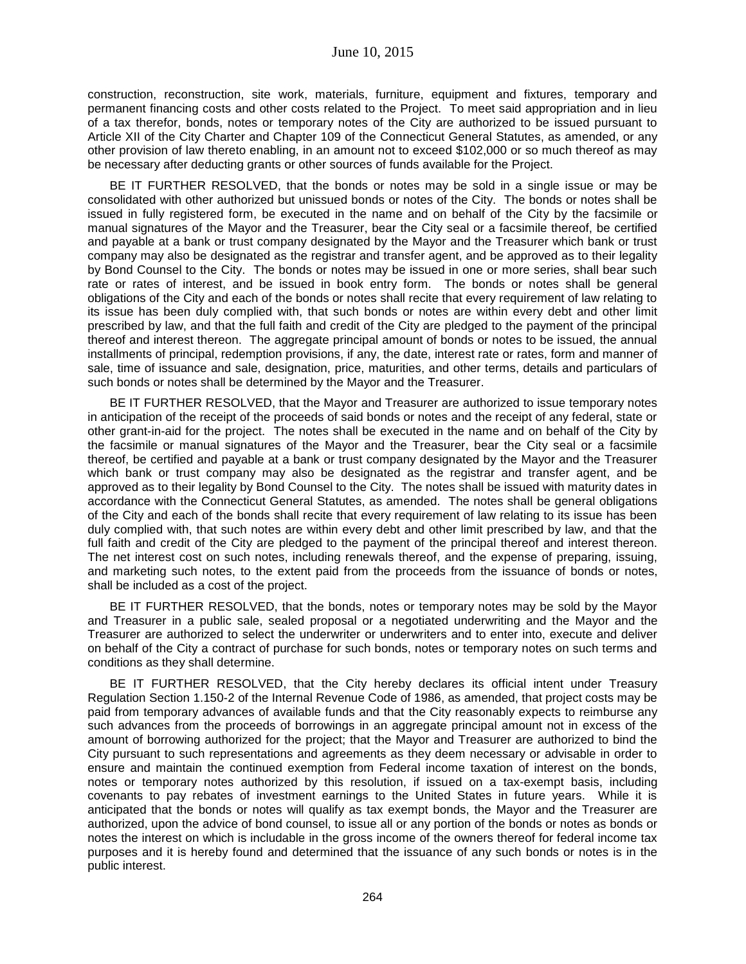construction, reconstruction, site work, materials, furniture, equipment and fixtures, temporary and permanent financing costs and other costs related to the Project. To meet said appropriation and in lieu of a tax therefor, bonds, notes or temporary notes of the City are authorized to be issued pursuant to Article XII of the City Charter and Chapter 109 of the Connecticut General Statutes, as amended, or any other provision of law thereto enabling, in an amount not to exceed \$102,000 or so much thereof as may be necessary after deducting grants or other sources of funds available for the Project.

BE IT FURTHER RESOLVED, that the bonds or notes may be sold in a single issue or may be consolidated with other authorized but unissued bonds or notes of the City. The bonds or notes shall be issued in fully registered form, be executed in the name and on behalf of the City by the facsimile or manual signatures of the Mayor and the Treasurer, bear the City seal or a facsimile thereof, be certified and payable at a bank or trust company designated by the Mayor and the Treasurer which bank or trust company may also be designated as the registrar and transfer agent, and be approved as to their legality by Bond Counsel to the City. The bonds or notes may be issued in one or more series, shall bear such rate or rates of interest, and be issued in book entry form. The bonds or notes shall be general obligations of the City and each of the bonds or notes shall recite that every requirement of law relating to its issue has been duly complied with, that such bonds or notes are within every debt and other limit prescribed by law, and that the full faith and credit of the City are pledged to the payment of the principal thereof and interest thereon. The aggregate principal amount of bonds or notes to be issued, the annual installments of principal, redemption provisions, if any, the date, interest rate or rates, form and manner of sale, time of issuance and sale, designation, price, maturities, and other terms, details and particulars of such bonds or notes shall be determined by the Mayor and the Treasurer.

BE IT FURTHER RESOLVED, that the Mayor and Treasurer are authorized to issue temporary notes in anticipation of the receipt of the proceeds of said bonds or notes and the receipt of any federal, state or other grant-in-aid for the project. The notes shall be executed in the name and on behalf of the City by the facsimile or manual signatures of the Mayor and the Treasurer, bear the City seal or a facsimile thereof, be certified and payable at a bank or trust company designated by the Mayor and the Treasurer which bank or trust company may also be designated as the registrar and transfer agent, and be approved as to their legality by Bond Counsel to the City. The notes shall be issued with maturity dates in accordance with the Connecticut General Statutes, as amended. The notes shall be general obligations of the City and each of the bonds shall recite that every requirement of law relating to its issue has been duly complied with, that such notes are within every debt and other limit prescribed by law, and that the full faith and credit of the City are pledged to the payment of the principal thereof and interest thereon. The net interest cost on such notes, including renewals thereof, and the expense of preparing, issuing, and marketing such notes, to the extent paid from the proceeds from the issuance of bonds or notes, shall be included as a cost of the project.

BE IT FURTHER RESOLVED, that the bonds, notes or temporary notes may be sold by the Mayor and Treasurer in a public sale, sealed proposal or a negotiated underwriting and the Mayor and the Treasurer are authorized to select the underwriter or underwriters and to enter into, execute and deliver on behalf of the City a contract of purchase for such bonds, notes or temporary notes on such terms and conditions as they shall determine.

BE IT FURTHER RESOLVED, that the City hereby declares its official intent under Treasury Regulation Section 1.150-2 of the Internal Revenue Code of 1986, as amended, that project costs may be paid from temporary advances of available funds and that the City reasonably expects to reimburse any such advances from the proceeds of borrowings in an aggregate principal amount not in excess of the amount of borrowing authorized for the project; that the Mayor and Treasurer are authorized to bind the City pursuant to such representations and agreements as they deem necessary or advisable in order to ensure and maintain the continued exemption from Federal income taxation of interest on the bonds, notes or temporary notes authorized by this resolution, if issued on a tax-exempt basis, including covenants to pay rebates of investment earnings to the United States in future years. While it is anticipated that the bonds or notes will qualify as tax exempt bonds, the Mayor and the Treasurer are authorized, upon the advice of bond counsel, to issue all or any portion of the bonds or notes as bonds or notes the interest on which is includable in the gross income of the owners thereof for federal income tax purposes and it is hereby found and determined that the issuance of any such bonds or notes is in the public interest.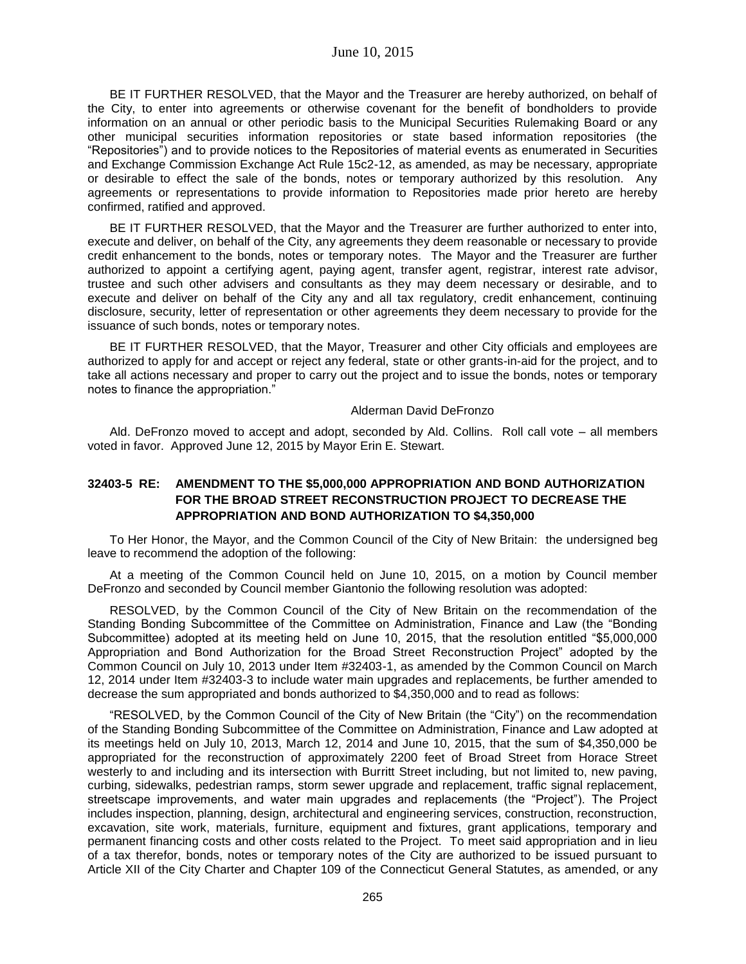### June 10, 2015

BE IT FURTHER RESOLVED, that the Mayor and the Treasurer are hereby authorized, on behalf of the City, to enter into agreements or otherwise covenant for the benefit of bondholders to provide information on an annual or other periodic basis to the Municipal Securities Rulemaking Board or any other municipal securities information repositories or state based information repositories (the "Repositories") and to provide notices to the Repositories of material events as enumerated in Securities and Exchange Commission Exchange Act Rule 15c2-12, as amended, as may be necessary, appropriate or desirable to effect the sale of the bonds, notes or temporary authorized by this resolution. Any agreements or representations to provide information to Repositories made prior hereto are hereby confirmed, ratified and approved.

BE IT FURTHER RESOLVED, that the Mayor and the Treasurer are further authorized to enter into, execute and deliver, on behalf of the City, any agreements they deem reasonable or necessary to provide credit enhancement to the bonds, notes or temporary notes. The Mayor and the Treasurer are further authorized to appoint a certifying agent, paying agent, transfer agent, registrar, interest rate advisor, trustee and such other advisers and consultants as they may deem necessary or desirable, and to execute and deliver on behalf of the City any and all tax regulatory, credit enhancement, continuing disclosure, security, letter of representation or other agreements they deem necessary to provide for the issuance of such bonds, notes or temporary notes.

BE IT FURTHER RESOLVED, that the Mayor, Treasurer and other City officials and employees are authorized to apply for and accept or reject any federal, state or other grants-in-aid for the project, and to take all actions necessary and proper to carry out the project and to issue the bonds, notes or temporary notes to finance the appropriation."

#### Alderman David DeFronzo

Ald. DeFronzo moved to accept and adopt, seconded by Ald. Collins. Roll call vote – all members voted in favor. Approved June 12, 2015 by Mayor Erin E. Stewart.

## **32403-5 RE: AMENDMENT TO THE \$5,000,000 APPROPRIATION AND BOND AUTHORIZATION FOR THE BROAD STREET RECONSTRUCTION PROJECT TO DECREASE THE APPROPRIATION AND BOND AUTHORIZATION TO \$4,350,000**

To Her Honor, the Mayor, and the Common Council of the City of New Britain: the undersigned beg leave to recommend the adoption of the following:

At a meeting of the Common Council held on June 10, 2015, on a motion by Council member DeFronzo and seconded by Council member Giantonio the following resolution was adopted:

RESOLVED, by the Common Council of the City of New Britain on the recommendation of the Standing Bonding Subcommittee of the Committee on Administration, Finance and Law (the "Bonding Subcommittee) adopted at its meeting held on June 10, 2015, that the resolution entitled "\$5,000,000 Appropriation and Bond Authorization for the Broad Street Reconstruction Project" adopted by the Common Council on July 10, 2013 under Item #32403-1, as amended by the Common Council on March 12, 2014 under Item #32403-3 to include water main upgrades and replacements, be further amended to decrease the sum appropriated and bonds authorized to \$4,350,000 and to read as follows:

"RESOLVED, by the Common Council of the City of New Britain (the "City") on the recommendation of the Standing Bonding Subcommittee of the Committee on Administration, Finance and Law adopted at its meetings held on July 10, 2013, March 12, 2014 and June 10, 2015, that the sum of \$4,350,000 be appropriated for the reconstruction of approximately 2200 feet of Broad Street from Horace Street westerly to and including and its intersection with Burritt Street including, but not limited to, new paving, curbing, sidewalks, pedestrian ramps, storm sewer upgrade and replacement, traffic signal replacement, streetscape improvements, and water main upgrades and replacements (the "Project"). The Project includes inspection, planning, design, architectural and engineering services, construction, reconstruction, excavation, site work, materials, furniture, equipment and fixtures, grant applications, temporary and permanent financing costs and other costs related to the Project. To meet said appropriation and in lieu of a tax therefor, bonds, notes or temporary notes of the City are authorized to be issued pursuant to Article XII of the City Charter and Chapter 109 of the Connecticut General Statutes, as amended, or any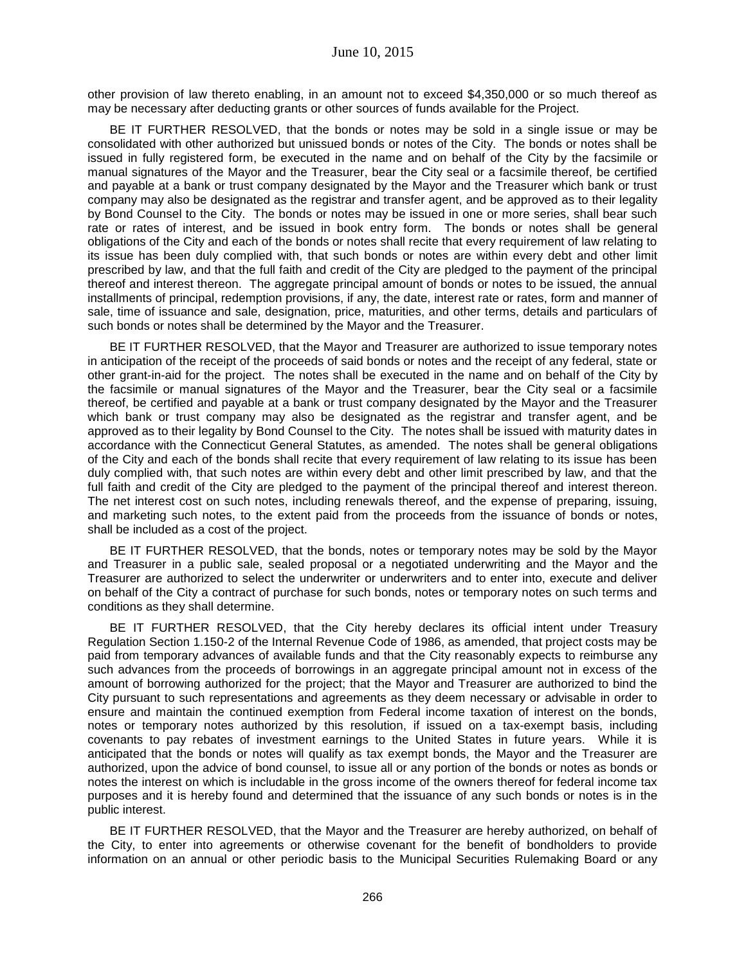other provision of law thereto enabling, in an amount not to exceed \$4,350,000 or so much thereof as may be necessary after deducting grants or other sources of funds available for the Project.

BE IT FURTHER RESOLVED, that the bonds or notes may be sold in a single issue or may be consolidated with other authorized but unissued bonds or notes of the City. The bonds or notes shall be issued in fully registered form, be executed in the name and on behalf of the City by the facsimile or manual signatures of the Mayor and the Treasurer, bear the City seal or a facsimile thereof, be certified and payable at a bank or trust company designated by the Mayor and the Treasurer which bank or trust company may also be designated as the registrar and transfer agent, and be approved as to their legality by Bond Counsel to the City. The bonds or notes may be issued in one or more series, shall bear such rate or rates of interest, and be issued in book entry form. The bonds or notes shall be general obligations of the City and each of the bonds or notes shall recite that every requirement of law relating to its issue has been duly complied with, that such bonds or notes are within every debt and other limit prescribed by law, and that the full faith and credit of the City are pledged to the payment of the principal thereof and interest thereon. The aggregate principal amount of bonds or notes to be issued, the annual installments of principal, redemption provisions, if any, the date, interest rate or rates, form and manner of sale, time of issuance and sale, designation, price, maturities, and other terms, details and particulars of such bonds or notes shall be determined by the Mayor and the Treasurer.

BE IT FURTHER RESOLVED, that the Mayor and Treasurer are authorized to issue temporary notes in anticipation of the receipt of the proceeds of said bonds or notes and the receipt of any federal, state or other grant-in-aid for the project. The notes shall be executed in the name and on behalf of the City by the facsimile or manual signatures of the Mayor and the Treasurer, bear the City seal or a facsimile thereof, be certified and payable at a bank or trust company designated by the Mayor and the Treasurer which bank or trust company may also be designated as the registrar and transfer agent, and be approved as to their legality by Bond Counsel to the City. The notes shall be issued with maturity dates in accordance with the Connecticut General Statutes, as amended. The notes shall be general obligations of the City and each of the bonds shall recite that every requirement of law relating to its issue has been duly complied with, that such notes are within every debt and other limit prescribed by law, and that the full faith and credit of the City are pledged to the payment of the principal thereof and interest thereon. The net interest cost on such notes, including renewals thereof, and the expense of preparing, issuing, and marketing such notes, to the extent paid from the proceeds from the issuance of bonds or notes, shall be included as a cost of the project.

BE IT FURTHER RESOLVED, that the bonds, notes or temporary notes may be sold by the Mayor and Treasurer in a public sale, sealed proposal or a negotiated underwriting and the Mayor and the Treasurer are authorized to select the underwriter or underwriters and to enter into, execute and deliver on behalf of the City a contract of purchase for such bonds, notes or temporary notes on such terms and conditions as they shall determine.

BE IT FURTHER RESOLVED, that the City hereby declares its official intent under Treasury Regulation Section 1.150-2 of the Internal Revenue Code of 1986, as amended, that project costs may be paid from temporary advances of available funds and that the City reasonably expects to reimburse any such advances from the proceeds of borrowings in an aggregate principal amount not in excess of the amount of borrowing authorized for the project; that the Mayor and Treasurer are authorized to bind the City pursuant to such representations and agreements as they deem necessary or advisable in order to ensure and maintain the continued exemption from Federal income taxation of interest on the bonds, notes or temporary notes authorized by this resolution, if issued on a tax-exempt basis, including covenants to pay rebates of investment earnings to the United States in future years. While it is anticipated that the bonds or notes will qualify as tax exempt bonds, the Mayor and the Treasurer are authorized, upon the advice of bond counsel, to issue all or any portion of the bonds or notes as bonds or notes the interest on which is includable in the gross income of the owners thereof for federal income tax purposes and it is hereby found and determined that the issuance of any such bonds or notes is in the public interest.

BE IT FURTHER RESOLVED, that the Mayor and the Treasurer are hereby authorized, on behalf of the City, to enter into agreements or otherwise covenant for the benefit of bondholders to provide information on an annual or other periodic basis to the Municipal Securities Rulemaking Board or any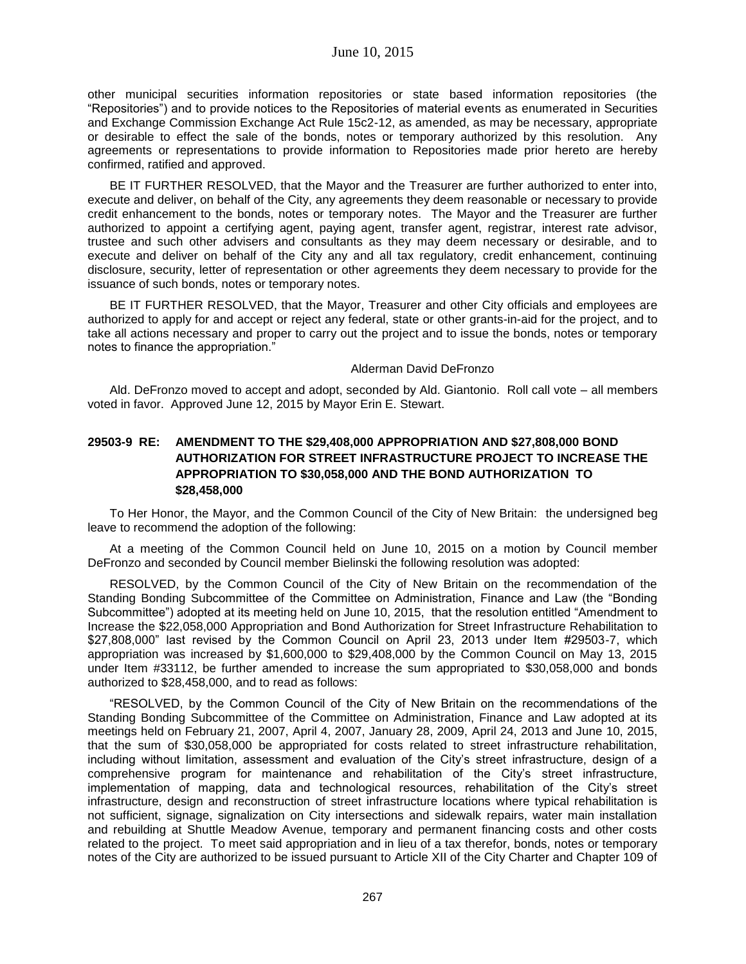other municipal securities information repositories or state based information repositories (the "Repositories") and to provide notices to the Repositories of material events as enumerated in Securities and Exchange Commission Exchange Act Rule 15c2-12, as amended, as may be necessary, appropriate or desirable to effect the sale of the bonds, notes or temporary authorized by this resolution. Any agreements or representations to provide information to Repositories made prior hereto are hereby confirmed, ratified and approved.

BE IT FURTHER RESOLVED, that the Mayor and the Treasurer are further authorized to enter into, execute and deliver, on behalf of the City, any agreements they deem reasonable or necessary to provide credit enhancement to the bonds, notes or temporary notes. The Mayor and the Treasurer are further authorized to appoint a certifying agent, paying agent, transfer agent, registrar, interest rate advisor, trustee and such other advisers and consultants as they may deem necessary or desirable, and to execute and deliver on behalf of the City any and all tax regulatory, credit enhancement, continuing disclosure, security, letter of representation or other agreements they deem necessary to provide for the issuance of such bonds, notes or temporary notes.

BE IT FURTHER RESOLVED, that the Mayor, Treasurer and other City officials and employees are authorized to apply for and accept or reject any federal, state or other grants-in-aid for the project, and to take all actions necessary and proper to carry out the project and to issue the bonds, notes or temporary notes to finance the appropriation."

### Alderman David DeFronzo

Ald. DeFronzo moved to accept and adopt, seconded by Ald. Giantonio. Roll call vote – all members voted in favor. Approved June 12, 2015 by Mayor Erin E. Stewart.

## **29503-9 RE: AMENDMENT TO THE \$29,408,000 APPROPRIATION AND \$27,808,000 BOND AUTHORIZATION FOR STREET INFRASTRUCTURE PROJECT TO INCREASE THE APPROPRIATION TO \$30,058,000 AND THE BOND AUTHORIZATION TO \$28,458,000**

To Her Honor, the Mayor, and the Common Council of the City of New Britain: the undersigned beg leave to recommend the adoption of the following:

At a meeting of the Common Council held on June 10, 2015 on a motion by Council member DeFronzo and seconded by Council member Bielinski the following resolution was adopted:

RESOLVED, by the Common Council of the City of New Britain on the recommendation of the Standing Bonding Subcommittee of the Committee on Administration, Finance and Law (the "Bonding Subcommittee") adopted at its meeting held on June 10, 2015, that the resolution entitled "Amendment to Increase the \$22,058,000 Appropriation and Bond Authorization for Street Infrastructure Rehabilitation to \$27,808,000" last revised by the Common Council on April 23, 2013 under Item #29503-7, which appropriation was increased by \$1,600,000 to \$29,408,000 by the Common Council on May 13, 2015 under Item #33112, be further amended to increase the sum appropriated to \$30,058,000 and bonds authorized to \$28,458,000, and to read as follows:

"RESOLVED, by the Common Council of the City of New Britain on the recommendations of the Standing Bonding Subcommittee of the Committee on Administration, Finance and Law adopted at its meetings held on February 21, 2007, April 4, 2007, January 28, 2009, April 24, 2013 and June 10, 2015, that the sum of \$30,058,000 be appropriated for costs related to street infrastructure rehabilitation, including without limitation, assessment and evaluation of the City's street infrastructure, design of a comprehensive program for maintenance and rehabilitation of the City's street infrastructure, implementation of mapping, data and technological resources, rehabilitation of the City's street infrastructure, design and reconstruction of street infrastructure locations where typical rehabilitation is not sufficient, signage, signalization on City intersections and sidewalk repairs, water main installation and rebuilding at Shuttle Meadow Avenue, temporary and permanent financing costs and other costs related to the project. To meet said appropriation and in lieu of a tax therefor, bonds, notes or temporary notes of the City are authorized to be issued pursuant to Article XII of the City Charter and Chapter 109 of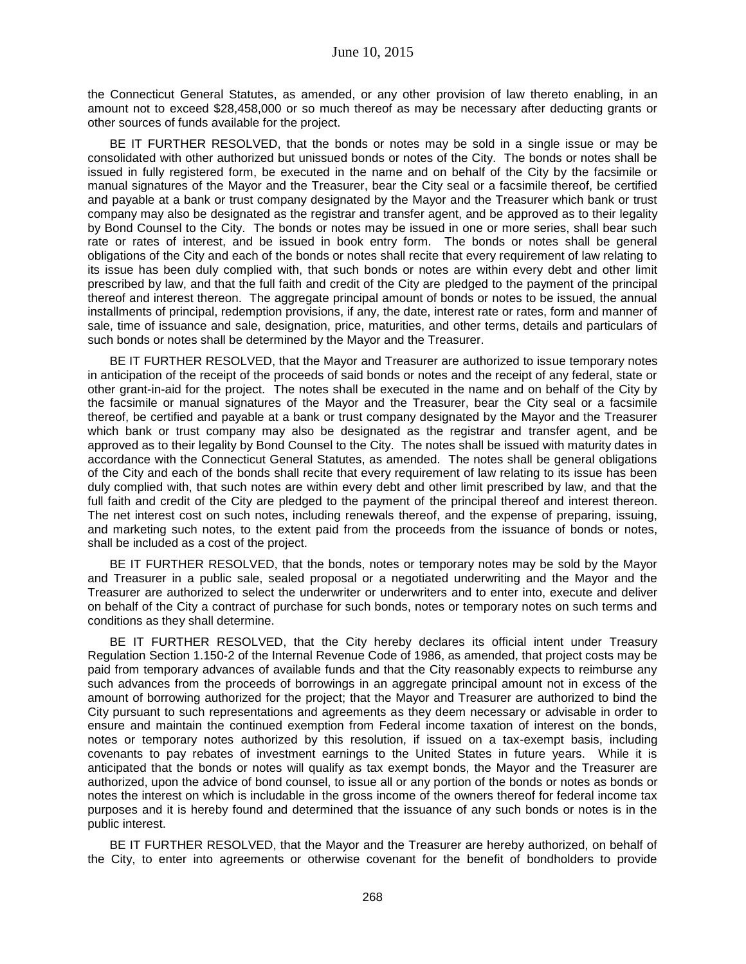the Connecticut General Statutes, as amended, or any other provision of law thereto enabling, in an amount not to exceed \$28,458,000 or so much thereof as may be necessary after deducting grants or other sources of funds available for the project.

BE IT FURTHER RESOLVED, that the bonds or notes may be sold in a single issue or may be consolidated with other authorized but unissued bonds or notes of the City. The bonds or notes shall be issued in fully registered form, be executed in the name and on behalf of the City by the facsimile or manual signatures of the Mayor and the Treasurer, bear the City seal or a facsimile thereof, be certified and payable at a bank or trust company designated by the Mayor and the Treasurer which bank or trust company may also be designated as the registrar and transfer agent, and be approved as to their legality by Bond Counsel to the City. The bonds or notes may be issued in one or more series, shall bear such rate or rates of interest, and be issued in book entry form. The bonds or notes shall be general obligations of the City and each of the bonds or notes shall recite that every requirement of law relating to its issue has been duly complied with, that such bonds or notes are within every debt and other limit prescribed by law, and that the full faith and credit of the City are pledged to the payment of the principal thereof and interest thereon. The aggregate principal amount of bonds or notes to be issued, the annual installments of principal, redemption provisions, if any, the date, interest rate or rates, form and manner of sale, time of issuance and sale, designation, price, maturities, and other terms, details and particulars of such bonds or notes shall be determined by the Mayor and the Treasurer.

BE IT FURTHER RESOLVED, that the Mayor and Treasurer are authorized to issue temporary notes in anticipation of the receipt of the proceeds of said bonds or notes and the receipt of any federal, state or other grant-in-aid for the project. The notes shall be executed in the name and on behalf of the City by the facsimile or manual signatures of the Mayor and the Treasurer, bear the City seal or a facsimile thereof, be certified and payable at a bank or trust company designated by the Mayor and the Treasurer which bank or trust company may also be designated as the registrar and transfer agent, and be approved as to their legality by Bond Counsel to the City. The notes shall be issued with maturity dates in accordance with the Connecticut General Statutes, as amended. The notes shall be general obligations of the City and each of the bonds shall recite that every requirement of law relating to its issue has been duly complied with, that such notes are within every debt and other limit prescribed by law, and that the full faith and credit of the City are pledged to the payment of the principal thereof and interest thereon. The net interest cost on such notes, including renewals thereof, and the expense of preparing, issuing, and marketing such notes, to the extent paid from the proceeds from the issuance of bonds or notes, shall be included as a cost of the project.

BE IT FURTHER RESOLVED, that the bonds, notes or temporary notes may be sold by the Mayor and Treasurer in a public sale, sealed proposal or a negotiated underwriting and the Mayor and the Treasurer are authorized to select the underwriter or underwriters and to enter into, execute and deliver on behalf of the City a contract of purchase for such bonds, notes or temporary notes on such terms and conditions as they shall determine.

BE IT FURTHER RESOLVED, that the City hereby declares its official intent under Treasury Regulation Section 1.150-2 of the Internal Revenue Code of 1986, as amended, that project costs may be paid from temporary advances of available funds and that the City reasonably expects to reimburse any such advances from the proceeds of borrowings in an aggregate principal amount not in excess of the amount of borrowing authorized for the project; that the Mayor and Treasurer are authorized to bind the City pursuant to such representations and agreements as they deem necessary or advisable in order to ensure and maintain the continued exemption from Federal income taxation of interest on the bonds, notes or temporary notes authorized by this resolution, if issued on a tax-exempt basis, including covenants to pay rebates of investment earnings to the United States in future years. While it is anticipated that the bonds or notes will qualify as tax exempt bonds, the Mayor and the Treasurer are authorized, upon the advice of bond counsel, to issue all or any portion of the bonds or notes as bonds or notes the interest on which is includable in the gross income of the owners thereof for federal income tax purposes and it is hereby found and determined that the issuance of any such bonds or notes is in the public interest.

BE IT FURTHER RESOLVED, that the Mayor and the Treasurer are hereby authorized, on behalf of the City, to enter into agreements or otherwise covenant for the benefit of bondholders to provide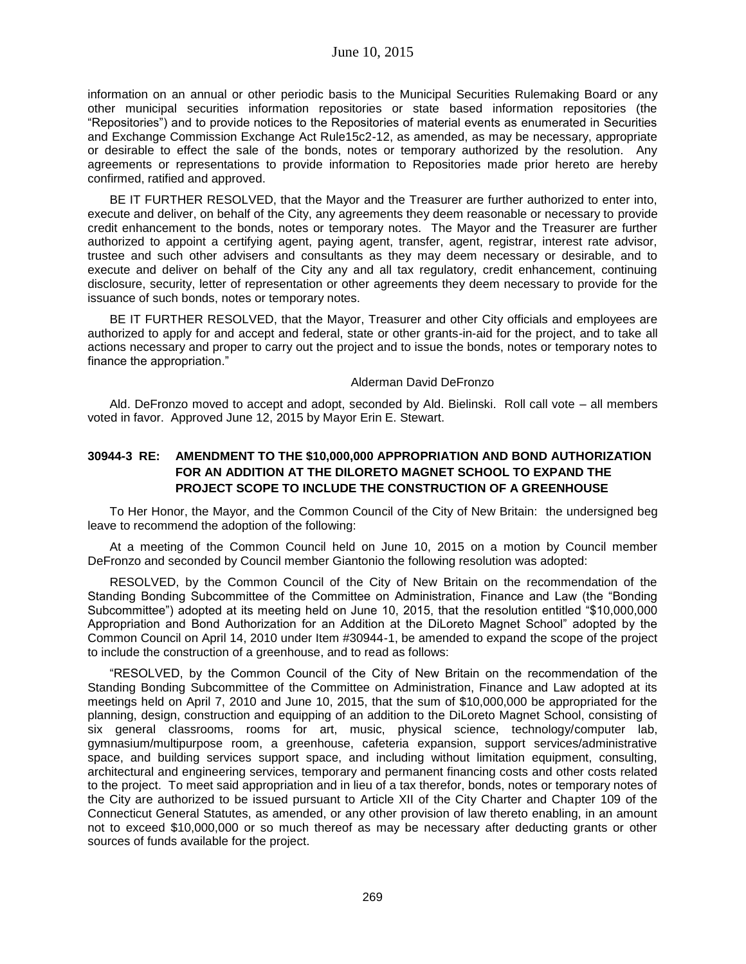information on an annual or other periodic basis to the Municipal Securities Rulemaking Board or any other municipal securities information repositories or state based information repositories (the "Repositories") and to provide notices to the Repositories of material events as enumerated in Securities and Exchange Commission Exchange Act Rule15c2-12, as amended, as may be necessary, appropriate or desirable to effect the sale of the bonds, notes or temporary authorized by the resolution. Any agreements or representations to provide information to Repositories made prior hereto are hereby confirmed, ratified and approved.

BE IT FURTHER RESOLVED, that the Mayor and the Treasurer are further authorized to enter into, execute and deliver, on behalf of the City, any agreements they deem reasonable or necessary to provide credit enhancement to the bonds, notes or temporary notes. The Mayor and the Treasurer are further authorized to appoint a certifying agent, paying agent, transfer, agent, registrar, interest rate advisor, trustee and such other advisers and consultants as they may deem necessary or desirable, and to execute and deliver on behalf of the City any and all tax regulatory, credit enhancement, continuing disclosure, security, letter of representation or other agreements they deem necessary to provide for the issuance of such bonds, notes or temporary notes.

BE IT FURTHER RESOLVED, that the Mayor, Treasurer and other City officials and employees are authorized to apply for and accept and federal, state or other grants-in-aid for the project, and to take all actions necessary and proper to carry out the project and to issue the bonds, notes or temporary notes to finance the appropriation."

#### Alderman David DeFronzo

Ald. DeFronzo moved to accept and adopt, seconded by Ald. Bielinski. Roll call vote – all members voted in favor. Approved June 12, 2015 by Mayor Erin E. Stewart.

### **30944-3 RE: AMENDMENT TO THE \$10,000,000 APPROPRIATION AND BOND AUTHORIZATION FOR AN ADDITION AT THE DILORETO MAGNET SCHOOL TO EXPAND THE PROJECT SCOPE TO INCLUDE THE CONSTRUCTION OF A GREENHOUSE**

To Her Honor, the Mayor, and the Common Council of the City of New Britain: the undersigned beg leave to recommend the adoption of the following:

At a meeting of the Common Council held on June 10, 2015 on a motion by Council member DeFronzo and seconded by Council member Giantonio the following resolution was adopted:

RESOLVED, by the Common Council of the City of New Britain on the recommendation of the Standing Bonding Subcommittee of the Committee on Administration, Finance and Law (the "Bonding Subcommittee") adopted at its meeting held on June 10, 2015, that the resolution entitled "\$10,000,000 Appropriation and Bond Authorization for an Addition at the DiLoreto Magnet School" adopted by the Common Council on April 14, 2010 under Item #30944-1, be amended to expand the scope of the project to include the construction of a greenhouse, and to read as follows:

"RESOLVED, by the Common Council of the City of New Britain on the recommendation of the Standing Bonding Subcommittee of the Committee on Administration, Finance and Law adopted at its meetings held on April 7, 2010 and June 10, 2015, that the sum of \$10,000,000 be appropriated for the planning, design, construction and equipping of an addition to the DiLoreto Magnet School, consisting of six general classrooms, rooms for art, music, physical science, technology/computer lab, gymnasium/multipurpose room, a greenhouse, cafeteria expansion, support services/administrative space, and building services support space, and including without limitation equipment, consulting, architectural and engineering services, temporary and permanent financing costs and other costs related to the project. To meet said appropriation and in lieu of a tax therefor, bonds, notes or temporary notes of the City are authorized to be issued pursuant to Article XII of the City Charter and Chapter 109 of the Connecticut General Statutes, as amended, or any other provision of law thereto enabling, in an amount not to exceed \$10,000,000 or so much thereof as may be necessary after deducting grants or other sources of funds available for the project.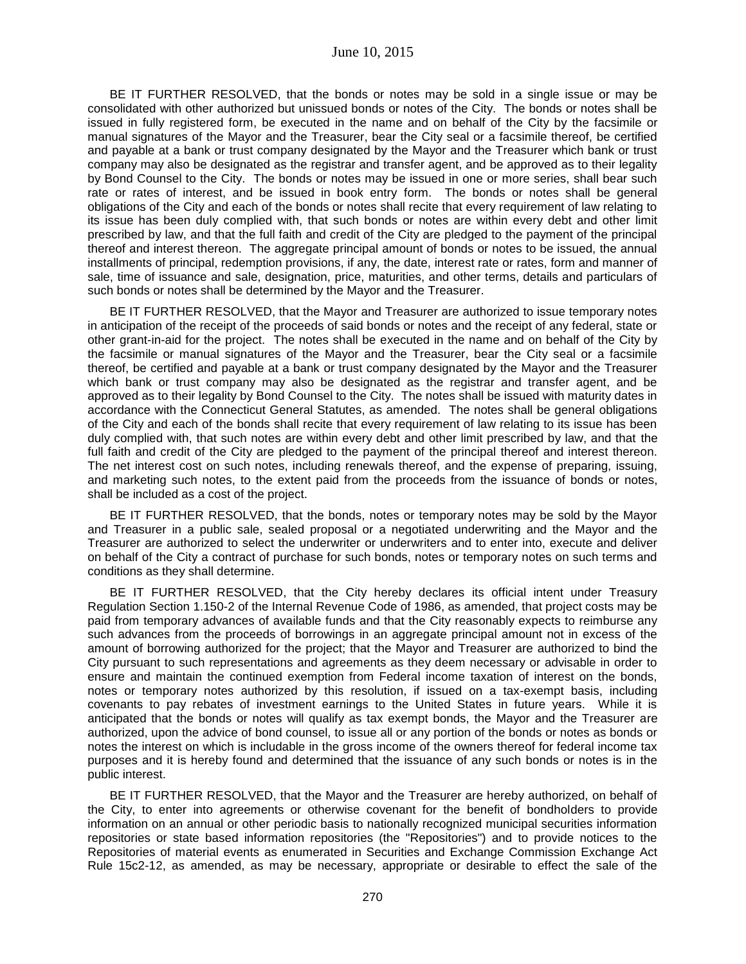BE IT FURTHER RESOLVED, that the bonds or notes may be sold in a single issue or may be consolidated with other authorized but unissued bonds or notes of the City. The bonds or notes shall be issued in fully registered form, be executed in the name and on behalf of the City by the facsimile or manual signatures of the Mayor and the Treasurer, bear the City seal or a facsimile thereof, be certified and payable at a bank or trust company designated by the Mayor and the Treasurer which bank or trust company may also be designated as the registrar and transfer agent, and be approved as to their legality by Bond Counsel to the City. The bonds or notes may be issued in one or more series, shall bear such rate or rates of interest, and be issued in book entry form. The bonds or notes shall be general obligations of the City and each of the bonds or notes shall recite that every requirement of law relating to its issue has been duly complied with, that such bonds or notes are within every debt and other limit prescribed by law, and that the full faith and credit of the City are pledged to the payment of the principal thereof and interest thereon. The aggregate principal amount of bonds or notes to be issued, the annual installments of principal, redemption provisions, if any, the date, interest rate or rates, form and manner of sale, time of issuance and sale, designation, price, maturities, and other terms, details and particulars of such bonds or notes shall be determined by the Mayor and the Treasurer.

BE IT FURTHER RESOLVED, that the Mayor and Treasurer are authorized to issue temporary notes in anticipation of the receipt of the proceeds of said bonds or notes and the receipt of any federal, state or other grant-in-aid for the project. The notes shall be executed in the name and on behalf of the City by the facsimile or manual signatures of the Mayor and the Treasurer, bear the City seal or a facsimile thereof, be certified and payable at a bank or trust company designated by the Mayor and the Treasurer which bank or trust company may also be designated as the registrar and transfer agent, and be approved as to their legality by Bond Counsel to the City. The notes shall be issued with maturity dates in accordance with the Connecticut General Statutes, as amended. The notes shall be general obligations of the City and each of the bonds shall recite that every requirement of law relating to its issue has been duly complied with, that such notes are within every debt and other limit prescribed by law, and that the full faith and credit of the City are pledged to the payment of the principal thereof and interest thereon. The net interest cost on such notes, including renewals thereof, and the expense of preparing, issuing, and marketing such notes, to the extent paid from the proceeds from the issuance of bonds or notes, shall be included as a cost of the project.

BE IT FURTHER RESOLVED, that the bonds, notes or temporary notes may be sold by the Mayor and Treasurer in a public sale, sealed proposal or a negotiated underwriting and the Mayor and the Treasurer are authorized to select the underwriter or underwriters and to enter into, execute and deliver on behalf of the City a contract of purchase for such bonds, notes or temporary notes on such terms and conditions as they shall determine.

BE IT FURTHER RESOLVED, that the City hereby declares its official intent under Treasury Regulation Section 1.150-2 of the Internal Revenue Code of 1986, as amended, that project costs may be paid from temporary advances of available funds and that the City reasonably expects to reimburse any such advances from the proceeds of borrowings in an aggregate principal amount not in excess of the amount of borrowing authorized for the project; that the Mayor and Treasurer are authorized to bind the City pursuant to such representations and agreements as they deem necessary or advisable in order to ensure and maintain the continued exemption from Federal income taxation of interest on the bonds, notes or temporary notes authorized by this resolution, if issued on a tax-exempt basis, including covenants to pay rebates of investment earnings to the United States in future years. While it is anticipated that the bonds or notes will qualify as tax exempt bonds, the Mayor and the Treasurer are authorized, upon the advice of bond counsel, to issue all or any portion of the bonds or notes as bonds or notes the interest on which is includable in the gross income of the owners thereof for federal income tax purposes and it is hereby found and determined that the issuance of any such bonds or notes is in the public interest.

BE IT FURTHER RESOLVED, that the Mayor and the Treasurer are hereby authorized, on behalf of the City, to enter into agreements or otherwise covenant for the benefit of bondholders to provide information on an annual or other periodic basis to nationally recognized municipal securities information repositories or state based information repositories (the "Repositories") and to provide notices to the Repositories of material events as enumerated in Securities and Exchange Commission Exchange Act Rule 15c2-12, as amended, as may be necessary, appropriate or desirable to effect the sale of the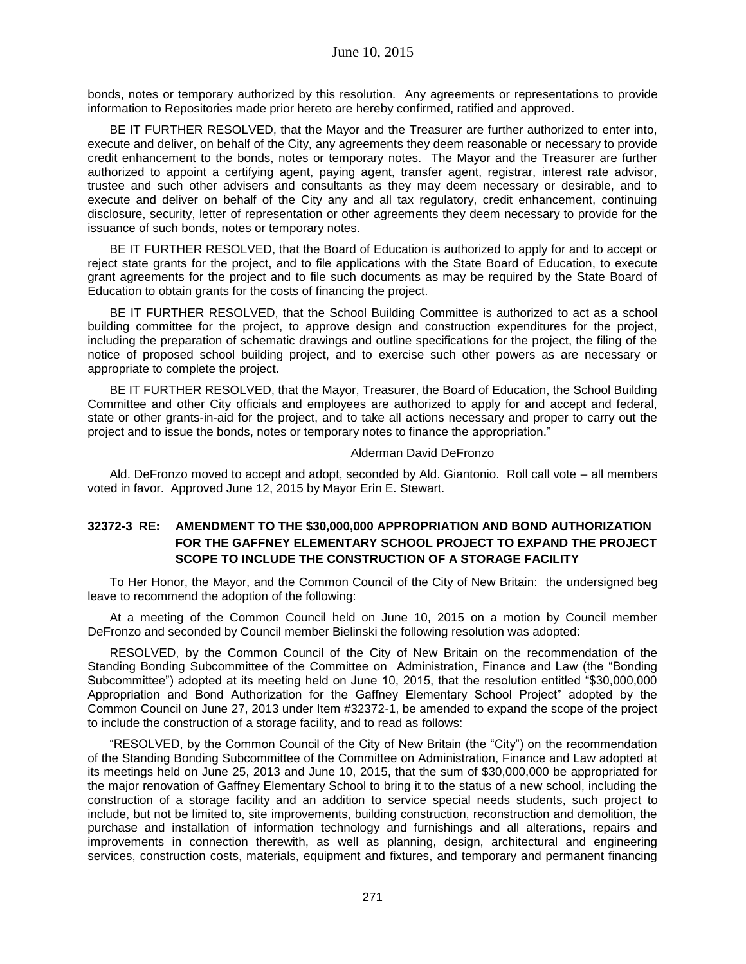bonds, notes or temporary authorized by this resolution. Any agreements or representations to provide information to Repositories made prior hereto are hereby confirmed, ratified and approved.

BE IT FURTHER RESOLVED, that the Mayor and the Treasurer are further authorized to enter into, execute and deliver, on behalf of the City, any agreements they deem reasonable or necessary to provide credit enhancement to the bonds, notes or temporary notes. The Mayor and the Treasurer are further authorized to appoint a certifying agent, paying agent, transfer agent, registrar, interest rate advisor, trustee and such other advisers and consultants as they may deem necessary or desirable, and to execute and deliver on behalf of the City any and all tax regulatory, credit enhancement, continuing disclosure, security, letter of representation or other agreements they deem necessary to provide for the issuance of such bonds, notes or temporary notes.

BE IT FURTHER RESOLVED, that the Board of Education is authorized to apply for and to accept or reject state grants for the project, and to file applications with the State Board of Education, to execute grant agreements for the project and to file such documents as may be required by the State Board of Education to obtain grants for the costs of financing the project.

BE IT FURTHER RESOLVED, that the School Building Committee is authorized to act as a school building committee for the project, to approve design and construction expenditures for the project, including the preparation of schematic drawings and outline specifications for the project, the filing of the notice of proposed school building project, and to exercise such other powers as are necessary or appropriate to complete the project.

BE IT FURTHER RESOLVED, that the Mayor, Treasurer, the Board of Education, the School Building Committee and other City officials and employees are authorized to apply for and accept and federal, state or other grants-in-aid for the project, and to take all actions necessary and proper to carry out the project and to issue the bonds, notes or temporary notes to finance the appropriation."

#### Alderman David DeFronzo

Ald. DeFronzo moved to accept and adopt, seconded by Ald. Giantonio. Roll call vote – all members voted in favor. Approved June 12, 2015 by Mayor Erin E. Stewart.

## **32372-3 RE: AMENDMENT TO THE \$30,000,000 APPROPRIATION AND BOND AUTHORIZATION FOR THE GAFFNEY ELEMENTARY SCHOOL PROJECT TO EXPAND THE PROJECT SCOPE TO INCLUDE THE CONSTRUCTION OF A STORAGE FACILITY**

To Her Honor, the Mayor, and the Common Council of the City of New Britain: the undersigned beg leave to recommend the adoption of the following:

At a meeting of the Common Council held on June 10, 2015 on a motion by Council member DeFronzo and seconded by Council member Bielinski the following resolution was adopted:

RESOLVED, by the Common Council of the City of New Britain on the recommendation of the Standing Bonding Subcommittee of the Committee on Administration, Finance and Law (the "Bonding Subcommittee") adopted at its meeting held on June 10, 2015, that the resolution entitled "\$30,000,000 Appropriation and Bond Authorization for the Gaffney Elementary School Project" adopted by the Common Council on June 27, 2013 under Item #32372-1, be amended to expand the scope of the project to include the construction of a storage facility, and to read as follows:

"RESOLVED, by the Common Council of the City of New Britain (the "City") on the recommendation of the Standing Bonding Subcommittee of the Committee on Administration, Finance and Law adopted at its meetings held on June 25, 2013 and June 10, 2015, that the sum of \$30,000,000 be appropriated for the major renovation of Gaffney Elementary School to bring it to the status of a new school, including the construction of a storage facility and an addition to service special needs students, such project to include, but not be limited to, site improvements, building construction, reconstruction and demolition, the purchase and installation of information technology and furnishings and all alterations, repairs and improvements in connection therewith, as well as planning, design, architectural and engineering services, construction costs, materials, equipment and fixtures, and temporary and permanent financing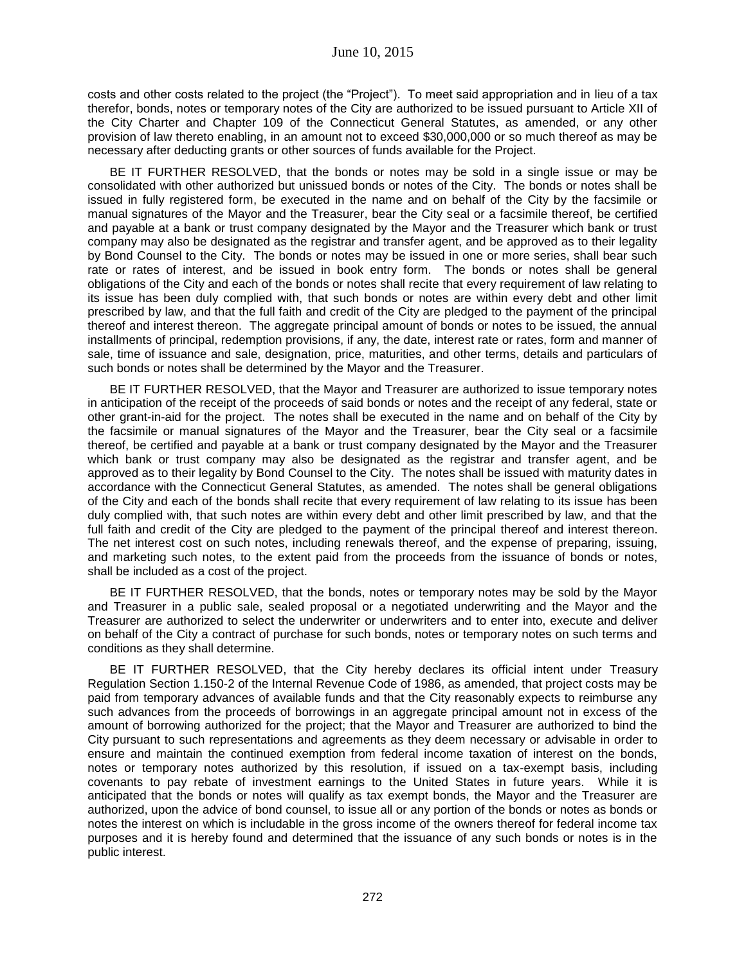costs and other costs related to the project (the "Project"). To meet said appropriation and in lieu of a tax therefor, bonds, notes or temporary notes of the City are authorized to be issued pursuant to Article XII of the City Charter and Chapter 109 of the Connecticut General Statutes, as amended, or any other provision of law thereto enabling, in an amount not to exceed \$30,000,000 or so much thereof as may be necessary after deducting grants or other sources of funds available for the Project.

BE IT FURTHER RESOLVED, that the bonds or notes may be sold in a single issue or may be consolidated with other authorized but unissued bonds or notes of the City. The bonds or notes shall be issued in fully registered form, be executed in the name and on behalf of the City by the facsimile or manual signatures of the Mayor and the Treasurer, bear the City seal or a facsimile thereof, be certified and payable at a bank or trust company designated by the Mayor and the Treasurer which bank or trust company may also be designated as the registrar and transfer agent, and be approved as to their legality by Bond Counsel to the City. The bonds or notes may be issued in one or more series, shall bear such rate or rates of interest, and be issued in book entry form. The bonds or notes shall be general obligations of the City and each of the bonds or notes shall recite that every requirement of law relating to its issue has been duly complied with, that such bonds or notes are within every debt and other limit prescribed by law, and that the full faith and credit of the City are pledged to the payment of the principal thereof and interest thereon. The aggregate principal amount of bonds or notes to be issued, the annual installments of principal, redemption provisions, if any, the date, interest rate or rates, form and manner of sale, time of issuance and sale, designation, price, maturities, and other terms, details and particulars of such bonds or notes shall be determined by the Mayor and the Treasurer.

BE IT FURTHER RESOLVED, that the Mayor and Treasurer are authorized to issue temporary notes in anticipation of the receipt of the proceeds of said bonds or notes and the receipt of any federal, state or other grant-in-aid for the project. The notes shall be executed in the name and on behalf of the City by the facsimile or manual signatures of the Mayor and the Treasurer, bear the City seal or a facsimile thereof, be certified and payable at a bank or trust company designated by the Mayor and the Treasurer which bank or trust company may also be designated as the registrar and transfer agent, and be approved as to their legality by Bond Counsel to the City. The notes shall be issued with maturity dates in accordance with the Connecticut General Statutes, as amended. The notes shall be general obligations of the City and each of the bonds shall recite that every requirement of law relating to its issue has been duly complied with, that such notes are within every debt and other limit prescribed by law, and that the full faith and credit of the City are pledged to the payment of the principal thereof and interest thereon. The net interest cost on such notes, including renewals thereof, and the expense of preparing, issuing, and marketing such notes, to the extent paid from the proceeds from the issuance of bonds or notes, shall be included as a cost of the project.

BE IT FURTHER RESOLVED, that the bonds, notes or temporary notes may be sold by the Mayor and Treasurer in a public sale, sealed proposal or a negotiated underwriting and the Mayor and the Treasurer are authorized to select the underwriter or underwriters and to enter into, execute and deliver on behalf of the City a contract of purchase for such bonds, notes or temporary notes on such terms and conditions as they shall determine.

BE IT FURTHER RESOLVED, that the City hereby declares its official intent under Treasury Regulation Section 1.150-2 of the Internal Revenue Code of 1986, as amended, that project costs may be paid from temporary advances of available funds and that the City reasonably expects to reimburse any such advances from the proceeds of borrowings in an aggregate principal amount not in excess of the amount of borrowing authorized for the project; that the Mayor and Treasurer are authorized to bind the City pursuant to such representations and agreements as they deem necessary or advisable in order to ensure and maintain the continued exemption from federal income taxation of interest on the bonds, notes or temporary notes authorized by this resolution, if issued on a tax-exempt basis, including covenants to pay rebate of investment earnings to the United States in future years. While it is anticipated that the bonds or notes will qualify as tax exempt bonds, the Mayor and the Treasurer are authorized, upon the advice of bond counsel, to issue all or any portion of the bonds or notes as bonds or notes the interest on which is includable in the gross income of the owners thereof for federal income tax purposes and it is hereby found and determined that the issuance of any such bonds or notes is in the public interest.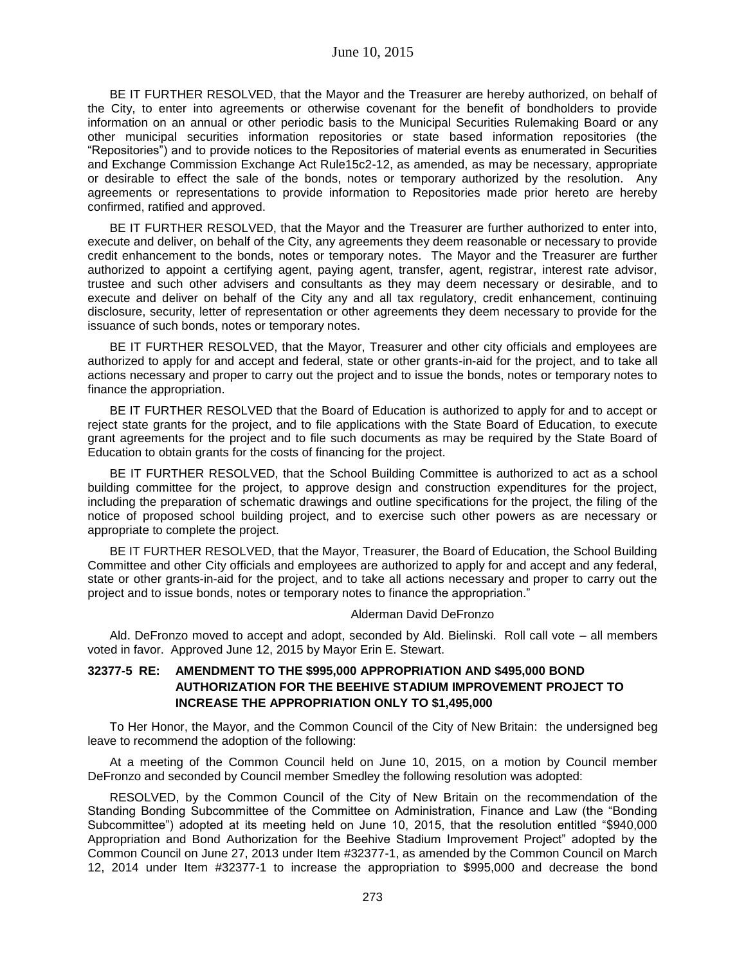BE IT FURTHER RESOLVED, that the Mayor and the Treasurer are hereby authorized, on behalf of the City, to enter into agreements or otherwise covenant for the benefit of bondholders to provide information on an annual or other periodic basis to the Municipal Securities Rulemaking Board or any other municipal securities information repositories or state based information repositories (the "Repositories") and to provide notices to the Repositories of material events as enumerated in Securities and Exchange Commission Exchange Act Rule15c2-12, as amended, as may be necessary, appropriate or desirable to effect the sale of the bonds, notes or temporary authorized by the resolution. Any agreements or representations to provide information to Repositories made prior hereto are hereby confirmed, ratified and approved.

BE IT FURTHER RESOLVED, that the Mayor and the Treasurer are further authorized to enter into, execute and deliver, on behalf of the City, any agreements they deem reasonable or necessary to provide credit enhancement to the bonds, notes or temporary notes. The Mayor and the Treasurer are further authorized to appoint a certifying agent, paying agent, transfer, agent, registrar, interest rate advisor, trustee and such other advisers and consultants as they may deem necessary or desirable, and to execute and deliver on behalf of the City any and all tax regulatory, credit enhancement, continuing disclosure, security, letter of representation or other agreements they deem necessary to provide for the issuance of such bonds, notes or temporary notes.

BE IT FURTHER RESOLVED, that the Mayor, Treasurer and other city officials and employees are authorized to apply for and accept and federal, state or other grants-in-aid for the project, and to take all actions necessary and proper to carry out the project and to issue the bonds, notes or temporary notes to finance the appropriation.

BE IT FURTHER RESOLVED that the Board of Education is authorized to apply for and to accept or reject state grants for the project, and to file applications with the State Board of Education, to execute grant agreements for the project and to file such documents as may be required by the State Board of Education to obtain grants for the costs of financing for the project.

BE IT FURTHER RESOLVED, that the School Building Committee is authorized to act as a school building committee for the project, to approve design and construction expenditures for the project, including the preparation of schematic drawings and outline specifications for the project, the filing of the notice of proposed school building project, and to exercise such other powers as are necessary or appropriate to complete the project.

BE IT FURTHER RESOLVED, that the Mayor, Treasurer, the Board of Education, the School Building Committee and other City officials and employees are authorized to apply for and accept and any federal, state or other grants-in-aid for the project, and to take all actions necessary and proper to carry out the project and to issue bonds, notes or temporary notes to finance the appropriation."

### Alderman David DeFronzo

Ald. DeFronzo moved to accept and adopt, seconded by Ald. Bielinski. Roll call vote – all members voted in favor. Approved June 12, 2015 by Mayor Erin E. Stewart.

### **32377-5 RE: AMENDMENT TO THE \$995,000 APPROPRIATION AND \$495,000 BOND AUTHORIZATION FOR THE BEEHIVE STADIUM IMPROVEMENT PROJECT TO INCREASE THE APPROPRIATION ONLY TO \$1,495,000**

To Her Honor, the Mayor, and the Common Council of the City of New Britain: the undersigned beg leave to recommend the adoption of the following:

At a meeting of the Common Council held on June 10, 2015, on a motion by Council member DeFronzo and seconded by Council member Smedley the following resolution was adopted:

RESOLVED, by the Common Council of the City of New Britain on the recommendation of the Standing Bonding Subcommittee of the Committee on Administration, Finance and Law (the "Bonding Subcommittee") adopted at its meeting held on June 10, 2015, that the resolution entitled "\$940,000 Appropriation and Bond Authorization for the Beehive Stadium Improvement Project" adopted by the Common Council on June 27, 2013 under Item #32377-1, as amended by the Common Council on March 12, 2014 under Item #32377-1 to increase the appropriation to \$995,000 and decrease the bond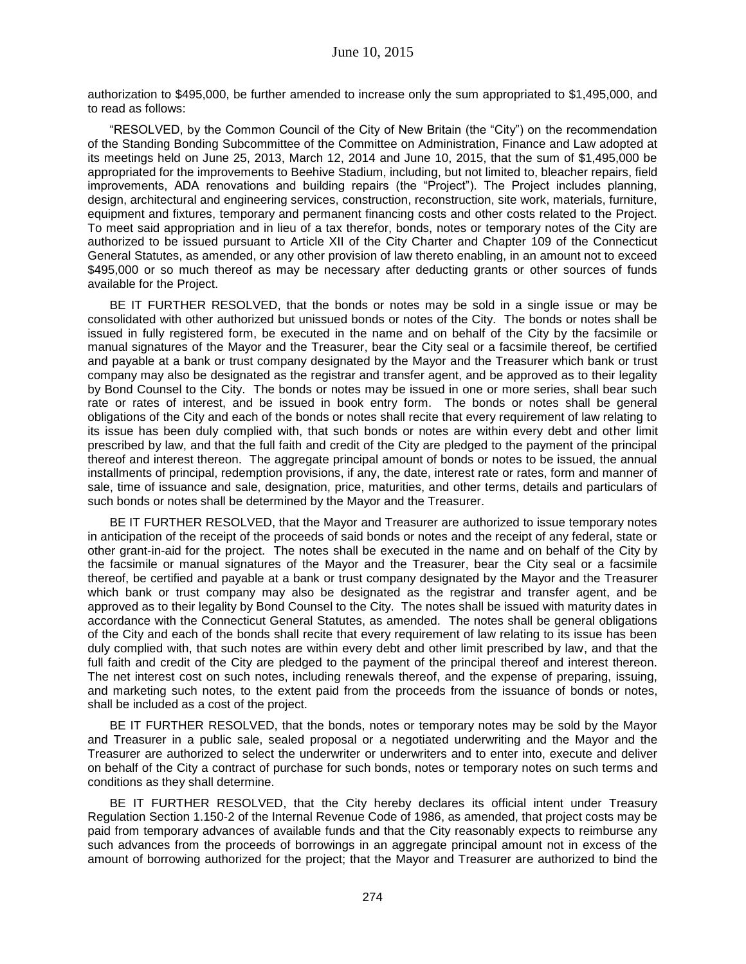authorization to \$495,000, be further amended to increase only the sum appropriated to \$1,495,000, and to read as follows:

"RESOLVED, by the Common Council of the City of New Britain (the "City") on the recommendation of the Standing Bonding Subcommittee of the Committee on Administration, Finance and Law adopted at its meetings held on June 25, 2013, March 12, 2014 and June 10, 2015, that the sum of \$1,495,000 be appropriated for the improvements to Beehive Stadium, including, but not limited to, bleacher repairs, field improvements, ADA renovations and building repairs (the "Project"). The Project includes planning, design, architectural and engineering services, construction, reconstruction, site work, materials, furniture, equipment and fixtures, temporary and permanent financing costs and other costs related to the Project. To meet said appropriation and in lieu of a tax therefor, bonds, notes or temporary notes of the City are authorized to be issued pursuant to Article XII of the City Charter and Chapter 109 of the Connecticut General Statutes, as amended, or any other provision of law thereto enabling, in an amount not to exceed \$495,000 or so much thereof as may be necessary after deducting grants or other sources of funds available for the Project.

BE IT FURTHER RESOLVED, that the bonds or notes may be sold in a single issue or may be consolidated with other authorized but unissued bonds or notes of the City. The bonds or notes shall be issued in fully registered form, be executed in the name and on behalf of the City by the facsimile or manual signatures of the Mayor and the Treasurer, bear the City seal or a facsimile thereof, be certified and payable at a bank or trust company designated by the Mayor and the Treasurer which bank or trust company may also be designated as the registrar and transfer agent, and be approved as to their legality by Bond Counsel to the City. The bonds or notes may be issued in one or more series, shall bear such rate or rates of interest, and be issued in book entry form. The bonds or notes shall be general obligations of the City and each of the bonds or notes shall recite that every requirement of law relating to its issue has been duly complied with, that such bonds or notes are within every debt and other limit prescribed by law, and that the full faith and credit of the City are pledged to the payment of the principal thereof and interest thereon. The aggregate principal amount of bonds or notes to be issued, the annual installments of principal, redemption provisions, if any, the date, interest rate or rates, form and manner of sale, time of issuance and sale, designation, price, maturities, and other terms, details and particulars of such bonds or notes shall be determined by the Mayor and the Treasurer.

BE IT FURTHER RESOLVED, that the Mayor and Treasurer are authorized to issue temporary notes in anticipation of the receipt of the proceeds of said bonds or notes and the receipt of any federal, state or other grant-in-aid for the project. The notes shall be executed in the name and on behalf of the City by the facsimile or manual signatures of the Mayor and the Treasurer, bear the City seal or a facsimile thereof, be certified and payable at a bank or trust company designated by the Mayor and the Treasurer which bank or trust company may also be designated as the registrar and transfer agent, and be approved as to their legality by Bond Counsel to the City. The notes shall be issued with maturity dates in accordance with the Connecticut General Statutes, as amended. The notes shall be general obligations of the City and each of the bonds shall recite that every requirement of law relating to its issue has been duly complied with, that such notes are within every debt and other limit prescribed by law, and that the full faith and credit of the City are pledged to the payment of the principal thereof and interest thereon. The net interest cost on such notes, including renewals thereof, and the expense of preparing, issuing, and marketing such notes, to the extent paid from the proceeds from the issuance of bonds or notes, shall be included as a cost of the project.

BE IT FURTHER RESOLVED, that the bonds, notes or temporary notes may be sold by the Mayor and Treasurer in a public sale, sealed proposal or a negotiated underwriting and the Mayor and the Treasurer are authorized to select the underwriter or underwriters and to enter into, execute and deliver on behalf of the City a contract of purchase for such bonds, notes or temporary notes on such terms and conditions as they shall determine.

BE IT FURTHER RESOLVED, that the City hereby declares its official intent under Treasury Regulation Section 1.150-2 of the Internal Revenue Code of 1986, as amended, that project costs may be paid from temporary advances of available funds and that the City reasonably expects to reimburse any such advances from the proceeds of borrowings in an aggregate principal amount not in excess of the amount of borrowing authorized for the project; that the Mayor and Treasurer are authorized to bind the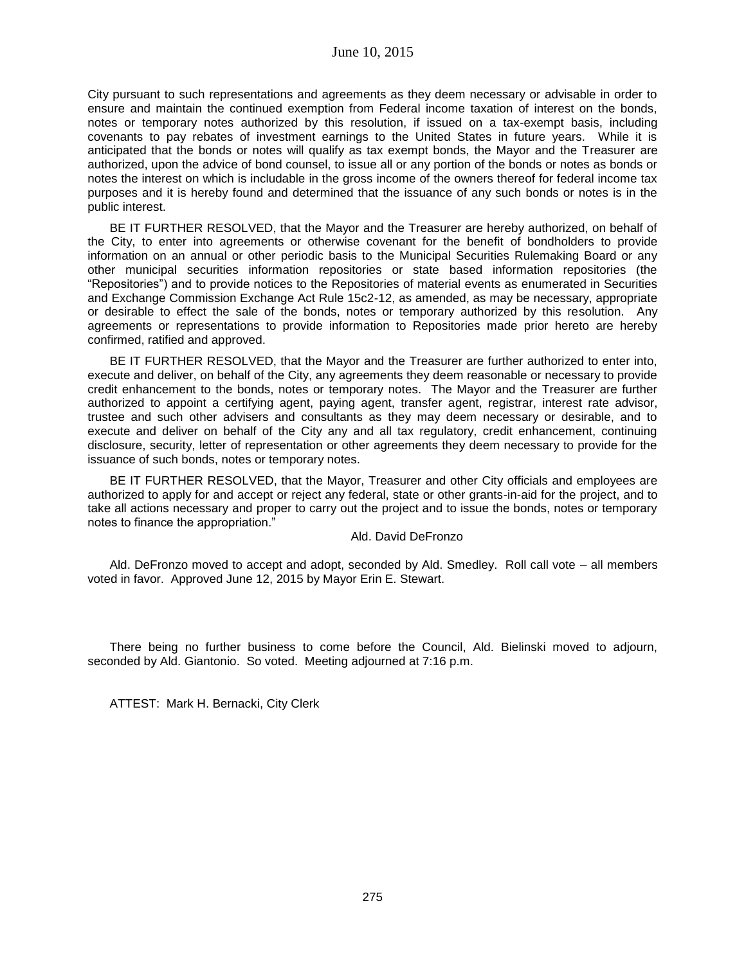### June 10, 2015

City pursuant to such representations and agreements as they deem necessary or advisable in order to ensure and maintain the continued exemption from Federal income taxation of interest on the bonds, notes or temporary notes authorized by this resolution, if issued on a tax-exempt basis, including covenants to pay rebates of investment earnings to the United States in future years. While it is anticipated that the bonds or notes will qualify as tax exempt bonds, the Mayor and the Treasurer are authorized, upon the advice of bond counsel, to issue all or any portion of the bonds or notes as bonds or notes the interest on which is includable in the gross income of the owners thereof for federal income tax purposes and it is hereby found and determined that the issuance of any such bonds or notes is in the public interest.

BE IT FURTHER RESOLVED, that the Mayor and the Treasurer are hereby authorized, on behalf of the City, to enter into agreements or otherwise covenant for the benefit of bondholders to provide information on an annual or other periodic basis to the Municipal Securities Rulemaking Board or any other municipal securities information repositories or state based information repositories (the "Repositories") and to provide notices to the Repositories of material events as enumerated in Securities and Exchange Commission Exchange Act Rule 15c2-12, as amended, as may be necessary, appropriate or desirable to effect the sale of the bonds, notes or temporary authorized by this resolution. Any agreements or representations to provide information to Repositories made prior hereto are hereby confirmed, ratified and approved.

BE IT FURTHER RESOLVED, that the Mayor and the Treasurer are further authorized to enter into, execute and deliver, on behalf of the City, any agreements they deem reasonable or necessary to provide credit enhancement to the bonds, notes or temporary notes. The Mayor and the Treasurer are further authorized to appoint a certifying agent, paying agent, transfer agent, registrar, interest rate advisor, trustee and such other advisers and consultants as they may deem necessary or desirable, and to execute and deliver on behalf of the City any and all tax regulatory, credit enhancement, continuing disclosure, security, letter of representation or other agreements they deem necessary to provide for the issuance of such bonds, notes or temporary notes.

BE IT FURTHER RESOLVED, that the Mayor, Treasurer and other City officials and employees are authorized to apply for and accept or reject any federal, state or other grants-in-aid for the project, and to take all actions necessary and proper to carry out the project and to issue the bonds, notes or temporary notes to finance the appropriation."

#### Ald. David DeFronzo

Ald. DeFronzo moved to accept and adopt, seconded by Ald. Smedley. Roll call vote – all members voted in favor. Approved June 12, 2015 by Mayor Erin E. Stewart.

There being no further business to come before the Council, Ald. Bielinski moved to adjourn, seconded by Ald. Giantonio. So voted. Meeting adjourned at 7:16 p.m.

ATTEST: Mark H. Bernacki, City Clerk